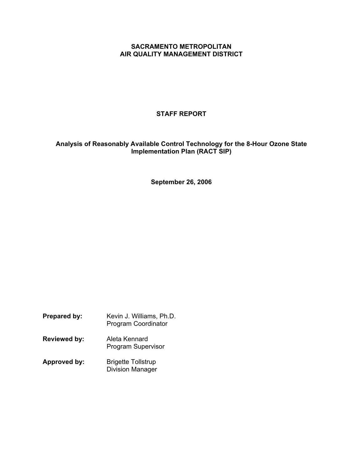## **SACRAMENTO METROPOLITAN AIR QUALITY MANAGEMENT DISTRICT**

## **STAFF REPORT**

## **Analysis of Reasonably Available Control Technology for the 8-Hour Ozone State Implementation Plan (RACT SIP)**

**September 26, 2006** 

| <b>Prepared by:</b> | Kevin J. Williams, Ph.D.<br>Program Coordinator      |  |
|---------------------|------------------------------------------------------|--|
| <b>Reviewed by:</b> | Aleta Kennard<br>Program Supervisor                  |  |
| <b>Approved by:</b> | <b>Brigette Tollstrup</b><br><b>Division Manager</b> |  |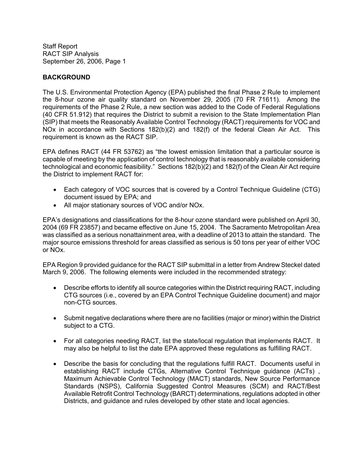## **BACKGROUND**

The U.S. Environmental Protection Agency (EPA) published the final Phase 2 Rule to implement the 8-hour ozone air quality standard on November 29, 2005 (70 FR 71611). Among the requirements of the Phase 2 Rule, a new section was added to the Code of Federal Regulations (40 CFR 51.912) that requires the District to submit a revision to the State Implementation Plan (SIP) that meets the Reasonably Available Control Technology (RACT) requirements for VOC and NOx in accordance with Sections 182(b)(2) and 182(f) of the federal Clean Air Act. This requirement is known as the RACT SIP.

EPA defines RACT (44 FR 53762) as "the lowest emission limitation that a particular source is capable of meeting by the application of control technology that is reasonably available considering technological and economic feasibility." Sections 182(b)(2) and 182(f) of the Clean Air Act require the District to implement RACT for:

- Each category of VOC sources that is covered by a Control Technique Guideline (CTG) document issued by EPA; and
- All major stationary sources of VOC and/or NOx.

EPA's designations and classifications for the 8-hour ozone standard were published on April 30, 2004 (69 FR 23857) and became effective on June 15, 2004. The Sacramento Metropolitan Area was classified as a serious nonattainment area, with a deadline of 2013 to attain the standard. The major source emissions threshold for areas classified as serious is 50 tons per year of either VOC or NOx.

EPA Region 9 provided guidance for the RACT SIP submittal in a letter from Andrew Steckel dated March 9, 2006. The following elements were included in the recommended strategy:

- Describe efforts to identify all source categories within the District requiring RACT, including CTG sources (i.e., covered by an EPA Control Technique Guideline document) and major non-CTG sources.
- Submit negative declarations where there are no facilities (major or minor) within the District subject to a CTG.
- For all categories needing RACT, list the state/local regulation that implements RACT. It may also be helpful to list the date EPA approved these regulations as fulfilling RACT.
- Describe the basis for concluding that the regulations fulfill RACT. Documents useful in establishing RACT include CTGs, Alternative Control Technique guidance (ACTs) , Maximum Achievable Control Technology (MACT) standards, New Source Performance Standards (NSPS), California Suggested Control Measures (SCM) and RACT/Best Available Retrofit Control Technology (BARCT) determinations, regulations adopted in other Districts, and guidance and rules developed by other state and local agencies.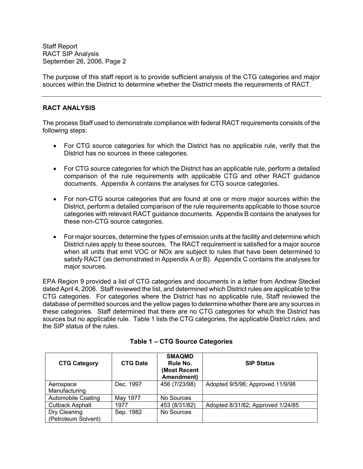The purpose of this staff report is to provide sufficient analysis of the CTG categories and major sources within the District to determine whether the District meets the requirements of RACT.

## **RACT ANALYSIS**

The process Staff used to demonstrate compliance with federal RACT requirements consists of the following steps:

- For CTG source categories for which the District has no applicable rule, verify that the District has no sources in these categories.
- For CTG source categories for which the District has an applicable rule, perform a detailed comparison of the rule requirements with applicable CTG and other RACT guidance documents. Appendix A contains the analyses for CTG source categories.
- For non-CTG source categories that are found at one or more major sources within the District, perform a detailed comparison of the rule requirements applicable to those source categories with relevant RACT guidance documents. Appendix B contains the analyses for these non-CTG source categories.
- For major sources, determine the types of emission units at the facility and determine which District rules apply to these sources. The RACT requirement is satisfied for a major source when all units that emit VOC or NOx are subject to rules that have been determined to satisfy RACT (as demonstrated in Appendix A or B). Appendix C contains the analyses for major sources.

EPA Region 9 provided a list of CTG categories and documents in a letter from Andrew Steckel dated April 4, 2006. Staff reviewed the list, and determined which District rules are applicable to the CTG categories. For categories where the District has no applicable rule, Staff reviewed the database of permitted sources and the yellow pages to determine whether there are any sources in these categories. Staff determined that there are no CTG categories for which the District has sources but no applicable rule. Table 1 lists the CTG categories, the applicable District rules, and the SIP status of the rules.

| <b>CTG Category</b>                 | <b>CTG Date</b> | <b>SMAQMD</b><br>Rule No.<br>(Most Recent)<br>Amendment) | <b>SIP Status</b>                 |
|-------------------------------------|-----------------|----------------------------------------------------------|-----------------------------------|
| Aerospace<br>Manufacturing          | Dec. 1997       | 456 (7/23/98)                                            | Adopted 9/5/96; Approved 11/9/98  |
| <b>Automobile Coating</b>           | May 1977        | No Sources                                               |                                   |
| <b>Cutback Asphalt</b>              | 1977            | 453 (8/31/82)                                            | Adopted 8/31/82; Approved 1/24/85 |
| Dry Cleaning<br>(Petroleum Solvent) | Sep. 1982       | No Sources                                               |                                   |

|  | Table 1 - CTG Source Categories |  |
|--|---------------------------------|--|
|--|---------------------------------|--|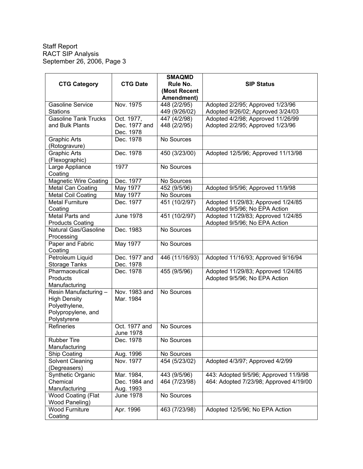|                              |                  | <b>SMAQMD</b>  |                                        |
|------------------------------|------------------|----------------|----------------------------------------|
| <b>CTG Category</b>          | <b>CTG Date</b>  | Rule No.       | <b>SIP Status</b>                      |
|                              |                  | (Most Recent   |                                        |
|                              |                  | Amendment)     |                                        |
| Gasoline Service             | Nov. 1975        | 448 (2/2/95)   | Adopted 2/2/95; Approved 1/23/96       |
| <b>Stations</b>              |                  | 449 (9/26/02)  | Adopted 9/26/02; Approved 3/24/03      |
| <b>Gasoline Tank Trucks</b>  | Oct. 1977,       | 447 (4/2/98)   | Adopted 4/2/98; Approved 11/26/99      |
| and Bulk Plants              | Dec. 1977 and    | 448 (2/2/95)   | Adopted 2/2/95; Approved 1/23/96       |
|                              | Dec. 1978        |                |                                        |
| <b>Graphic Arts</b>          | Dec. 1978        | No Sources     |                                        |
| (Rotogravure)                |                  |                |                                        |
| <b>Graphic Arts</b>          | Dec. 1978        | 450 (3/23/00)  | Adopted 12/5/96; Approved 11/13/98     |
| (Flexographic)               |                  |                |                                        |
| Large Appliance              | 1977             | No Sources     |                                        |
| Coating                      |                  |                |                                        |
| <b>Magnetic Wire Coating</b> | Dec. 1977        | No Sources     |                                        |
| Metal Can Coating            | May 1977         | 452 (9/5/96)   | Adopted 9/5/96; Approved 11/9/98       |
| <b>Metal Coil Coating</b>    | May 1977         | No Sources     |                                        |
| <b>Metal Furniture</b>       | Dec. 1977        | 451 (10/2/97)  | Adopted 11/29/83; Approved 1/24/85     |
| Coating                      |                  |                | Adopted 9/5/96; No EPA Action          |
| Metal Parts and              | <b>June 1978</b> | 451 (10/2/97)  | Adopted 11/29/83; Approved 1/24/85     |
| <b>Products Coating</b>      | Dec. 1983        | No Sources     | Adopted 9/5/96; No EPA Action          |
| Natural Gas/Gasoline         |                  |                |                                        |
| Processing                   | May 1977         | No Sources     |                                        |
| Paper and Fabric             |                  |                |                                        |
| Coating<br>Petroleum Liquid  | Dec. 1977 and    | 446 (11/16/93) | Adopted 11/16/93; Approved 9/16/94     |
| <b>Storage Tanks</b>         | Dec. 1978        |                |                                        |
| Pharmaceutical               | Dec. 1978        | 455 (9/5/96)   | Adopted 11/29/83; Approved 1/24/85     |
| Products                     |                  |                | Adopted 9/5/96; No EPA Action          |
| Manufacturing                |                  |                |                                        |
| Resin Manufacturing -        | Nov. 1983 and    | No Sources     |                                        |
| <b>High Density</b>          | Mar. 1984        |                |                                        |
| Polyethylene,                |                  |                |                                        |
| Polypropylene, and           |                  |                |                                        |
| Polystyrene                  |                  |                |                                        |
| <b>Refineries</b>            | Oct. 1977 and    | No Sources     |                                        |
|                              | <b>June 1978</b> |                |                                        |
| <b>Rubber Tire</b>           | Dec. 1978        | No Sources     |                                        |
| Manufacturing                |                  |                |                                        |
| Ship Coating                 | Aug. 1996        | No Sources     |                                        |
| Solvent Cleaning             | Nov. 1977        | 454 (5/23/02)  | Adopted 4/3/97; Approved 4/2/99        |
| (Degreasers)                 |                  |                |                                        |
| Synthetic Organic            | Mar. 1984,       | 443 (9/5/96)   | 443: Adopted 9/5/96; Approved 11/9/98  |
| Chemical                     | Dec. 1984 and    | 464 (7/23/98)  | 464: Adopted 7/23/98; Approved 4/19/00 |
| Manufacturing                | Aug. 1993        |                |                                        |
| <b>Wood Coating (Flat</b>    | <b>June 1978</b> | No Sources     |                                        |
| Wood Paneling)               |                  |                |                                        |
| <b>Wood Furniture</b>        | Apr. 1996        | 463 (7/23/98)  | Adopted 12/5/96; No EPA Action         |
| Coating                      |                  |                |                                        |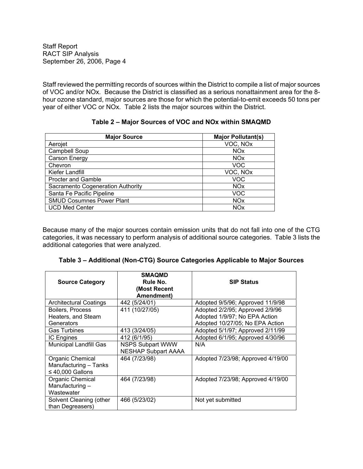Staff reviewed the permitting records of sources within the District to compile a list of major sources of VOC and/or NOx. Because the District is classified as a serious nonattainment area for the 8 hour ozone standard, major sources are those for which the potential-to-emit exceeds 50 tons per year of either VOC or NOx. Table 2 lists the major sources within the District.

| <b>Major Source</b>               | <b>Major Pollutant(s)</b> |
|-----------------------------------|---------------------------|
| Aerojet                           | VOC, NOx                  |
| Campbell Soup                     | <b>NOx</b>                |
| Carson Energy                     | <b>NOx</b>                |
| Chevron                           | VOC                       |
| Kiefer Landfill                   | VOC, NOx                  |
| <b>Procter and Gamble</b>         | VOC                       |
| Sacramento Cogeneration Authority | <b>NOx</b>                |
| Santa Fe Pacific Pipeline         | VOC                       |
| <b>SMUD Cosumnes Power Plant</b>  | <b>NOx</b>                |
| <b>UCD Med Center</b>             | <b>NOx</b>                |

## **Table 2 – Major Sources of VOC and NOx within SMAQMD**

Because many of the major sources contain emission units that do not fall into one of the CTG categories, it was necessary to perform analysis of additional source categories. Table 3 lists the additional categories that were analyzed.

|  |  | Table 3 – Additional (Non-CTG) Source Categories Applicable to Major Sources |  |
|--|--|------------------------------------------------------------------------------|--|
|--|--|------------------------------------------------------------------------------|--|

| <b>Source Category</b>                                             | <b>SMAQMD</b><br>Rule No.<br>(Most Recent<br><b>Amendment</b> ) | <b>SIP Status</b>                                                                                   |
|--------------------------------------------------------------------|-----------------------------------------------------------------|-----------------------------------------------------------------------------------------------------|
| <b>Architectural Coatings</b>                                      | 442 (5/24/01)                                                   | Adopted 9/5/96; Approved 11/9/98                                                                    |
| Boilers, Process<br>Heaters, and Steam<br>Generators               | 411 (10/27/05)                                                  | Adopted 2/2/95; Approved 2/9/96<br>Adopted 1/9/97; No EPA Action<br>Adopted 10/27/05; No EPA Action |
| <b>Gas Turbines</b>                                                | 413 (3/24/05)                                                   | Adopted 5/1/97; Approved 2/11/99                                                                    |
| <b>IC Engines</b>                                                  | 412 (6/1/95)                                                    | Adopted 6/1/95; Approved 4/30/96                                                                    |
| <b>Municipal Landfill Gas</b>                                      | <b>NSPS Subpart WWW</b><br><b>NESHAP Subpart AAAA</b>           | N/A                                                                                                 |
| Organic Chemical<br>Manufacturing - Tanks<br>$\leq$ 40,000 Gallons | 464 (7/23/98)                                                   | Adopted 7/23/98; Approved 4/19/00                                                                   |
| Organic Chemical<br>Manufacturing-<br>Wastewater                   | 464 (7/23/98)                                                   | Adopted 7/23/98; Approved 4/19/00                                                                   |
| Solvent Cleaning (other<br>than Degreasers)                        | 466 (5/23/02)                                                   | Not yet submitted                                                                                   |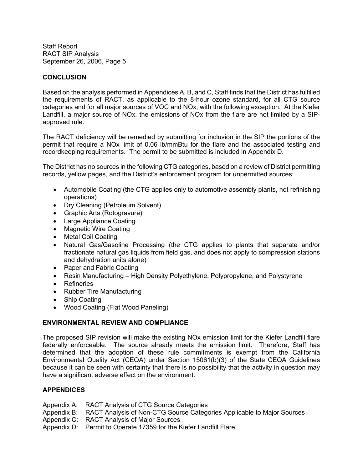## **CONCLUSION**

Based on the analysis performed in Appendices A, B, and C, Staff finds that the District has fulfilled the requirements of RACT, as applicable to the 8-hour ozone standard, for all CTG source categories and for all major sources of VOC and NOx, with the following exception. At the Kiefer Landfill, a major source of NOx, the emissions of NOx from the flare are not limited by a SIPapproved rule.

The RACT deficiency will be remedied by submitting for inclusion in the SIP the portions of the permit that require a NOx limit of 0.06 lb/mmBtu for the flare and the associated testing and recordkeeping requirements. The permit to be submitted is included in Appendix D.

The District has no sources in the following CTG categories, based on a review of District permitting records, yellow pages, and the District's enforcement program for unpermitted sources:

- Automobile Coating (the CTG applies only to automotive assembly plants, not refinishing operations)
- Dry Cleaning (Petroleum Solvent)
- Graphic Arts (Rotogravure)
- Large Appliance Coating
- Magnetic Wire Coating
- Metal Coil Coating
- Natural Gas/Gasoline Processing (the CTG applies to plants that separate and/or fractionate natural gas liquids from field gas, and does not apply to compression stations and dehydration units alone)
- Paper and Fabric Coating
- Resin Manufacturing High Density Polyethylene, Polypropylene, and Polystyrene
- Refineries
- Rubber Tire Manufacturing
- Ship Coating
- Wood Coating (Flat Wood Paneling)

## **ENVIRONMENTAL REVIEW AND COMPLIANCE**

The proposed SIP revision will make the existing NOx emission limit for the Kiefer Landfill flare federally enforceable. The source already meets the emission limit. Therefore, Staff has determined that the adoption of these rule commitments is exempt from the California Environmental Quality Act (CEQA) under Section 15061(b)(3) of the State CEQA Guidelines because it can be seen with certainty that there is no possibility that the activity in question may have a significant adverse effect on the environment.

#### **APPENDICES**

- Appendix A: RACT Analysis of CTG Source Categories
- Appendix B: RACT Analysis of Non-CTG Source Categories Applicable to Major Sources
- Appendix C: RACT Analysis of Major Sources
- Appendix D: Permit to Operate 17359 for the Kiefer Landfill Flare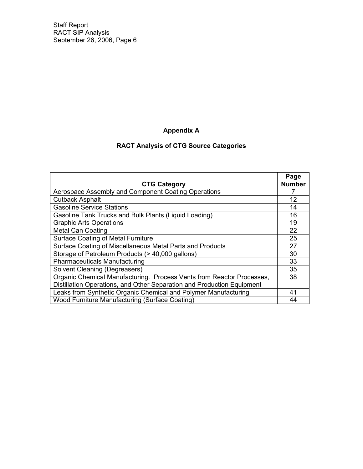# **Appendix A**

# **RACT Analysis of CTG Source Categories**

|                                                                        | Page          |
|------------------------------------------------------------------------|---------------|
| <b>CTG Category</b>                                                    | <b>Number</b> |
| Aerospace Assembly and Component Coating Operations                    |               |
| <b>Cutback Asphalt</b>                                                 | 12            |
| <b>Gasoline Service Stations</b>                                       | 14            |
| Gasoline Tank Trucks and Bulk Plants (Liquid Loading)                  | 16            |
| <b>Graphic Arts Operations</b>                                         | 19            |
| Metal Can Coating                                                      | 22            |
| <b>Surface Coating of Metal Furniture</b>                              | 25            |
| Surface Coating of Miscellaneous Metal Parts and Products              | 27            |
| Storage of Petroleum Products (> 40,000 gallons)                       | 30            |
| <b>Pharmaceuticals Manufacturing</b>                                   | 33            |
| Solvent Cleaning (Degreasers)                                          | 35            |
| Organic Chemical Manufacturing. Process Vents from Reactor Processes,  | 38            |
| Distillation Operations, and Other Separation and Production Equipment |               |
| Leaks from Synthetic Organic Chemical and Polymer Manufacturing        | 41            |
| Wood Furniture Manufacturing (Surface Coating)                         | 44            |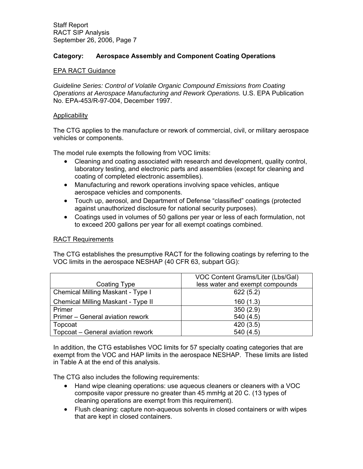## **Category: Aerospace Assembly and Component Coating Operations**

### EPA RACT Guidance

*Guideline Series: Control of Volatile Organic Compound Emissions from Coating Operations at Aerospace Manufacturing and Rework Operations.* U.S. EPA Publication No. EPA-453/R-97-004, December 1997.

### Applicability

The CTG applies to the manufacture or rework of commercial, civil, or military aerospace vehicles or components.

The model rule exempts the following from VOC limits:

- Cleaning and coating associated with research and development, quality control, laboratory testing, and electronic parts and assemblies (except for cleaning and coating of completed electronic assemblies).
- Manufacturing and rework operations involving space vehicles, antique aerospace vehicles and components.
- Touch up, aerosol, and Department of Defense "classified" coatings (protected against unauthorized disclosure for national security purposes).
- Coatings used in volumes of 50 gallons per year or less of each formulation, not to exceed 200 gallons per year for all exempt coatings combined.

#### RACT Requirements

The CTG establishes the presumptive RACT for the following coatings by referring to the VOC limits in the aerospace NESHAP (40 CFR 63, subpart GG):

|                                              | VOC Content Grams/Liter (Lbs/Gal) |  |
|----------------------------------------------|-----------------------------------|--|
| Coating Type                                 | less water and exempt compounds   |  |
| Chemical Milling Maskant - Type I            | 622(5.2)                          |  |
| Chemical Milling Maskant - Type II           | 160(1.3)                          |  |
| Primer                                       | 350(2.9)                          |  |
| Primer - General aviation rework<br>540(4.5) |                                   |  |
| Topcoat                                      | 420 (3.5)                         |  |
| Topcoat - General aviation rework            | 540 (4.5)                         |  |

In addition, the CTG establishes VOC limits for 57 specialty coating categories that are exempt from the VOC and HAP limits in the aerospace NESHAP. These limits are listed in Table A at the end of this analysis.

The CTG also includes the following requirements:

- Hand wipe cleaning operations: use aqueous cleaners or cleaners with a VOC composite vapor pressure no greater than 45 mmHg at 20 C. (13 types of cleaning operations are exempt from this requirement).
- Flush cleaning: capture non-aqueous solvents in closed containers or with wipes that are kept in closed containers.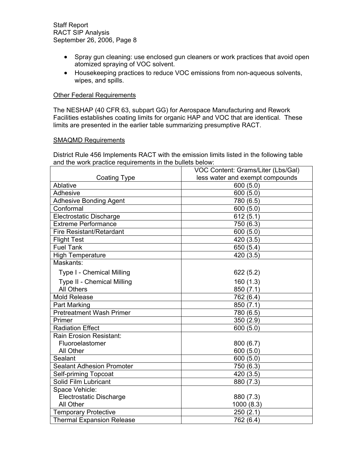- Spray gun cleaning: use enclosed gun cleaners or work practices that avoid open atomized spraying of VOC solvent.
- Housekeeping practices to reduce VOC emissions from non-aqueous solvents, wipes, and spills.

#### **Other Federal Requirements**

The NESHAP (40 CFR 63, subpart GG) for Aerospace Manufacturing and Rework Facilities establishes coating limits for organic HAP and VOC that are identical. These limits are presented in the earlier table summarizing presumptive RACT.

#### SMAQMD Requirements

District Rule 456 Implements RACT with the emission limits listed in the following table and the work practice requirements in the bullets below:

|                                  | VOC Content: Grams/Liter (Lbs/Gal) |  |
|----------------------------------|------------------------------------|--|
| Coating Type                     | less water and exempt compounds    |  |
| Ablative                         | 600(5.0)                           |  |
| Adhesive                         | 600(5.0)                           |  |
| <b>Adhesive Bonding Agent</b>    | 780 (6.5)                          |  |
| Conformal                        | 600(5.0)                           |  |
| <b>Electrostatic Discharge</b>   | 612(5.1)                           |  |
| <b>Extreme Performance</b>       | 750 (6.3)                          |  |
| <b>Fire Resistant/Retardant</b>  | 600(5.0)                           |  |
| <b>Flight Test</b>               | 420 (3.5)                          |  |
| <b>Fuel Tank</b>                 | 650 (5.4)                          |  |
| <b>High Temperature</b>          | 420 (3.5)                          |  |
| Maskants:                        |                                    |  |
| Type I - Chemical Milling        | 622(5.2)                           |  |
| Type II - Chemical Milling       | 160 (1.3)                          |  |
| <b>All Others</b>                | 850 (7.1)                          |  |
| <b>Mold Release</b>              | 762 (6.4)                          |  |
| Part Marking                     | 850 (7.1)                          |  |
| <b>Pretreatment Wash Primer</b>  | 780 (6.5)                          |  |
| Primer                           | 350(2.9)                           |  |
| <b>Radiation Effect</b>          | 600(5.0)                           |  |
| Rain Erosion Resistant:          |                                    |  |
| Fluoroelastomer                  | 800 (6.7)                          |  |
| All Other                        | 600(5.0)                           |  |
| Sealant                          | 600 (5.0)                          |  |
| <b>Sealant Adhesion Promoter</b> | 750 (6.3)                          |  |
| Self-priming Topcoat             | 420 (3.5)                          |  |
| Solid Film Lubricant             | 880 (7.3)                          |  |
| Space Vehicle:                   |                                    |  |
| Electrostatic Discharge          | 880 (7.3)                          |  |
| All Other                        | 1000 (8.3)                         |  |
| <b>Temporary Protective</b>      | 250(2.1)                           |  |
| <b>Thermal Expansion Release</b> | 762 (6.4)                          |  |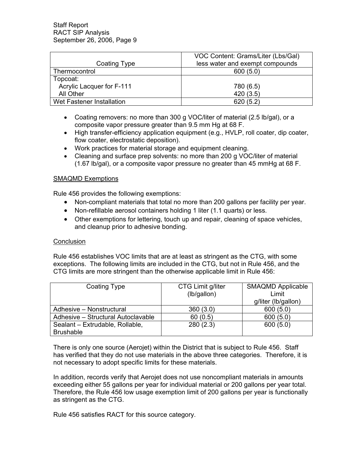|                                                 | VOC Content: Grams/Liter (Lbs/Gal) |  |
|-------------------------------------------------|------------------------------------|--|
| less water and exempt compounds<br>Coating Type |                                    |  |
| Thermocontrol                                   | 600(5.0)                           |  |
| Topcoat:                                        |                                    |  |
| Acrylic Lacquer for F-111                       | 780 (6.5)                          |  |
| All Other                                       | 420 (3.5)                          |  |
| Wet Fastener Installation                       | 620(5.2)                           |  |

- Coating removers: no more than 300 g VOC/liter of material (2.5 lb/gal), or a composite vapor pressure greater than 9.5 mm Hg at 68 F.
- High transfer-efficiency application equipment (e.g., HVLP, roll coater, dip coater, flow coater, electrostatic deposition).
- Work practices for material storage and equipment cleaning.
- Cleaning and surface prep solvents: no more than 200 g VOC/liter of material (1.67 lb/gal), or a composite vapor pressure no greater than 45 mmHg at 68 F.

## SMAQMD Exemptions

Rule 456 provides the following exemptions:

- Non-compliant materials that total no more than 200 gallons per facility per year.
- Non-refillable aerosol containers holding 1 liter (1.1 quarts) or less.
- Other exemptions for lettering, touch up and repair, cleaning of space vehicles, and cleanup prior to adhesive bonding.

#### **Conclusion**

Rule 456 establishes VOC limits that are at least as stringent as the CTG, with some exceptions. The following limits are included in the CTG, but not in Rule 456, and the CTG limits are more stringent than the otherwise applicable limit in Rule 456:

| Coating Type                       | CTG Limit g/liter | <b>SMAQMD Applicable</b> |
|------------------------------------|-------------------|--------------------------|
|                                    | (lb/gallon)       | Limit                    |
|                                    |                   | g/liter (lb/gallon)      |
| Adhesive - Nonstructural           | 360(3.0)          | 600(5.0)                 |
| Adhesive - Structural Autoclavable | 60(0.5)           | 600(5.0)                 |
| Sealant - Extrudable, Rollable,    | 280(2.3)          | 600(5.0)                 |
| <b>Brushable</b>                   |                   |                          |

There is only one source (Aerojet) within the District that is subject to Rule 456. Staff has verified that they do not use materials in the above three categories. Therefore, it is not necessary to adopt specific limits for these materials.

In addition, records verify that Aerojet does not use noncompliant materials in amounts exceeding either 55 gallons per year for individual material or 200 gallons per year total. Therefore, the Rule 456 low usage exemption limit of 200 gallons per year is functionally as stringent as the CTG.

Rule 456 satisfies RACT for this source category.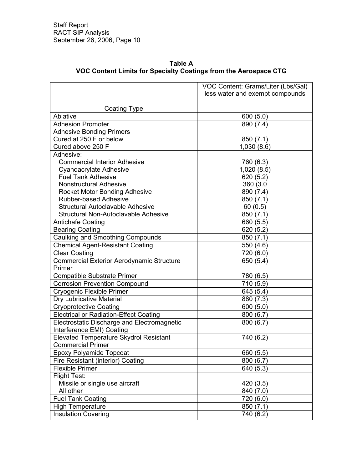|                                                  | VOC Content: Grams/Liter (Lbs/Gal) |
|--------------------------------------------------|------------------------------------|
|                                                  | less water and exempt compounds    |
|                                                  |                                    |
| Coating Type                                     |                                    |
| Ablative                                         | 600(5.0)                           |
| <b>Adhesion Promoter</b>                         | 890 (7.4)                          |
| <b>Adhesive Bonding Primers</b>                  |                                    |
| Cured at 250 F or below                          | 850(7.1)                           |
| Cured above 250 F                                | 1,030(8.6)                         |
| Adhesive:                                        |                                    |
| <b>Commercial Interior Adhesive</b>              | 760 (6.3)                          |
| Cyanoacrylate Adhesive                           | 1,020(8.5)                         |
| <b>Fuel Tank Adhesive</b>                        | 620 (5.2)                          |
| <b>Nonstructural Adhesive</b>                    | 360 (3.0                           |
| <b>Rocket Motor Bonding Adhesive</b>             | 890 (7.4)                          |
| Rubber-based Adhesive                            | 850 (7.1)                          |
| Structural Autoclavable Adhesive                 | 60(0.5)                            |
| Structural Non-Autoclavable Adhesive             | 850 (7.1)                          |
| <b>Antichafe Coating</b>                         | 660 (5.5)                          |
| <b>Bearing Coating</b>                           | $\overline{6}20(5.2)$              |
| <b>Caulking and Smoothing Compounds</b>          | 850(7.1)                           |
| <b>Chemical Agent-Resistant Coating</b>          | 550 (4.6)                          |
| <b>Clear Coating</b>                             | 720 (6.0)                          |
| <b>Commercial Exterior Aerodynamic Structure</b> | 650 (5.4)                          |
| Primer                                           |                                    |
| <b>Compatible Substrate Primer</b>               | 780 (6.5)                          |
| <b>Corrosion Prevention Compound</b>             | 710 (5.9)                          |
| Cryogenic Flexible Primer                        | 645 (5.4)                          |
| Dry Lubricative Material                         | 880 (7.3)                          |
| <b>Cryoprotective Coating</b>                    | 600(5.0)                           |
| <b>Electrical or Radiation-Effect Coating</b>    | 800 (6.7)                          |
| Electrostatic Discharge and Electromagnetic      | 800(6.7)                           |
| Interference EMI) Coating                        |                                    |
| <b>Elevated Temperature Skydrol Resistant</b>    | 740 (6.2)                          |
| <b>Commercial Primer</b>                         |                                    |
| <b>Epoxy Polyamide Topcoat</b>                   | 660 (5.5)                          |
| Fire Resistant (interior) Coating                | 800 (6.7)                          |
| <b>Flexible Primer</b>                           | 640 (5.3)                          |
| <b>Flight Test:</b>                              |                                    |
| Missile or single use aircraft                   | 420 (3.5)                          |
| All other                                        | 840 (7.0)                          |
| <b>Fuel Tank Coating</b>                         | 720 (6.0)                          |
| <b>High Temperature</b>                          | 850 (7.1)                          |
| <b>Insulation Covering</b>                       | $\overline{7}$ 40 (6.2)            |
|                                                  |                                    |

**Table A VOC Content Limits for Specialty Coatings from the Aerospace CTG**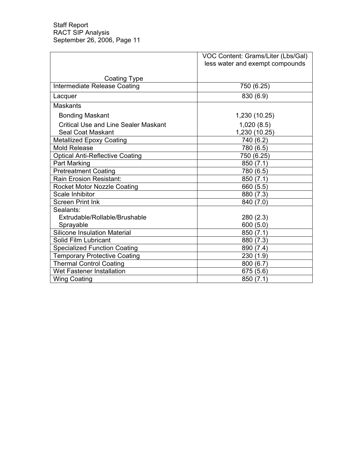|                                             | VOC Content: Grams/Liter (Lbs/Gal) |  |
|---------------------------------------------|------------------------------------|--|
|                                             | less water and exempt compounds    |  |
|                                             |                                    |  |
| Coating Type                                |                                    |  |
| Intermediate Release Coating                | 750 (6.25)                         |  |
| Lacquer                                     | 830 (6.9)                          |  |
| <b>Maskants</b>                             |                                    |  |
| <b>Bonding Maskant</b>                      | 1,230 (10.25)                      |  |
| <b>Critical Use and Line Sealer Maskant</b> | 1,020(8.5)                         |  |
| Seal Coat Maskant                           | 1,230 (10.25)                      |  |
| <b>Metallized Epoxy Coating</b>             | 740 (6.2)                          |  |
| <b>Mold Release</b>                         | 780 (6.5)                          |  |
| <b>Optical Anti-Reflective Coating</b>      | 750 (6.25)                         |  |
| <b>Part Marking</b>                         | 850 (7.1)                          |  |
| <b>Pretreatment Coating</b>                 | 780 (6.5)                          |  |
| Rain Erosion Resistant:                     | 850 (7.1)                          |  |
| <b>Rocket Motor Nozzle Coating</b>          | 660 (5.5)                          |  |
| Scale Inhibitor                             | 880 (7.3)                          |  |
| <b>Screen Print Ink</b>                     | 840 (7.0)                          |  |
| Sealants:                                   |                                    |  |
| Extrudable/Rollable/Brushable               | 280 (2.3)                          |  |
| Sprayable                                   | 600 (5.0)                          |  |
| Silicone Insulation Material                | 850 (7.1)                          |  |
| Solid Film Lubricant                        | 880 (7.3)                          |  |
| <b>Specialized Function Coating</b>         | 890 (7.4)                          |  |
| <b>Temporary Protective Coating</b>         | 230 (1.9)                          |  |
| <b>Thermal Control Coating</b>              | 800(6.7)                           |  |
| Wet Fastener Installation                   | 675 (5.6)                          |  |
| <b>Wing Coating</b>                         | 850 (7.1)                          |  |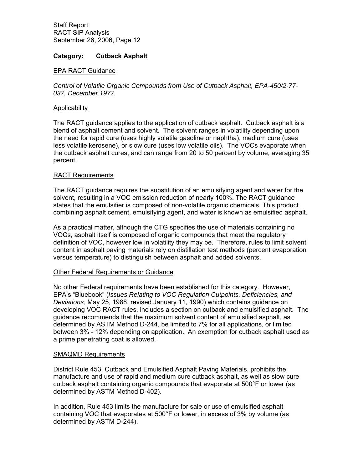## **Category: Cutback Asphalt**

#### EPA RACT Guidance

*Control of Volatile Organic Compounds from Use of Cutback Asphalt, EPA-450/2-77- 037, December 1977.* 

#### **Applicability**

The RACT guidance applies to the application of cutback asphalt. Cutback asphalt is a blend of asphalt cement and solvent. The solvent ranges in volatility depending upon the need for rapid cure (uses highly volatile gasoline or naphtha), medium cure (uses less volatile kerosene), or slow cure (uses low volatile oils). The VOCs evaporate when the cutback asphalt cures, and can range from 20 to 50 percent by volume, averaging 35 percent.

#### RACT Requirements

The RACT guidance requires the substitution of an emulsifying agent and water for the solvent, resulting in a VOC emission reduction of nearly 100%. The RACT guidance states that the emulsifier is composed of non-volatile organic chemicals. This product combining asphalt cement, emulsifying agent, and water is known as emulsified asphalt.

As a practical matter, although the CTG specifies the use of materials containing no VOCs, asphalt itself is composed of organic compounds that meet the regulatory definition of VOC, however low in volatility they may be. Therefore, rules to limit solvent content in asphalt paving materials rely on distillation test methods (percent evaporation versus temperature) to distinguish between asphalt and added solvents.

#### Other Federal Requirements or Guidance

No other Federal requirements have been established for this category. However, EPA's "Bluebook" (*Issues Relating to VOC Regulation Cutpoints, Deficiencies, and Deviations*, May 25, 1988, revised January 11, 1990) which contains guidance on developing VOC RACT rules, includes a section on cutback and emulsified asphalt. The guidance recommends that the maximum solvent content of emulsified asphalt, as determined by ASTM Method D-244, be limited to 7% for all applications, or limited between 3% - 12% depending on application. An exemption for cutback asphalt used as a prime penetrating coat is allowed.

#### SMAQMD Requirements

District Rule 453, Cutback and Emulsified Asphalt Paving Materials, prohibits the manufacture and use of rapid and medium cure cutback asphalt, as well as slow cure cutback asphalt containing organic compounds that evaporate at 500°F or lower (as determined by ASTM Method D-402).

In addition, Rule 453 limits the manufacture for sale or use of emulsified asphalt containing VOC that evaporates at 500°F or lower, in excess of 3% by volume (as determined by ASTM D-244).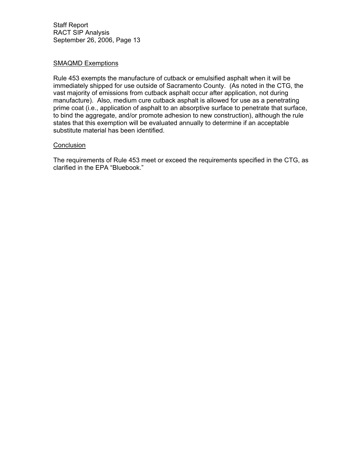### SMAQMD Exemptions

Rule 453 exempts the manufacture of cutback or emulsified asphalt when it will be immediately shipped for use outside of Sacramento County. (As noted in the CTG, the vast majority of emissions from cutback asphalt occur after application, not during manufacture). Also, medium cure cutback asphalt is allowed for use as a penetrating prime coat (i.e., application of asphalt to an absorptive surface to penetrate that surface, to bind the aggregate, and/or promote adhesion to new construction), although the rule states that this exemption will be evaluated annually to determine if an acceptable substitute material has been identified.

#### **Conclusion**

The requirements of Rule 453 meet or exceed the requirements specified in the CTG, as clarified in the EPA "Bluebook."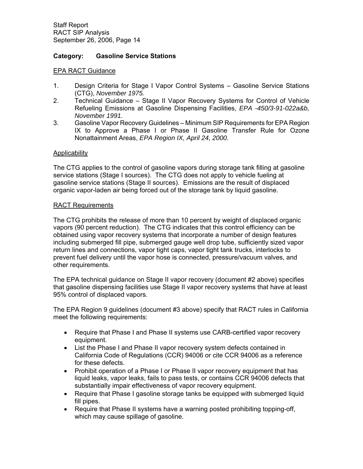## **Category: Gasoline Service Stations**

EPA RACT Guidance

- 1. Design Criteria for Stage I Vapor Control Systems Gasoline Service Stations (CTG), *November 1975.*
- 2. Technical Guidance Stage II Vapor Recovery Systems for Control of Vehicle Refueling Emissions at Gasoline Dispensing Facilities, *EPA -450/3-91-022a&b, November 1991.*
- 3. Gasoline Vapor Recovery Guidelines Minimum SIP Requirements for EPA Region IX to Approve a Phase I or Phase II Gasoline Transfer Rule for Ozone Nonattainment Areas, *EPA Region IX, April 24, 2000*.

## **Applicability**

The CTG applies to the control of gasoline vapors during storage tank filling at gasoline service stations (Stage I sources). The CTG does not apply to vehicle fueling at gasoline service stations (Stage II sources). Emissions are the result of displaced organic vapor-laden air being forced out of the storage tank by liquid gasoline.

#### RACT Requirements

The CTG prohibits the release of more than 10 percent by weight of displaced organic vapors (90 percent reduction). The CTG indicates that this control efficiency can be obtained using vapor recovery systems that incorporate a number of design features including submerged fill pipe, submerged gauge well drop tube, sufficiently sized vapor return lines and connections, vapor tight caps, vapor tight tank trucks, interlocks to prevent fuel delivery until the vapor hose is connected, pressure/vacuum valves, and other requirements.

The EPA technical guidance on Stage II vapor recovery (document #2 above) specifies that gasoline dispensing facilities use Stage II vapor recovery systems that have at least 95% control of displaced vapors.

The EPA Region 9 guidelines (document #3 above) specify that RACT rules in California meet the following requirements:

- Require that Phase I and Phase II systems use CARB-certified vapor recovery equipment.
- List the Phase I and Phase II vapor recovery system defects contained in California Code of Regulations (CCR) 94006 or cite CCR 94006 as a reference for these defects.
- Prohibit operation of a Phase I or Phase II vapor recovery equipment that has liquid leaks, vapor leaks, fails to pass tests, or contains CCR 94006 defects that substantially impair effectiveness of vapor recovery equipment.
- Require that Phase I gasoline storage tanks be equipped with submerged liquid fill pipes.
- Require that Phase II systems have a warning posted prohibiting topping-off, which may cause spillage of gasoline.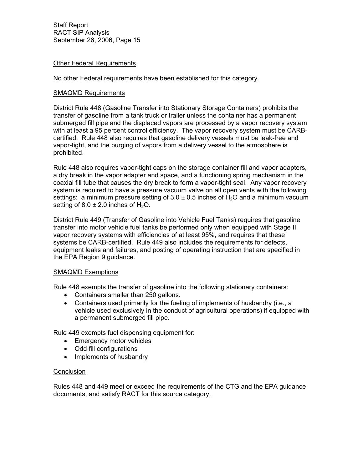## Other Federal Requirements

No other Federal requirements have been established for this category.

#### SMAQMD Requirements

District Rule 448 (Gasoline Transfer into Stationary Storage Containers) prohibits the transfer of gasoline from a tank truck or trailer unless the container has a permanent submerged fill pipe and the displaced vapors are processed by a vapor recovery system with at least a 95 percent control efficiency. The vapor recovery system must be CARBcertified. Rule 448 also requires that gasoline delivery vessels must be leak-free and vapor-tight, and the purging of vapors from a delivery vessel to the atmosphere is prohibited.

Rule 448 also requires vapor-tight caps on the storage container fill and vapor adapters, a dry break in the vapor adapter and space, and a functioning spring mechanism in the coaxial fill tube that causes the dry break to form a vapor-tight seal. Any vapor recovery system is required to have a pressure vacuum valve on all open vents with the following settings: a minimum pressure setting of  $3.0 \pm 0.5$  inches of H<sub>2</sub>O and a minimum vacuum setting of  $8.0 \pm 2.0$  inches of  $H_2O$ .

District Rule 449 (Transfer of Gasoline into Vehicle Fuel Tanks) requires that gasoline transfer into motor vehicle fuel tanks be performed only when equipped with Stage II vapor recovery systems with efficiencies of at least 95%, and requires that these systems be CARB-certified. Rule 449 also includes the requirements for defects, equipment leaks and failures, and posting of operating instruction that are specified in the EPA Region 9 guidance.

#### SMAQMD Exemptions

Rule 448 exempts the transfer of gasoline into the following stationary containers:

- Containers smaller than 250 gallons.
- Containers used primarily for the fueling of implements of husbandry (i.e., a vehicle used exclusively in the conduct of agricultural operations) if equipped with a permanent submerged fill pipe.

Rule 449 exempts fuel dispensing equipment for:

- Emergency motor vehicles
- Odd fill configurations
- Implements of husbandry

#### **Conclusion**

Rules 448 and 449 meet or exceed the requirements of the CTG and the EPA guidance documents, and satisfy RACT for this source category.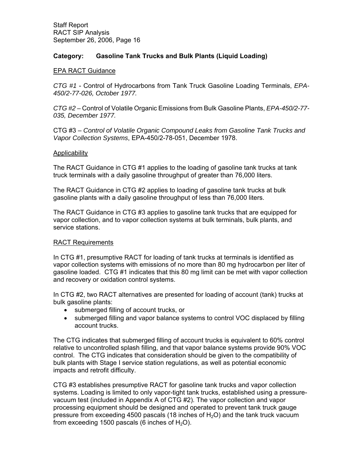## **Category: Gasoline Tank Trucks and Bulk Plants (Liquid Loading)**

#### EPA RACT Guidance

*CTG #1* - Control of Hydrocarbons from Tank Truck Gasoline Loading Terminals, *EPA-450/2-77-026, October 1977.*

*CTG #2 –* Control of Volatile Organic Emissions from Bulk Gasoline Plants, *EPA-450/2-77- 035, December 1977.* 

CTG #3 – *Control of Volatile Organic Compound Leaks from Gasoline Tank Trucks and Vapor Collection Systems*, EPA-450/2-78-051, December 1978.

#### **Applicability**

The RACT Guidance in CTG #1 applies to the loading of gasoline tank trucks at tank truck terminals with a daily gasoline throughput of greater than 76,000 liters.

The RACT Guidance in CTG #2 applies to loading of gasoline tank trucks at bulk gasoline plants with a daily gasoline throughput of less than 76,000 liters.

The RACT Guidance in CTG #3 applies to gasoline tank trucks that are equipped for vapor collection, and to vapor collection systems at bulk terminals, bulk plants, and service stations.

#### RACT Requirements

In CTG #1, presumptive RACT for loading of tank trucks at terminals is identified as vapor collection systems with emissions of no more than 80 mg hydrocarbon per liter of gasoline loaded. CTG #1 indicates that this 80 mg limit can be met with vapor collection and recovery or oxidation control systems.

In CTG #2, two RACT alternatives are presented for loading of account (tank) trucks at bulk gasoline plants:

- submerged filling of account trucks, or
- submerged filling and vapor balance systems to control VOC displaced by filling account trucks.

The CTG indicates that submerged filling of account trucks is equivalent to 60% control relative to uncontrolled splash filling, and that vapor balance systems provide 90% VOC control. The CTG indicates that consideration should be given to the compatibility of bulk plants with Stage I service station regulations, as well as potential economic impacts and retrofit difficulty.

CTG #3 establishes presumptive RACT for gasoline tank trucks and vapor collection systems. Loading is limited to only vapor-tight tank trucks, established using a pressurevacuum test (included in Appendix A of CTG #2). The vapor collection and vapor processing equipment should be designed and operated to prevent tank truck gauge pressure from exceeding 4500 pascals (18 inches of  $H_2O$ ) and the tank truck vacuum from exceeding 1500 pascals (6 inches of  $H_2O$ ).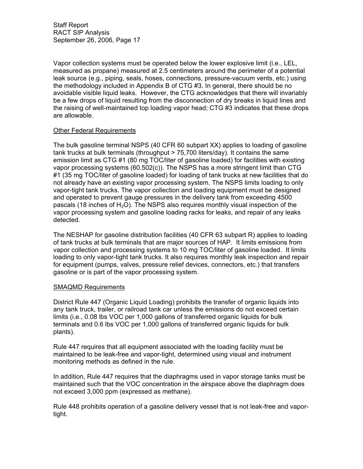Vapor collection systems must be operated below the lower explosive limit (i.e., LEL, measured as propane) measured at 2.5 centimeters around the perimeter of a potential leak source (e.g., piping, seals, hoses, connections, pressure-vacuum vents, etc.) using the methodology included in Appendix B of CTG #3. In general, there should be no avoidable visible liquid leaks. However, the CTG acknowledges that there will invariably be a few drops of liquid resulting from the disconnection of dry breaks in liquid lines and the raising of well-maintained top loading vapor head; CTG #3 indicates that these drops are allowable.

## Other Federal Requirements

The bulk gasoline terminal NSPS (40 CFR 60 subpart XX) applies to loading of gasoline tank trucks at bulk terminals (throughput > 75,700 liters/day). It contains the same emission limit as CTG #1 (80 mg TOC/liter of gasoline loaded) for facilities with existing vapor processing systems (60.502(c)). The NSPS has a more stringent limit than CTG #1 (35 mg TOC/liter of gasoline loaded) for loading of tank trucks at new facilities that do not already have an existing vapor processing system. The NSPS limits loading to only vapor-tight tank trucks. The vapor collection and loading equipment must be designed and operated to prevent gauge pressures in the delivery tank from exceeding 4500 pascals (18 inches of  $H_2O$ ). The NSPS also requires monthly visual inspection of the vapor processing system and gasoline loading racks for leaks, and repair of any leaks detected.

The NESHAP for gasoline distribution facilities (40 CFR 63 subpart R) applies to loading of tank trucks at bulk terminals that are major sources of HAP. It limits emissions from vapor collection and processing systems to 10 mg TOC/liter of gasoline loaded. It limits loading to only vapor-tight tank trucks. It also requires monthly leak inspection and repair for equipment (pumps, valves, pressure relief devices, connectors, etc.) that transfers gasoline or is part of the vapor processing system.

#### SMAQMD Requirements

District Rule 447 (Organic Liquid Loading) prohibits the transfer of organic liquids into any tank truck, trailer, or railroad tank car unless the emissions do not exceed certain limits (i.e., 0.08 lbs VOC per 1,000 gallons of transferred organic liquids for bulk terminals and 0.6 lbs VOC per 1,000 gallons of transferred organic liquids for bulk plants).

Rule 447 requires that all equipment associated with the loading facility must be maintained to be leak-free and vapor-tight, determined using visual and instrument monitoring methods as defined in the rule.

In addition, Rule 447 requires that the diaphragms used in vapor storage tanks must be maintained such that the VOC concentration in the airspace above the diaphragm does not exceed 3,000 ppm (expressed as methane).

Rule 448 prohibits operation of a gasoline delivery vessel that is not leak-free and vaportight.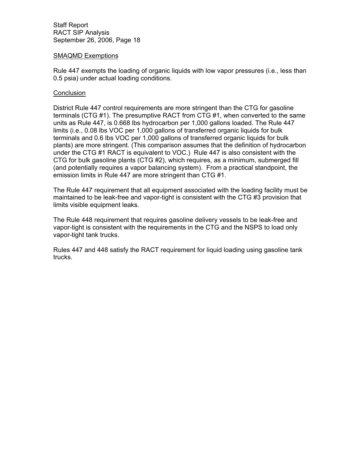#### SMAQMD Exemptions

Rule 447 exempts the loading of organic liquids with low vapor pressures (i.e., less than 0.5 psia) under actual loading conditions.

#### **Conclusion**

District Rule 447 control requirements are more stringent than the CTG for gasoline terminals (CTG #1). The presumptive RACT from CTG #1, when converted to the same units as Rule 447, is 0.668 lbs hydrocarbon per 1,000 gallons loaded. The Rule 447 limits (i.e., 0.08 lbs VOC per 1,000 gallons of transferred organic liquids for bulk terminals and 0.6 lbs VOC per 1,000 gallons of transferred organic liquids for bulk plants) are more stringent. (This comparison assumes that the definition of hydrocarbon under the CTG #1 RACT is equivalent to VOC.) Rule 447 is also consistent with the CTG for bulk gasoline plants (CTG #2), which requires, as a minimum, submerged fill (and potentially requires a vapor balancing system). From a practical standpoint, the emission limits in Rule 447 are more stringent than CTG #1.

The Rule 447 requirement that all equipment associated with the loading facility must be maintained to be leak-free and vapor-tight is consistent with the CTG #3 provision that limits visible equipment leaks.

The Rule 448 requirement that requires gasoline delivery vessels to be leak-free and vapor-tight is consistent with the requirements in the CTG and the NSPS to load only vapor-tight tank trucks.

Rules 447 and 448 satisfy the RACT requirement for liquid loading using gasoline tank trucks.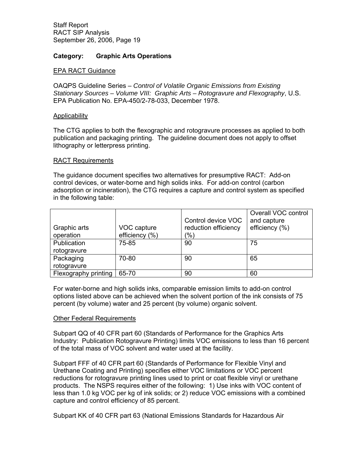## **Category: Graphic Arts Operations**

#### EPA RACT Guidance

OAQPS Guideline Series – *Control of Volatile Organic Emissions from Existing Stationary Sources – Volume VIII: Graphic Arts – Rotogravure and Flexography*, U.S. EPA Publication No. EPA-450/2-78-033, December 1978.

#### Applicability

The CTG applies to both the flexographic and rotogravure processes as applied to both publication and packaging printing. The guideline document does not apply to offset lithography or letterpress printing.

#### RACT Requirements

The guidance document specifies two alternatives for presumptive RACT: Add-on control devices, or water-borne and high solids inks. For add-on control (carbon adsorption or incineration), the CTG requires a capture and control system as specified in the following table:

| Graphic arts<br>operation | VOC capture<br>efficiency (%) | Control device VOC<br>reduction efficiency<br>$\frac{1}{2}$ | Overall VOC control<br>and capture<br>efficiency (%) |
|---------------------------|-------------------------------|-------------------------------------------------------------|------------------------------------------------------|
| Publication               | 75-85                         | 90                                                          | 75                                                   |
| rotogravure               |                               |                                                             |                                                      |
| Packaging                 | 70-80                         | 90                                                          | 65                                                   |
| rotogravure               |                               |                                                             |                                                      |
| Flexography printing      | 65-70                         | 90                                                          | 60                                                   |

For water-borne and high solids inks, comparable emission limits to add-on control options listed above can be achieved when the solvent portion of the ink consists of 75 percent (by volume) water and 25 percent (by volume) organic solvent.

#### Other Federal Requirements

Subpart QQ of 40 CFR part 60 (Standards of Performance for the Graphics Arts Industry: Publication Rotogravure Printing) limits VOC emissions to less than 16 percent of the total mass of VOC solvent and water used at the facility.

Subpart FFF of 40 CFR part 60 (Standards of Performance for Flexible Vinyl and Urethane Coating and Printing) specifies either VOC limitations or VOC percent reductions for rotogravure printing lines used to print or coat flexible vinyl or urethane products. The NSPS requires either of the following: 1) Use inks with VOC content of less than 1.0 kg VOC per kg of ink solids; or 2) reduce VOC emissions with a combined capture and control efficiency of 85 percent.

Subpart KK of 40 CFR part 63 (National Emissions Standards for Hazardous Air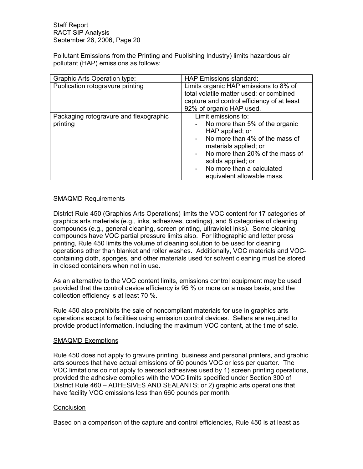Pollutant Emissions from the Printing and Publishing Industry) limits hazardous air pollutant (HAP) emissions as follows:

| <b>Graphic Arts Operation type:</b>                | <b>HAP Emissions standard:</b>                                                                                                                                                                                                                          |  |
|----------------------------------------------------|---------------------------------------------------------------------------------------------------------------------------------------------------------------------------------------------------------------------------------------------------------|--|
| Publication rotogravure printing                   | Limits organic HAP emissions to 8% of<br>total volatile matter used; or combined<br>capture and control efficiency of at least<br>92% of organic HAP used.                                                                                              |  |
| Packaging rotogravure and flexographic<br>printing | Limit emissions to:<br>No more than 5% of the organic<br>HAP applied; or<br>No more than 4% of the mass of<br>materials applied; or<br>No more than 20% of the mass of<br>solids applied; or<br>No more than a calculated<br>equivalent allowable mass. |  |

## SMAQMD Requirements

District Rule 450 (Graphics Arts Operations) limits the VOC content for 17 categories of graphics arts materials (e.g., inks, adhesives, coatings), and 8 categories of cleaning compounds (e.g., general cleaning, screen printing, ultraviolet inks). Some cleaning compounds have VOC partial pressure limits also. For lithographic and letter press printing, Rule 450 limits the volume of cleaning solution to be used for cleaning operations other than blanket and roller washes. Additionally, VOC materials and VOCcontaining cloth, sponges, and other materials used for solvent cleaning must be stored in closed containers when not in use.

As an alternative to the VOC content limits, emissions control equipment may be used provided that the control device efficiency is 95 % or more on a mass basis, and the collection efficiency is at least 70 %.

Rule 450 also prohibits the sale of noncompliant materials for use in graphics arts operations except to facilities using emission control devices. Sellers are required to provide product information, including the maximum VOC content, at the time of sale.

#### SMAQMD Exemptions

Rule 450 does not apply to gravure printing, business and personal printers, and graphic arts sources that have actual emissions of 60 pounds VOC or less per quarter. The VOC limitations do not apply to aerosol adhesives used by 1) screen printing operations, provided the adhesive complies with the VOC limits specified under Section 300 of District Rule 460 – ADHESIVES AND SEALANTS; or 2) graphic arts operations that have facility VOC emissions less than 660 pounds per month.

#### **Conclusion**

Based on a comparison of the capture and control efficiencies, Rule 450 is at least as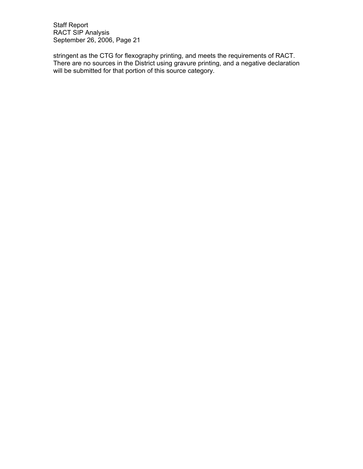stringent as the CTG for flexography printing, and meets the requirements of RACT. There are no sources in the District using gravure printing, and a negative declaration will be submitted for that portion of this source category.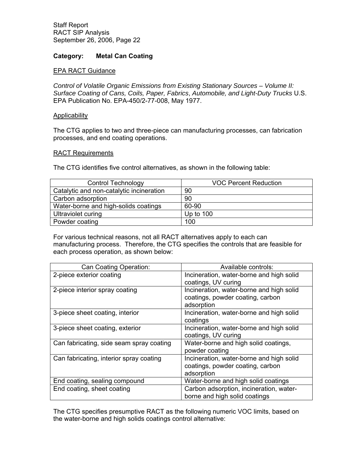## **Category: Metal Can Coating**

### EPA RACT Guidance

*Control of Volatile Organic Emissions from Existing Stationary Sources – Volume II: Surface Coating of Cans, Coils, Paper, Fabrics*, *Automobile, and Light-Duty Trucks* U.S. EPA Publication No. EPA-450/2-77-008, May 1977.

### **Applicability**

The CTG applies to two and three-piece can manufacturing processes, can fabrication processes, and end coating operations.

#### RACT Requirements

The CTG identifies five control alternatives, as shown in the following table:

| Control Technology                       | <b>VOC Percent Reduction</b> |
|------------------------------------------|------------------------------|
| Catalytic and non-catalytic incineration | 90                           |
| Carbon adsorption                        | 90                           |
| Water-borne and high-solids coatings     | 60-90                        |
| Ultraviolet curing                       | Up to $100$                  |
| Powder coating                           | 100                          |

For various technical reasons, not all RACT alternatives apply to each can manufacturing process. Therefore, the CTG specifies the controls that are feasible for each process operation, as shown below:

| Can Coating Operation:                   | Available controls:                                                                        |
|------------------------------------------|--------------------------------------------------------------------------------------------|
| 2-piece exterior coating                 | Incineration, water-borne and high solid<br>coatings, UV curing                            |
| 2-piece interior spray coating           | Incineration, water-borne and high solid<br>coatings, powder coating, carbon<br>adsorption |
| 3-piece sheet coating, interior          | Incineration, water-borne and high solid<br>coatings                                       |
| 3-piece sheet coating, exterior          | Incineration, water-borne and high solid<br>coatings, UV curing                            |
| Can fabricating, side seam spray coating | Water-borne and high solid coatings,<br>powder coating                                     |
| Can fabricating, interior spray coating  | Incineration, water-borne and high solid<br>coatings, powder coating, carbon<br>adsorption |
| End coating, sealing compound            | Water-borne and high solid coatings                                                        |
| End coating, sheet coating               | Carbon adsorption, incineration, water-<br>borne and high solid coatings                   |

The CTG specifies presumptive RACT as the following numeric VOC limits, based on the water-borne and high solids coatings control alternative: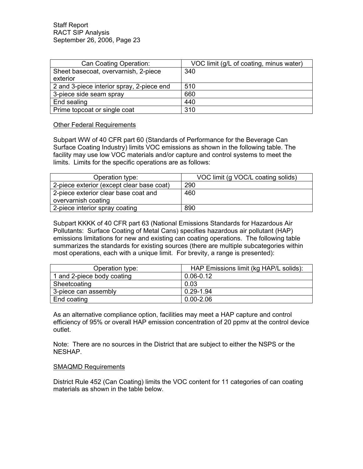| Can Coating Operation:                           | VOC limit (g/L of coating, minus water) |
|--------------------------------------------------|-----------------------------------------|
| Sheet basecoat, overvarnish, 2-piece<br>exterior | 340                                     |
| 2 and 3-piece interior spray, 2-piece end        | 510                                     |
| 3-piece side seam spray                          | 660                                     |
| End sealing                                      | 440                                     |
| Prime topcoat or single coat                     | 310                                     |

#### Other Federal Requirements

Subpart WW of 40 CFR part 60 (Standards of Performance for the Beverage Can Surface Coating Industry) limits VOC emissions as shown in the following table. The facility may use low VOC materials and/or capture and control systems to meet the limits. Limits for the specific operations are as follows:

| Operation type:                           | VOC limit (g VOC/L coating solids) |
|-------------------------------------------|------------------------------------|
| 2-piece exterior (except clear base coat) | 290                                |
| 2-piece exterior clear base coat and      | 460                                |
| overvarnish coating                       |                                    |
| 2-piece interior spray coating            | 890                                |

Subpart KKKK of 40 CFR part 63 (National Emissions Standards for Hazardous Air Pollutants: Surface Coating of Metal Cans) specifies hazardous air pollutant (HAP) emissions limitations for new and existing can coating operations. The following table summarizes the standards for existing sources (there are multiple subcategories within most operations, each with a unique limit. For brevity, a range is presented):

| Operation type:            | HAP Emissions limit (kg HAP/L solids): |
|----------------------------|----------------------------------------|
| 1 and 2-piece body coating | $0.06 - 0.12$                          |
| Sheetcoating               | 0.03                                   |
| 3-piece can assembly       | $0.29 - 1.94$                          |
| End coating                | $0.00 - 2.06$                          |

As an alternative compliance option, facilities may meet a HAP capture and control efficiency of 95% or overall HAP emission concentration of 20 ppmv at the control device outlet.

Note: There are no sources in the District that are subject to either the NSPS or the NESHAP.

#### SMAQMD Requirements

District Rule 452 (Can Coating) limits the VOC content for 11 categories of can coating materials as shown in the table below.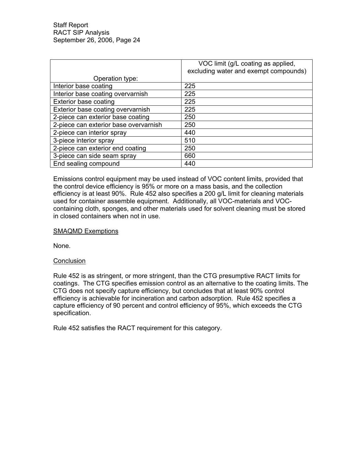|                                       | VOC limit (g/L coating as applied,<br>excluding water and exempt compounds) |
|---------------------------------------|-----------------------------------------------------------------------------|
| Operation type:                       |                                                                             |
| Interior base coating                 | 225                                                                         |
| Interior base coating overvarnish     | 225                                                                         |
| <b>Exterior base coating</b>          | 225                                                                         |
| Exterior base coating overvarnish     | 225                                                                         |
| 2-piece can exterior base coating     | 250                                                                         |
| 2-piece can exterior base overvarnish | 250                                                                         |
| 2-piece can interior spray            | 440                                                                         |
| 3-piece interior spray                | 510                                                                         |
| 2-piece can exterior end coating      | 250                                                                         |
| 3-piece can side seam spray           | 660                                                                         |
| End sealing compound                  | 440                                                                         |

Emissions control equipment may be used instead of VOC content limits, provided that the control device efficiency is 95% or more on a mass basis, and the collection efficiency is at least 90%. Rule 452 also specifies a 200 g/L limit for cleaning materials used for container assemble equipment. Additionally, all VOC-materials and VOCcontaining cloth, sponges, and other materials used for solvent cleaning must be stored in closed containers when not in use.

## SMAQMD Exemptions

None.

## **Conclusion**

Rule 452 is as stringent, or more stringent, than the CTG presumptive RACT limits for coatings. The CTG specifies emission control as an alternative to the coating limits. The CTG does not specify capture efficiency, but concludes that at least 90% control efficiency is achievable for incineration and carbon adsorption. Rule 452 specifies a capture efficiency of 90 percent and control efficiency of 95%, which exceeds the CTG specification.

Rule 452 satisfies the RACT requirement for this category.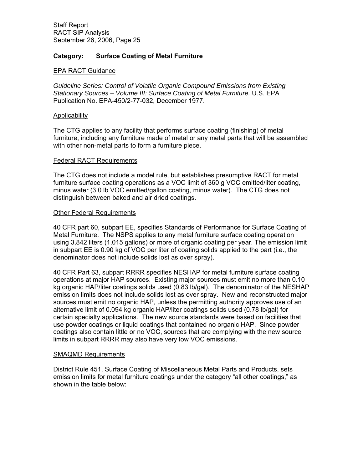## **Category: Surface Coating of Metal Furniture**

## EPA RACT Guidance

*Guideline Series: Control of Volatile Organic Compound Emissions from Existing Stationary Sources – Volume III: Surface Coating of Metal Furniture.* U.S. EPA Publication No. EPA-450/2-77-032, December 1977.

### Applicability

The CTG applies to any facility that performs surface coating (finishing) of metal furniture, including any furniture made of metal or any metal parts that will be assembled with other non-metal parts to form a furniture piece.

#### Federal RACT Requirements

The CTG does not include a model rule, but establishes presumptive RACT for metal furniture surface coating operations as a VOC limit of 360 g VOC emitted/liter coating, minus water (3.0 lb VOC emitted/gallon coating, minus water). The CTG does not distinguish between baked and air dried coatings.

#### Other Federal Requirements

40 CFR part 60, subpart EE, specifies Standards of Performance for Surface Coating of Metal Furniture. The NSPS applies to any metal furniture surface coating operation using 3,842 liters (1,015 gallons) or more of organic coating per year. The emission limit in subpart EE is 0.90 kg of VOC per liter of coating solids applied to the part (i.e., the denominator does not include solids lost as over spray).

40 CFR Part 63, subpart RRRR specifies NESHAP for metal furniture surface coating operations at major HAP sources. Existing major sources must emit no more than 0.10 kg organic HAP/liter coatings solids used (0.83 lb/gal). The denominator of the NESHAP emission limits does not include solids lost as over spray. New and reconstructed major sources must emit no organic HAP, unless the permitting authority approves use of an alternative limit of 0.094 kg organic HAP/liter coatings solids used (0.78 lb/gal) for certain specialty applications. The new source standards were based on facilities that use powder coatings or liquid coatings that contained no organic HAP. Since powder coatings also contain little or no VOC, sources that are complying with the new source limits in subpart RRRR may also have very low VOC emissions.

#### SMAQMD Requirements

District Rule 451, Surface Coating of Miscellaneous Metal Parts and Products, sets emission limits for metal furniture coatings under the category "all other coatings," as shown in the table below: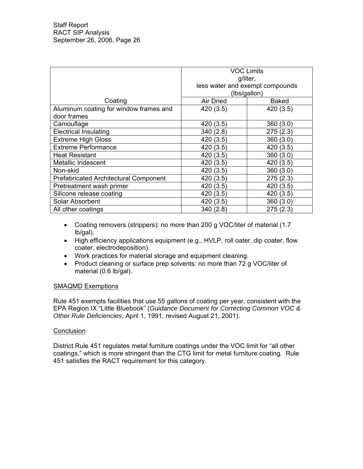|                                              | <b>VOC Limits</b>               |              |
|----------------------------------------------|---------------------------------|--------------|
|                                              | g/liter,                        |              |
|                                              | less water and exempt compounds |              |
|                                              | (Ibs/gallon)                    |              |
| Coating                                      | <b>Air Dried</b>                | <b>Baked</b> |
| Aluminum coating for window frames and       | 420 (3.5)                       | 420 (3.5)    |
| door frames                                  |                                 |              |
| Camouflage                                   | 420 (3.5)                       | 360 (3.0)    |
| <b>Electrical Insulating</b>                 | 340 (2.8)                       | 275(2.3)     |
| <b>Extreme High Gloss</b>                    | 420 (3.5)                       | 360 (3.0)    |
| <b>Extreme Performance</b>                   | 420 (3.5)                       | 420 (3.5)    |
| <b>Heat Resistant</b>                        | 420 (3.5)                       | 360 (3.0)    |
| Metallic Iridescent                          | 420 (3.5)                       | 420 (3.5)    |
| Non-skid                                     | 420 (3.5)                       | 360 (3.0)    |
| <b>Prefabricated Architectural Component</b> | 420 (3.5)                       | 275(2.3)     |
| Pretreatment wash primer                     | 420 (3.5)                       | 420 (3.5)    |
| Silicone release coating                     | 420 (3.5)                       | 420 (3.5)    |
| Solar Absorbent                              | 420 (3.5)                       | 360 (3.0)    |
| All other coatings                           | 340 (2.8)                       | 275(2.3)     |

- Coating removers (strippers): no more than 200 g VOC/liter of material (1.7 lb/gal).
- High efficiency applications equipment (e.g., HVLP, roll oater, dip coater, flow coater, electrodeposition).
- Work practices for material storage and equipment cleaning.
- Product cleaning or surface prep solvents: no more than 72 g VOC/liter of material (0.6 lb/gal).

## SMAQMD Exemptions

Rule 451 exempts facilities that use 55 gallons of coating per year, consistent with the EPA Region IX "Little Bluebook" (*Guidance Document for Correcting Common VOC & Other Rule Deficiencies*, April 1, 1991, revised August 21, 2001).

## **Conclusion**

District Rule 451 regulates metal furniture coatings under the VOC limit for "all other coatings," which is more stringent than the CTG limit for metal furniture coating. Rule 451 satisfies the RACT requirement for this category.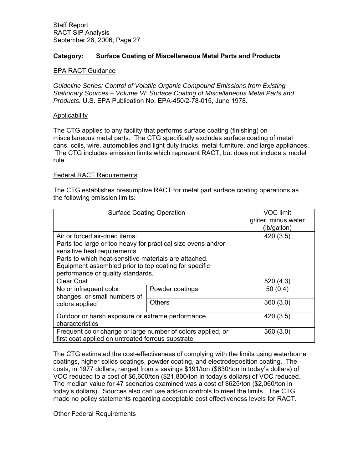## **Category: Surface Coating of Miscellaneous Metal Parts and Products**

## EPA RACT Guidance

*Guideline Series: Control of Volatile Organic Compound Emissions from Existing Stationary Sources – Volume VI: Surface Coating of Miscellaneous Metal Parts and Products.* U.S. EPA Publication No. EPA-450/2-78-015, June 1978.

### Applicability

The CTG applies to any facility that performs surface coating (finishing) on miscellaneous metal parts. The CTG specifically excludes surface coating of metal cans, coils, wire, automobiles and light duty trucks, metal furniture, and large appliances. The CTG includes emission limits which represent RACT, but does not include a model rule.

#### Federal RACT Requirements

The CTG establishes presumptive RACT for metal part surface coating operations as the following emission limits:

| <b>Surface Coating Operation</b>                                                                                 |                 | <b>VOC limit</b>     |
|------------------------------------------------------------------------------------------------------------------|-----------------|----------------------|
|                                                                                                                  |                 | g/liter, minus water |
|                                                                                                                  |                 | (lb/gallon)          |
| Air or forced air-dried items:                                                                                   |                 | 420 (3.5)            |
| Parts too large or too heavy for practical size ovens and/or                                                     |                 |                      |
| sensitive heat requirements.                                                                                     |                 |                      |
| Parts to which heat-sensitive materials are attached.                                                            |                 |                      |
| Equipment assembled prior to top coating for specific                                                            |                 |                      |
| performance or quality standards.                                                                                |                 |                      |
| <b>Clear Coat</b>                                                                                                |                 | 520(4.3)             |
| No or infrequent color                                                                                           | Powder coatings | 50(0.4)              |
| changes, or small numbers of                                                                                     |                 |                      |
| colors applied                                                                                                   | <b>Others</b>   | 360(3.0)             |
|                                                                                                                  |                 | 420 (3.5)            |
| Outdoor or harsh exposure or extreme performance<br>characteristics                                              |                 |                      |
|                                                                                                                  |                 |                      |
| Frequent color change or large number of colors applied, or<br>first coat applied on untreated ferrous substrate |                 | 360(3.0)             |
|                                                                                                                  |                 |                      |

The CTG estimated the cost-effectiveness of complying with the limits using waterborne coatings, higher solids coatings, powder coating, and electrodeposition coating. The costs, in 1977 dollars, ranged from a savings \$191/ton (\$630/ton in today's dollars) of VOC reduced to a cost of \$6,600/ton (\$21,800/ton in today's dollars) of VOC reduced. The median value for 47 scenarios examined was a cost of \$625/ton (\$2,060/ton in today's dollars). Sources also can use add-on controls to meet the limits. The CTG made no policy statements regarding acceptable cost effectiveness levels for RACT.

#### Other Federal Requirements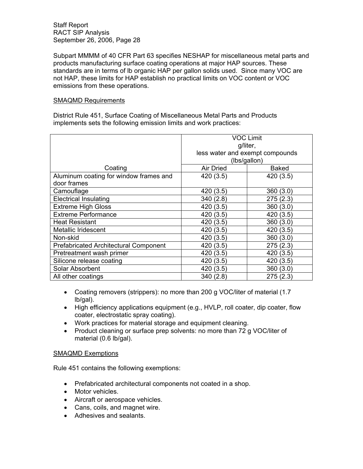Subpart MMMM of 40 CFR Part 63 specifies NESHAP for miscellaneous metal parts and products manufacturing surface coating operations at major HAP sources. These standards are in terms of lb organic HAP per gallon solids used. Since many VOC are not HAP, these limits for HAP establish no practical limits on VOC content or VOC emissions from these operations.

#### SMAQMD Requirements

District Rule 451, Surface Coating of Miscellaneous Metal Parts and Products implements sets the following emission limits and work practices:

|                                              |                                 | <b>VOC Limit</b> |
|----------------------------------------------|---------------------------------|------------------|
|                                              | g/liter,                        |                  |
|                                              | less water and exempt compounds |                  |
|                                              | (Ibs/gallon)                    |                  |
| Coating                                      | <b>Air Dried</b>                | Baked            |
| Aluminum coating for window frames and       | 420 (3.5)                       | 420 (3.5)        |
| door frames                                  |                                 |                  |
| Camouflage                                   | 420 (3.5)                       | 360 (3.0)        |
| <b>Electrical Insulating</b>                 | 340 (2.8)                       | 275(2.3)         |
| <b>Extreme High Gloss</b>                    | 420 (3.5)                       | 360 (3.0)        |
| <b>Extreme Performance</b>                   | 420 (3.5)                       | 420(3.5)         |
| <b>Heat Resistant</b>                        | 420 (3.5)                       | 360 (3.0)        |
| Metallic Iridescent                          | 420 (3.5)                       | 420 (3.5)        |
| Non-skid                                     | 420 (3.5)                       | 360(3.0)         |
| <b>Prefabricated Architectural Component</b> | 420 (3.5)                       | 275(2.3)         |
| Pretreatment wash primer                     | 420 (3.5)                       | 420(3.5)         |
| Silicone release coating                     | 420 (3.5)                       | 420 (3.5)        |
| Solar Absorbent                              | 420 (3.5)                       | 360 (3.0)        |
| All other coatings                           | 340 (2.8)                       | 275 (2.3)        |

- Coating removers (strippers): no more than 200 g VOC/liter of material (1.7 lb/gal).
- High efficiency applications equipment (e.g., HVLP, roll coater, dip coater, flow coater, electrostatic spray coating).
- Work practices for material storage and equipment cleaning.
- Product cleaning or surface prep solvents: no more than 72 g VOC/liter of material (0.6 lb/gal).

#### SMAQMD Exemptions

Rule 451 contains the following exemptions:

- Prefabricated architectural components not coated in a shop.
- Motor vehicles.
- Aircraft or aerospace vehicles.
- Cans, coils, and magnet wire.
- Adhesives and sealants.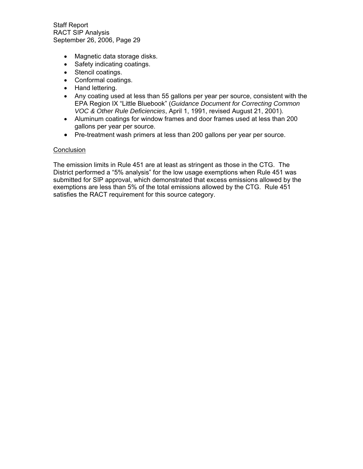- Magnetic data storage disks.
- Safety indicating coatings.
- Stencil coatings.
- Conformal coatings.
- Hand lettering.
- Any coating used at less than 55 gallons per year per source, consistent with the EPA Region IX "Little Bluebook" (*Guidance Document for Correcting Common VOC & Other Rule Deficiencies*, April 1, 1991, revised August 21, 2001).
- Aluminum coatings for window frames and door frames used at less than 200 gallons per year per source.
- Pre-treatment wash primers at less than 200 gallons per year per source.

#### **Conclusion**

The emission limits in Rule 451 are at least as stringent as those in the CTG. The District performed a "5% analysis" for the low usage exemptions when Rule 451 was submitted for SIP approval, which demonstrated that excess emissions allowed by the exemptions are less than 5% of the total emissions allowed by the CTG. Rule 451 satisfies the RACT requirement for this source category.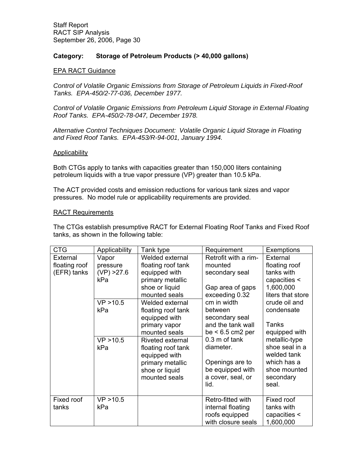## **Category: Storage of Petroleum Products (> 40,000 gallons)**

#### EPA RACT Guidance

*Control of Volatile Organic Emissions from Storage of Petroleum Liquids in Fixed-Roof Tanks. EPA-450/2-77-036, December 1977.* 

*Control of Volatile Organic Emissions from Petroleum Liquid Storage in External Floating Roof Tanks. EPA-450/2-78-047, December 1978.* 

*Alternative Control Techniques Document: Volatile Organic Liquid Storage in Floating and Fixed Roof Tanks. EPA-453/R-94-001, January 1994.* 

#### **Applicability**

Both CTGs apply to tanks with capacities greater than 150,000 liters containing petroleum liquids with a true vapor pressure (VP) greater than 10.5 kPa.

The ACT provided costs and emission reductions for various tank sizes and vapor pressures. No model rule or applicability requirements are provided.

#### RACT Requirements

The CTGs establish presumptive RACT for External Floating Roof Tanks and Fixed Roof tanks, as shown in the following table:

| <b>CTG</b>          | Applicability    | Tank type          | Requirement                                                                    | <b>Exemptions</b>                                     |
|---------------------|------------------|--------------------|--------------------------------------------------------------------------------|-------------------------------------------------------|
| External            | Vapor            | Welded external    | Retrofit with a rim-                                                           | External                                              |
| floating roof       | pressure         | floating roof tank | mounted                                                                        | floating roof                                         |
| (EFR) tanks         | (VP) > 27.6      | equipped with      | secondary seal                                                                 | tanks with                                            |
|                     | kPa              | primary metallic   |                                                                                | capacities <                                          |
|                     |                  | shoe or liquid     | Gap area of gaps                                                               | 1,600,000                                             |
|                     |                  | mounted seals      | exceeding 0.32                                                                 | liters that store                                     |
|                     | VP > 10.5        | Welded external    | cm in width                                                                    | crude oil and                                         |
|                     | kPa              | floating roof tank | between                                                                        | condensate                                            |
|                     |                  | equipped with      | secondary seal                                                                 |                                                       |
|                     |                  | primary vapor      | and the tank wall                                                              | Tanks                                                 |
|                     |                  | mounted seals      | $be < 6.5$ cm2 per                                                             | equipped with                                         |
|                     | VP > 10.5        | Riveted external   | 0.3 m of tank                                                                  | metallic-type                                         |
|                     | kPa              | floating roof tank | diameter.                                                                      | shoe seal in a                                        |
|                     |                  | equipped with      |                                                                                | welded tank                                           |
|                     |                  | primary metallic   | Openings are to                                                                | which has a                                           |
|                     |                  | shoe or liquid     | be equipped with                                                               | shoe mounted                                          |
|                     |                  | mounted seals      | a cover, seal, or                                                              | secondary                                             |
|                     |                  |                    | lid.                                                                           | seal.                                                 |
|                     |                  |                    |                                                                                |                                                       |
|                     |                  |                    |                                                                                |                                                       |
|                     |                  |                    |                                                                                |                                                       |
|                     |                  |                    |                                                                                |                                                       |
| Fixed roof<br>tanks | VP > 10.5<br>kPa |                    | Retro-fitted with<br>internal floating<br>roofs equipped<br>with closure seals | Fixed roof<br>tanks with<br>capacities <<br>1,600,000 |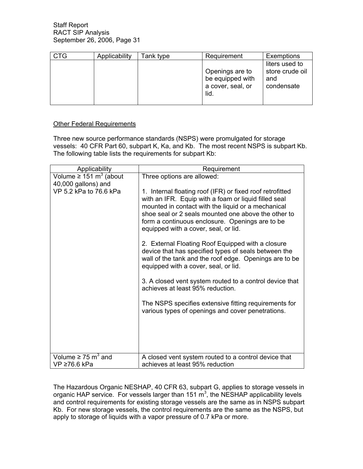| CTG | Applicability | Tank type | Requirement                                                      | Exemptions                                             |
|-----|---------------|-----------|------------------------------------------------------------------|--------------------------------------------------------|
|     |               |           | Openings are to<br>be equipped with<br>a cover, seal, or<br>lid. | liters used to<br>store crude oil<br>and<br>condensate |

## **Other Federal Requirements**

Three new source performance standards (NSPS) were promulgated for storage vessels: 40 CFR Part 60, subpart K, Ka, and Kb. The most recent NSPS is subpart Kb. The following table lists the requirements for subpart Kb:

| Applicability                           | Requirement                                                                                                       |
|-----------------------------------------|-------------------------------------------------------------------------------------------------------------------|
| Volume $\geq 151$ m <sup>3</sup> (about | Three options are allowed:                                                                                        |
| 40,000 gallons) and                     |                                                                                                                   |
| VP 5.2 kPa to 76.6 kPa                  | 1. Internal floating roof (IFR) or fixed roof retrofitted<br>with an IFR. Equip with a foam or liquid filled seal |
|                                         | mounted in contact with the liquid or a mechanical                                                                |
|                                         | shoe seal or 2 seals mounted one above the other to                                                               |
|                                         | form a continuous enclosure. Openings are to be                                                                   |
|                                         | equipped with a cover, seal, or lid.                                                                              |
|                                         | 2. External Floating Roof Equipped with a closure                                                                 |
|                                         | device that has specified types of seals between the                                                              |
|                                         | wall of the tank and the roof edge. Openings are to be                                                            |
|                                         | equipped with a cover, seal, or lid.                                                                              |
|                                         | 3. A closed vent system routed to a control device that                                                           |
|                                         | achieves at least 95% reduction.                                                                                  |
|                                         | The NSPS specifies extensive fitting requirements for                                                             |
|                                         | various types of openings and cover penetrations.                                                                 |
|                                         |                                                                                                                   |
|                                         |                                                                                                                   |
|                                         |                                                                                                                   |
|                                         |                                                                                                                   |
| Volume $\geq$ 75 m <sup>3</sup> and     | A closed vent system routed to a control device that                                                              |
| VP ≥76.6 kPa                            | achieves at least 95% reduction                                                                                   |

The Hazardous Organic NESHAP, 40 CFR 63, subpart G, applies to storage vessels in organic HAP service. For vessels larger than 151  $\text{m}^3$ , the NESHAP applicability levels and control requirements for existing storage vessels are the same as in NSPS subpart Kb. For new storage vessels, the control requirements are the same as the NSPS, but apply to storage of liquids with a vapor pressure of 0.7 kPa or more.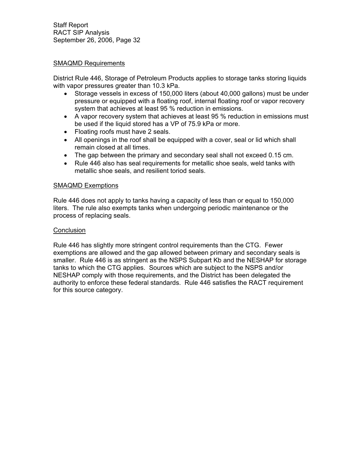### SMAQMD Requirements

District Rule 446, Storage of Petroleum Products applies to storage tanks storing liquids with vapor pressures greater than 10.3 kPa.

- Storage vessels in excess of 150,000 liters (about 40,000 gallons) must be under pressure or equipped with a floating roof, internal floating roof or vapor recovery system that achieves at least 95 % reduction in emissions.
- A vapor recovery system that achieves at least 95 % reduction in emissions must be used if the liquid stored has a VP of 75.9 kPa or more.
- Floating roofs must have 2 seals.
- All openings in the roof shall be equipped with a cover, seal or lid which shall remain closed at all times.
- The gap between the primary and secondary seal shall not exceed 0.15 cm.
- Rule 446 also has seal requirements for metallic shoe seals, weld tanks with metallic shoe seals, and resilient toriod seals.

## SMAQMD Exemptions

Rule 446 does not apply to tanks having a capacity of less than or equal to 150,000 liters. The rule also exempts tanks when undergoing periodic maintenance or the process of replacing seals.

## **Conclusion**

Rule 446 has slightly more stringent control requirements than the CTG. Fewer exemptions are allowed and the gap allowed between primary and secondary seals is smaller. Rule 446 is as stringent as the NSPS Subpart Kb and the NESHAP for storage tanks to which the CTG applies. Sources which are subject to the NSPS and/or NESHAP comply with those requirements, and the District has been delegated the authority to enforce these federal standards. Rule 446 satisfies the RACT requirement for this source category.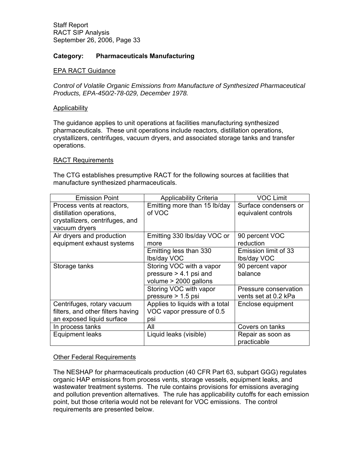## **Category: Pharmaceuticals Manufacturing**

#### EPA RACT Guidance

*Control of Volatile Organic Emissions from Manufacture of Synthesized Pharmaceutical Products, EPA-450/2-78-029, December 1978.* 

#### **Applicability**

The guidance applies to unit operations at facilities manufacturing synthesized pharmaceuticals. These unit operations include reactors, distillation operations, crystallizers, centrifuges, vacuum dryers, and associated storage tanks and transfer operations.

#### RACT Requirements

The CTG establishes presumptive RACT for the following sources at facilities that manufacture synthesized pharmaceuticals.

| <b>Emission Point</b>                                                                                      | <b>Applicability Criteria</b>                                                   | <b>VOC Limit</b>                              |
|------------------------------------------------------------------------------------------------------------|---------------------------------------------------------------------------------|-----------------------------------------------|
| Process vents at reactors,<br>distillation operations,<br>crystallizers, centrifuges, and<br>vacuum dryers | Emitting more than 15 lb/day<br>of VOC                                          | Surface condensers or<br>equivalent controls  |
| Air dryers and production<br>equipment exhaust systems                                                     | Emitting 330 lbs/day VOC or<br>more                                             | 90 percent VOC<br>reduction                   |
|                                                                                                            | Emitting less than 330<br>Ibs/day VOC                                           | Emission limit of 33<br>Ibs/day VOC           |
| Storage tanks                                                                                              | Storing VOC with a vapor<br>pressure $> 4.1$ psi and<br>volume $> 2000$ gallons | 90 percent vapor<br>balance                   |
|                                                                                                            | Storing VOC with vapor<br>pressure $> 1.5$ psi                                  | Pressure conservation<br>vents set at 0.2 kPa |
| Centrifuges, rotary vacuum<br>filters, and other filters having<br>an exposed liquid surface               | Applies to liquids with a total<br>VOC vapor pressure of 0.5<br>psi             | Enclose equipment                             |
| In process tanks                                                                                           | All                                                                             | Covers on tanks                               |
| Equipment leaks                                                                                            | Liquid leaks (visible)                                                          | Repair as soon as<br>practicable              |

#### Other Federal Requirements

The NESHAP for pharmaceuticals production (40 CFR Part 63, subpart GGG) regulates organic HAP emissions from process vents, storage vessels, equipment leaks, and wastewater treatment systems. The rule contains provisions for emissions averaging and pollution prevention alternatives. The rule has applicability cutoffs for each emission point, but those criteria would not be relevant for VOC emissions. The control requirements are presented below.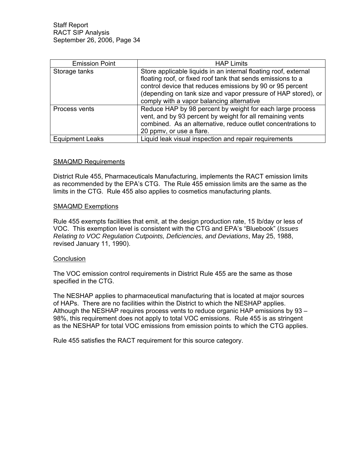| <b>Emission Point</b>  | <b>HAP Limits</b>                                               |
|------------------------|-----------------------------------------------------------------|
| Storage tanks          | Store applicable liquids in an internal floating roof, external |
|                        | floating roof, or fixed roof tank that sends emissions to a     |
|                        | control device that reduces emissions by 90 or 95 percent       |
|                        | (depending on tank size and vapor pressure of HAP stored), or   |
|                        | comply with a vapor balancing alternative                       |
| Process vents          | Reduce HAP by 98 percent by weight for each large process       |
|                        | vent, and by 93 percent by weight for all remaining vents       |
|                        | combined. As an alternative, reduce outlet concentrations to    |
|                        | 20 ppmv, or use a flare.                                        |
| <b>Equipment Leaks</b> | Liquid leak visual inspection and repair requirements           |

#### SMAQMD Requirements

District Rule 455, Pharmaceuticals Manufacturing, implements the RACT emission limits as recommended by the EPA's CTG. The Rule 455 emission limits are the same as the limits in the CTG. Rule 455 also applies to cosmetics manufacturing plants.

#### SMAQMD Exemptions

Rule 455 exempts facilities that emit, at the design production rate, 15 lb/day or less of VOC. This exemption level is consistent with the CTG and EPA's "Bluebook" (*Issues Relating to VOC Regulation Cutpoints, Deficiencies, and Deviations*, May 25, 1988, revised January 11, 1990).

#### **Conclusion**

The VOC emission control requirements in District Rule 455 are the same as those specified in the CTG.

The NESHAP applies to pharmaceutical manufacturing that is located at major sources of HAPs. There are no facilities within the District to which the NESHAP applies. Although the NESHAP requires process vents to reduce organic HAP emissions by 93 – 98%, this requirement does not apply to total VOC emissions. Rule 455 is as stringent as the NESHAP for total VOC emissions from emission points to which the CTG applies.

Rule 455 satisfies the RACT requirement for this source category.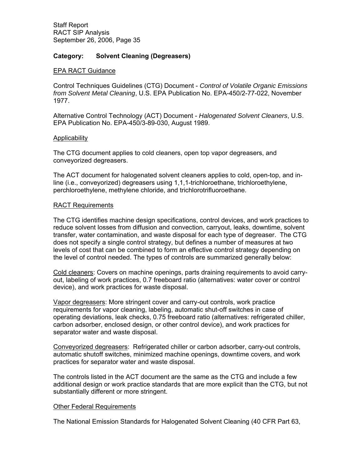## **Category: Solvent Cleaning (Degreasers)**

### EPA RACT Guidance

Control Techniques Guidelines (CTG) Document - *Control of Volatile Organic Emissions from Solvent Metal Cleaning*, U.S. EPA Publication No. EPA-450/2-77-022, November 1977.

Alternative Control Technology (ACT) Document - *Halogenated Solvent Cleaners*, U.S. EPA Publication No. EPA-450/3-89-030, August 1989.

#### **Applicability**

The CTG document applies to cold cleaners, open top vapor degreasers, and conveyorized degreasers.

The ACT document for halogenated solvent cleaners applies to cold, open-top, and inline (i.e., conveyorized) degreasers using 1,1,1-trichloroethane, trichloroethylene, perchloroethylene, methylene chloride, and trichlorotrifluoroethane.

#### RACT Requirements

The CTG identifies machine design specifications, control devices, and work practices to reduce solvent losses from diffusion and convection, carryout, leaks, downtime, solvent transfer, water contamination, and waste disposal for each type of degreaser. The CTG does not specify a single control strategy, but defines a number of measures at two levels of cost that can be combined to form an effective control strategy depending on the level of control needed. The types of controls are summarized generally below:

Cold cleaners: Covers on machine openings, parts draining requirements to avoid carryout, labeling of work practices, 0.7 freeboard ratio (alternatives: water cover or control device), and work practices for waste disposal.

Vapor degreasers: More stringent cover and carry-out controls, work practice requirements for vapor cleaning, labeling, automatic shut-off switches in case of operating deviations, leak checks, 0.75 freeboard ratio (alternatives: refrigerated chiller, carbon adsorber, enclosed design, or other control device), and work practices for separator water and waste disposal.

Conveyorized degreasers: Refrigerated chiller or carbon adsorber, carry-out controls, automatic shutoff switches, minimized machine openings, downtime covers, and work practices for separator water and waste disposal.

The controls listed in the ACT document are the same as the CTG and include a few additional design or work practice standards that are more explicit than the CTG, but not substantially different or more stringent.

#### Other Federal Requirements

The National Emission Standards for Halogenated Solvent Cleaning (40 CFR Part 63,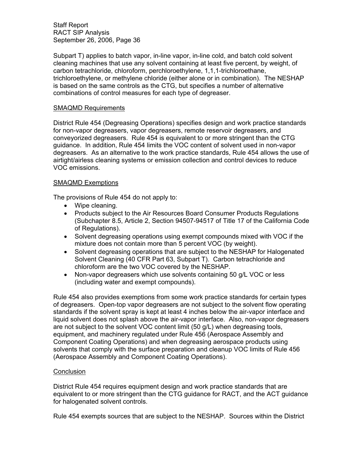Subpart T) applies to batch vapor, in-line vapor, in-line cold, and batch cold solvent cleaning machines that use any solvent containing at least five percent, by weight, of carbon tetrachloride, chloroform, perchloroethylene, 1,1,1-trichloroethane, trichloroethylene, or methylene chloride (either alone or in combination). The NESHAP is based on the same controls as the CTG, but specifies a number of alternative combinations of control measures for each type of degreaser.

### SMAQMD Requirements

District Rule 454 (Degreasing Operations) specifies design and work practice standards for non-vapor degreasers, vapor degreasers, remote reservoir degreasers, and conveyorized degreasers. Rule 454 is equivalent to or more stringent than the CTG guidance. In addition, Rule 454 limits the VOC content of solvent used in non-vapor degreasers. As an alternative to the work practice standards, Rule 454 allows the use of airtight/airless cleaning systems or emission collection and control devices to reduce VOC emissions.

### SMAQMD Exemptions

The provisions of Rule 454 do not apply to:

- Wipe cleaning.
- Products subject to the Air Resources Board Consumer Products Regulations (Subchapter 8.5, Article 2, Section 94507-94517 of Title 17 of the California Code of Regulations).
- Solvent degreasing operations using exempt compounds mixed with VOC if the mixture does not contain more than 5 percent VOC (by weight).
- Solvent degreasing operations that are subject to the NESHAP for Halogenated Solvent Cleaning (40 CFR Part 63, Subpart T). Carbon tetrachloride and chloroform are the two VOC covered by the NESHAP.
- Non-vapor degreasers which use solvents containing 50 g/L VOC or less (including water and exempt compounds).

Rule 454 also provides exemptions from some work practice standards for certain types of degreasers. Open-top vapor degreasers are not subject to the solvent flow operating standards if the solvent spray is kept at least 4 inches below the air-vapor interface and liquid solvent does not splash above the air-vapor interface. Also, non-vapor degreasers are not subject to the solvent VOC content limit (50 g/L) when degreasing tools, equipment, and machinery regulated under Rule 456 (Aerospace Assembly and Component Coating Operations) and when degreasing aerospace products using solvents that comply with the surface preparation and cleanup VOC limits of Rule 456 (Aerospace Assembly and Component Coating Operations).

### **Conclusion**

District Rule 454 requires equipment design and work practice standards that are equivalent to or more stringent than the CTG guidance for RACT, and the ACT guidance for halogenated solvent controls.

Rule 454 exempts sources that are subject to the NESHAP. Sources within the District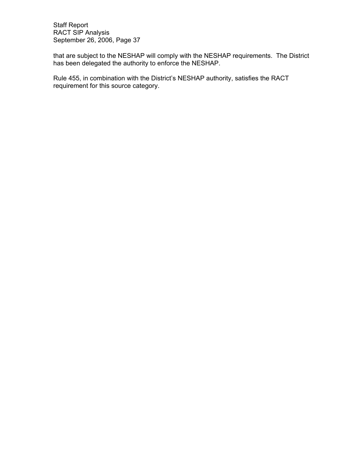that are subject to the NESHAP will comply with the NESHAP requirements. The District has been delegated the authority to enforce the NESHAP.

Rule 455, in combination with the District's NESHAP authority, satisfies the RACT requirement for this source category.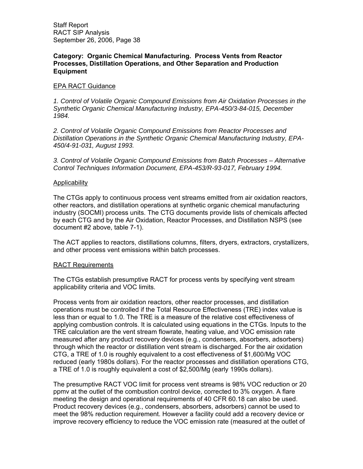### **Category: Organic Chemical Manufacturing. Process Vents from Reactor Processes, Distillation Operations, and Other Separation and Production Equipment**

### EPA RACT Guidance

*1. Control of Volatile Organic Compound Emissions from Air Oxidation Processes in the Synthetic Organic Chemical Manufacturing Industry, EPA-450/3-84-015, December 1984.* 

*2. Control of Volatile Organic Compound Emissions from Reactor Processes and Distillation Operations in the Synthetic Organic Chemical Manufacturing Industry, EPA-450/4-91-031, August 1993.* 

*3. Control of Volatile Organic Compound Emissions from Batch Processes – Alternative Control Techniques Information Document, EPA-453/R-93-017, February 1994.* 

#### **Applicability**

The CTGs apply to continuous process vent streams emitted from air oxidation reactors, other reactors, and distillation operations at synthetic organic chemical manufacturing industry (SOCMI) process units. The CTG documents provide lists of chemicals affected by each CTG and by the Air Oxidation, Reactor Processes, and Distillation NSPS (see document #2 above, table 7-1).

The ACT applies to reactors, distillations columns, filters, dryers, extractors, crystallizers, and other process vent emissions within batch processes.

#### RACT Requirements

The CTGs establish presumptive RACT for process vents by specifying vent stream applicability criteria and VOC limits.

Process vents from air oxidation reactors, other reactor processes, and distillation operations must be controlled if the Total Resource Effectiveness (TRE) index value is less than or equal to 1.0. The TRE is a measure of the relative cost effectiveness of applying combustion controls. It is calculated using equations in the CTGs. Inputs to the TRE calculation are the vent stream flowrate, heating value, and VOC emission rate measured after any product recovery devices (e.g., condensers, absorbers, adsorbers) through which the reactor or distillation vent stream is discharged. For the air oxidation CTG, a TRE of 1.0 is roughly equivalent to a cost effectiveness of \$1,600/Mg VOC reduced (early 1980s dollars). For the reactor processes and distillation operations CTG, a TRE of 1.0 is roughly equivalent a cost of \$2,500/Mg (early 1990s dollars).

The presumptive RACT VOC limit for process vent streams is 98% VOC reduction or 20 ppmv at the outlet of the combustion control device, corrected to 3% oxygen. A flare meeting the design and operational requirements of 40 CFR 60.18 can also be used. Product recovery devices (e.g., condensers, absorbers, adsorbers) cannot be used to meet the 98% reduction requirement. However a facility could add a recovery device or improve recovery efficiency to reduce the VOC emission rate (measured at the outlet of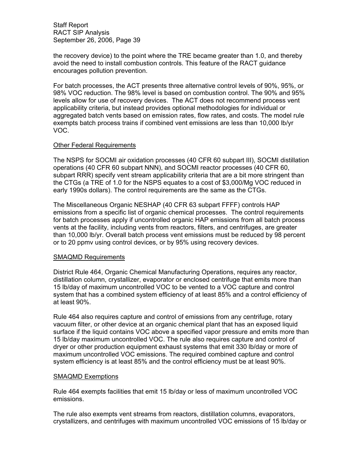the recovery device) to the point where the TRE became greater than 1.0, and thereby avoid the need to install combustion controls. This feature of the RACT guidance encourages pollution prevention.

For batch processes, the ACT presents three alternative control levels of 90%, 95%, or 98% VOC reduction. The 98% level is based on combustion control. The 90% and 95% levels allow for use of recovery devices. The ACT does not recommend process vent applicability criteria, but instead provides optional methodologies for individual or aggregated batch vents based on emission rates, flow rates, and costs. The model rule exempts batch process trains if combined vent emissions are less than 10,000 lb/yr VOC.

### Other Federal Requirements

The NSPS for SOCMI air oxidation processes (40 CFR 60 subpart III), SOCMI distillation operations (40 CFR 60 subpart NNN), and SOCMI reactor processes (40 CFR 60, subpart RRR) specify vent stream applicability criteria that are a bit more stringent than the CTGs (a TRE of 1.0 for the NSPS equates to a cost of \$3,000/Mg VOC reduced in early 1990s dollars). The control requirements are the same as the CTGs.

The Miscellaneous Organic NESHAP (40 CFR 63 subpart FFFF) controls HAP emissions from a specific list of organic chemical processes. The control requirements for batch processes apply if uncontrolled organic HAP emissions from all batch process vents at the facility, including vents from reactors, filters, and centrifuges, are greater than 10,000 lb/yr. Overall batch process vent emissions must be reduced by 98 percent or to 20 ppmv using control devices, or by 95% using recovery devices.

### SMAQMD Requirements

District Rule 464, Organic Chemical Manufacturing Operations, requires any reactor, distillation column, crystallizer, evaporator or enclosed centrifuge that emits more than 15 lb/day of maximum uncontrolled VOC to be vented to a VOC capture and control system that has a combined system efficiency of at least 85% and a control efficiency of at least 90%.

Rule 464 also requires capture and control of emissions from any centrifuge, rotary vacuum filter, or other device at an organic chemical plant that has an exposed liquid surface if the liquid contains VOC above a specified vapor pressure and emits more than 15 lb/day maximum uncontrolled VOC. The rule also requires capture and control of dryer or other production equipment exhaust systems that emit 330 lb/day or more of maximum uncontrolled VOC emissions. The required combined capture and control system efficiency is at least 85% and the control efficiency must be at least 90%.

### SMAQMD Exemptions

Rule 464 exempts facilities that emit 15 lb/day or less of maximum uncontrolled VOC emissions.

The rule also exempts vent streams from reactors, distillation columns, evaporators, crystallizers, and centrifuges with maximum uncontrolled VOC emissions of 15 lb/day or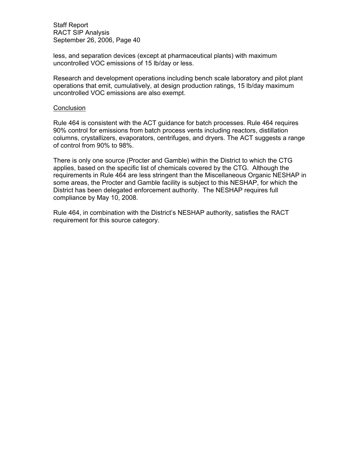less, and separation devices (except at pharmaceutical plants) with maximum uncontrolled VOC emissions of 15 lb/day or less.

Research and development operations including bench scale laboratory and pilot plant operations that emit, cumulatively, at design production ratings, 15 lb/day maximum uncontrolled VOC emissions are also exempt.

#### **Conclusion**

Rule 464 is consistent with the ACT guidance for batch processes. Rule 464 requires 90% control for emissions from batch process vents including reactors, distillation columns, crystallizers, evaporators, centrifuges, and dryers. The ACT suggests a range of control from 90% to 98%.

There is only one source (Procter and Gamble) within the District to which the CTG applies, based on the specific list of chemicals covered by the CTG. Although the requirements in Rule 464 are less stringent than the Miscellaneous Organic NESHAP in some areas, the Procter and Gamble facility is subject to this NESHAP, for which the District has been delegated enforcement authority. The NESHAP requires full compliance by May 10, 2008.

Rule 464, in combination with the District's NESHAP authority, satisfies the RACT requirement for this source category.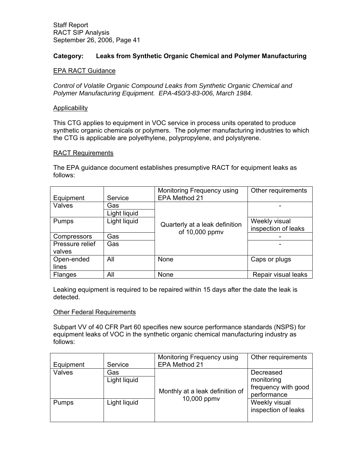### **Category: Leaks from Synthetic Organic Chemical and Polymer Manufacturing**

### EPA RACT Guidance

*Control of Volatile Organic Compound Leaks from Synthetic Organic Chemical and Polymer Manufacturing Equipment. EPA-450/3-83-006, March 1984.* 

#### **Applicability**

This CTG applies to equipment in VOC service in process units operated to produce synthetic organic chemicals or polymers. The polymer manufacturing industries to which the CTG is applicable are polyethylene, polypropylene, and polystyrene.

#### RACT Requirements

The EPA guidance document establishes presumptive RACT for equipment leaks as follows:

| Equipment       | Service      | Monitoring Frequency using<br>EPA Method 21 | Other requirements  |
|-----------------|--------------|---------------------------------------------|---------------------|
| Valves          | Gas          |                                             |                     |
|                 | Light liquid |                                             |                     |
| <b>Pumps</b>    | Light liquid | Quarterly at a leak definition              | Weekly visual       |
|                 |              | of 10,000 ppmv                              | inspection of leaks |
| Compressors     | Gas          |                                             |                     |
| Pressure relief | Gas          |                                             |                     |
| valves          |              |                                             |                     |
| Open-ended      | All          | None                                        | Caps or plugs       |
| lines           |              |                                             |                     |
| Flanges         | All          | None                                        | Repair visual leaks |

Leaking equipment is required to be repaired within 15 days after the date the leak is detected.

#### **Other Federal Requirements**

Subpart VV of 40 CFR Part 60 specifies new source performance standards (NSPS) for equipment leaks of VOC in the synthetic organic chemical manufacturing industry as follows:

|              |              | Monitoring Frequency using      | Other requirements  |
|--------------|--------------|---------------------------------|---------------------|
| Equipment    | Service      | EPA Method 21                   |                     |
| Valves       | Gas          |                                 | Decreased           |
|              | Light liquid |                                 | monitoring          |
|              |              | Monthly at a leak definition of | frequency with good |
|              |              | 10,000 ppmv                     | performance         |
| <b>Pumps</b> | Light liquid |                                 | Weekly visual       |
|              |              |                                 | inspection of leaks |
|              |              |                                 |                     |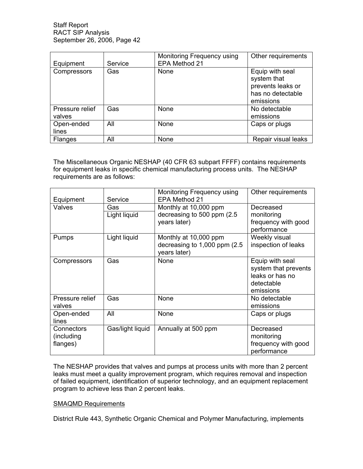| Equipment                 | Service | Monitoring Frequency using<br>EPA Method 21 | Other requirements                                                                    |
|---------------------------|---------|---------------------------------------------|---------------------------------------------------------------------------------------|
| Compressors               | Gas     | <b>None</b>                                 | Equip with seal<br>system that<br>prevents leaks or<br>has no detectable<br>emissions |
| Pressure relief<br>valves | Gas     | None                                        | No detectable<br>emissions                                                            |
| Open-ended<br>lines       | All     | None                                        | Caps or plugs                                                                         |
| <b>Flanges</b>            | All     | None                                        | Repair visual leaks                                                                   |

The Miscellaneous Organic NESHAP (40 CFR 63 subpart FFFF) contains requirements for equipment leaks in specific chemical manufacturing process units. The NESHAP requirements are as follows:

| Equipment                            | Service             | Monitoring Frequency using<br>EPA Method 21                            | Other requirements                                                                    |
|--------------------------------------|---------------------|------------------------------------------------------------------------|---------------------------------------------------------------------------------------|
| Valves                               | Gas<br>Light liquid | Monthly at 10,000 ppm<br>decreasing to 500 ppm (2.5)<br>years later)   | Decreased<br>monitoring<br>frequency with good<br>performance                         |
| Pumps                                | Light liquid        | Monthly at 10,000 ppm<br>decreasing to 1,000 ppm (2.5)<br>years later) | Weekly visual<br>inspection of leaks                                                  |
| Compressors                          | Gas                 | None                                                                   | Equip with seal<br>system that prevents<br>leaks or has no<br>detectable<br>emissions |
| Pressure relief<br>valves            | Gas                 | None                                                                   | No detectable<br>emissions                                                            |
| Open-ended<br>lines                  | All                 | None                                                                   | Caps or plugs                                                                         |
| Connectors<br>(including<br>flanges) | Gas/light liquid    | Annually at 500 ppm                                                    | Decreased<br>monitoring<br>frequency with good<br>performance                         |

The NESHAP provides that valves and pumps at process units with more than 2 percent leaks must meet a quality improvement program, which requires removal and inspection of failed equipment, identification of superior technology, and an equipment replacement program to achieve less than 2 percent leaks.

### SMAQMD Requirements

District Rule 443, Synthetic Organic Chemical and Polymer Manufacturing, implements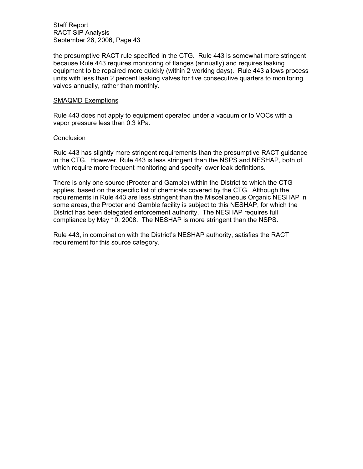the presumptive RACT rule specified in the CTG. Rule 443 is somewhat more stringent because Rule 443 requires monitoring of flanges (annually) and requires leaking equipment to be repaired more quickly (within 2 working days). Rule 443 allows process units with less than 2 percent leaking valves for five consecutive quarters to monitoring valves annually, rather than monthly.

#### SMAQMD Exemptions

Rule 443 does not apply to equipment operated under a vacuum or to VOCs with a vapor pressure less than 0.3 kPa.

#### **Conclusion**

Rule 443 has slightly more stringent requirements than the presumptive RACT guidance in the CTG. However, Rule 443 is less stringent than the NSPS and NESHAP, both of which require more frequent monitoring and specify lower leak definitions.

There is only one source (Procter and Gamble) within the District to which the CTG applies, based on the specific list of chemicals covered by the CTG. Although the requirements in Rule 443 are less stringent than the Miscellaneous Organic NESHAP in some areas, the Procter and Gamble facility is subject to this NESHAP, for which the District has been delegated enforcement authority. The NESHAP requires full compliance by May 10, 2008. The NESHAP is more stringent than the NSPS.

Rule 443, in combination with the District's NESHAP authority, satisfies the RACT requirement for this source category.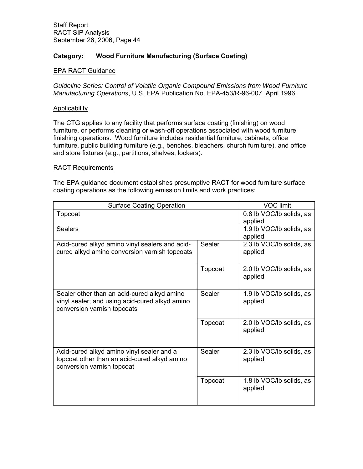## **Category: Wood Furniture Manufacturing (Surface Coating)**

### EPA RACT Guidance

*Guideline Series: Control of Volatile Organic Compound Emissions from Wood Furniture Manufacturing Operations*, U.S. EPA Publication No. EPA-453/R-96-007, April 1996.

#### **Applicability**

The CTG applies to any facility that performs surface coating (finishing) on wood furniture, or performs cleaning or wash-off operations associated with wood furniture finishing operations. Wood furniture includes residential furniture, cabinets, office furniture, public building furniture (e.g., benches, bleachers, church furniture), and office and store fixtures (e.g., partitions, shelves, lockers).

#### RACT Requirements

The EPA guidance document establishes presumptive RACT for wood furniture surface coating operations as the following emission limits and work practices:

| <b>Surface Coating Operation</b>                                                                                             |         | <b>VOC limit</b>                    |
|------------------------------------------------------------------------------------------------------------------------------|---------|-------------------------------------|
| Topcoat                                                                                                                      |         | 0.8 lb VOC/lb solids, as<br>applied |
| <b>Sealers</b>                                                                                                               |         | 1.9 lb VOC/lb solids, as<br>applied |
| Sealer<br>Acid-cured alkyd amino vinyl sealers and acid-<br>cured alkyd amino conversion varnish topcoats                    |         | 2.3 lb VOC/lb solids, as<br>applied |
|                                                                                                                              | Topcoat | 2.0 lb VOC/lb solids, as<br>applied |
| Sealer other than an acid-cured alkyd amino<br>vinyl sealer; and using acid-cured alkyd amino<br>conversion varnish topcoats | Sealer  | 1.9 lb VOC/lb solids, as<br>applied |
|                                                                                                                              | Topcoat | 2.0 lb VOC/lb solids, as<br>applied |
| Acid-cured alkyd amino vinyl sealer and a<br>topcoat other than an acid-cured alkyd amino<br>conversion varnish topcoat      | Sealer  | 2.3 lb VOC/lb solids, as<br>applied |
|                                                                                                                              | Topcoat | 1.8 lb VOC/lb solids, as<br>applied |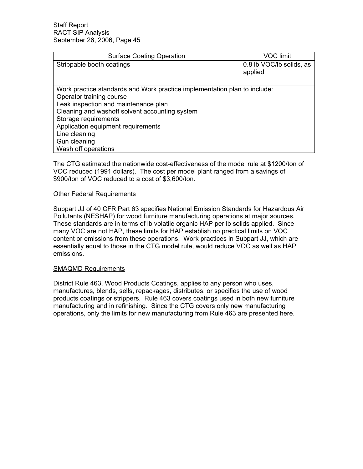| <b>Surface Coating Operation</b>                                                                                                                                                                                                                                                                                      | VOC limit                           |
|-----------------------------------------------------------------------------------------------------------------------------------------------------------------------------------------------------------------------------------------------------------------------------------------------------------------------|-------------------------------------|
| Strippable booth coatings                                                                                                                                                                                                                                                                                             | 0.8 lb VOC/lb solids, as<br>applied |
| Work practice standards and Work practice implementation plan to include:<br>Operator training course<br>Leak inspection and maintenance plan<br>Cleaning and washoff solvent accounting system<br>Storage requirements<br>Application equipment requirements<br>Line cleaning<br>Gun cleaning<br>Wash off operations |                                     |

The CTG estimated the nationwide cost-effectiveness of the model rule at \$1200/ton of VOC reduced (1991 dollars). The cost per model plant ranged from a savings of \$900/ton of VOC reduced to a cost of \$3,600/ton.

### Other Federal Requirements

Subpart JJ of 40 CFR Part 63 specifies National Emission Standards for Hazardous Air Pollutants (NESHAP) for wood furniture manufacturing operations at major sources. These standards are in terms of lb volatile organic HAP per lb solids applied. Since many VOC are not HAP, these limits for HAP establish no practical limits on VOC content or emissions from these operations. Work practices in Subpart JJ, which are essentially equal to those in the CTG model rule, would reduce VOC as well as HAP emissions.

### SMAQMD Requirements

District Rule 463, Wood Products Coatings, applies to any person who uses, manufactures, blends, sells, repackages, distributes, or specifies the use of wood products coatings or strippers. Rule 463 covers coatings used in both new furniture manufacturing and in refinishing. Since the CTG covers only new manufacturing operations, only the limits for new manufacturing from Rule 463 are presented here.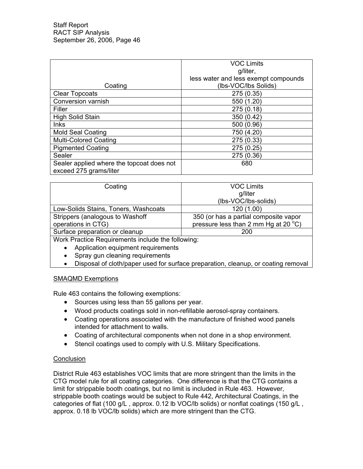|                                                                     | <b>VOC Limits</b>                    |
|---------------------------------------------------------------------|--------------------------------------|
|                                                                     | g/liter,                             |
|                                                                     | less water and less exempt compounds |
| Coating                                                             | (Ibs-VOC/Ibs Solids)                 |
| <b>Clear Topcoats</b>                                               | 275 (0.35)                           |
| Conversion varnish                                                  | 550 (1.20)                           |
| Filler                                                              | 275 (0.18)                           |
| <b>High Solid Stain</b>                                             | 350 (0.42)                           |
| <b>Inks</b>                                                         | 500 (0.96)                           |
| <b>Mold Seal Coating</b>                                            | 750 (4.20)                           |
| <b>Multi-Colored Coating</b>                                        | 275 (0.33)                           |
| <b>Pigmented Coating</b>                                            | 275 (0.25)                           |
| Sealer                                                              | 275 (0.36)                           |
| Sealer applied where the topcoat does not<br>exceed 275 grams/liter | 680                                  |

| Coating                              | <b>VOC Limits</b>                     |
|--------------------------------------|---------------------------------------|
|                                      | g/liter                               |
|                                      | (lbs-VOC/lbs-solids)                  |
| Low-Solids Stains, Toners, Washcoats | 120 (1.00)                            |
| Strippers (analogous to Washoff      | 350 (or has a partial composite vapor |
| operations in CTG)                   | pressure less than 2 mm Hg at 20 °C)  |
| Surface preparation or cleanup       | 200                                   |

Work Practice Requirements include the following:

- Application equipment requirements
- Spray gun cleaning requirements
- Disposal of cloth/paper used for surface preparation, cleanup, or coating removal

### SMAQMD Exemptions

Rule 463 contains the following exemptions:

- Sources using less than 55 gallons per year.
- Wood products coatings sold in non-refillable aerosol-spray containers.
- Coating operations associated with the manufacture of finished wood panels intended for attachment to walls.
- Coating of architectural components when not done in a shop environment.
- Stencil coatings used to comply with U.S. Military Specifications.

# **Conclusion**

District Rule 463 establishes VOC limits that are more stringent than the limits in the CTG model rule for all coating categories. One difference is that the CTG contains a limit for strippable booth coatings, but no limit is included in Rule 463. However, strippable booth coatings would be subject to Rule 442, Architectural Coatings, in the categories of flat (100 g/L, approx. 0.12 lb VOC/lb solids) or nonflat coatings (150 g/L, approx. 0.18 lb VOC/lb solids) which are more stringent than the CTG.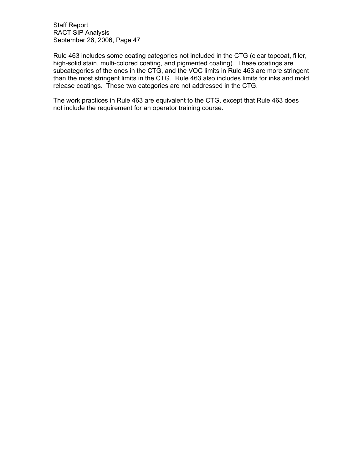Rule 463 includes some coating categories not included in the CTG (clear topcoat, filler, high-solid stain, multi-colored coating, and pigmented coating). These coatings are subcategories of the ones in the CTG, and the VOC limits in Rule 463 are more stringent than the most stringent limits in the CTG. Rule 463 also includes limits for inks and mold release coatings. These two categories are not addressed in the CTG.

The work practices in Rule 463 are equivalent to the CTG, except that Rule 463 does not include the requirement for an operator training course.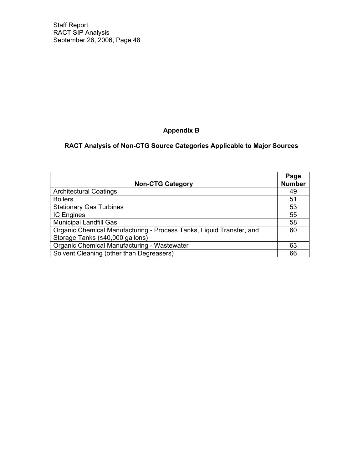# **Appendix B**

# **RACT Analysis of Non-CTG Source Categories Applicable to Major Sources**

|                                                                      | Page          |
|----------------------------------------------------------------------|---------------|
| <b>Non-CTG Category</b>                                              | <b>Number</b> |
| <b>Architectural Coatings</b>                                        | 49            |
| <b>Boilers</b>                                                       | 51            |
| <b>Stationary Gas Turbines</b>                                       | 53            |
| <b>IC Engines</b>                                                    | 55            |
| <b>Municipal Landfill Gas</b>                                        | 58            |
| Organic Chemical Manufacturing - Process Tanks, Liquid Transfer, and | 60            |
| Storage Tanks (≤40,000 gallons)                                      |               |
| Organic Chemical Manufacturing - Wastewater                          | 63            |
| Solvent Cleaning (other than Degreasers)                             | 66            |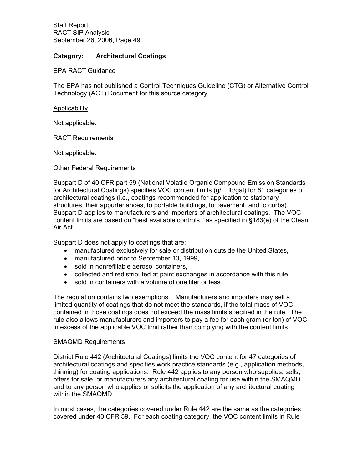### **Category: Architectural Coatings**

### EPA RACT Guidance

The EPA has not published a Control Techniques Guideline (CTG) or Alternative Control Technology (ACT) Document for this source category.

#### **Applicability**

Not applicable.

#### RACT Requirements

Not applicable.

#### Other Federal Requirements

Subpart D of 40 CFR part 59 (National Volatile Organic Compound Emission Standards for Architectural Coatings) specifies VOC content limits (g/L, lb/gal) for 61 categories of architectural coatings (i.e., coatings recommended for application to stationary structures, their appurtenances, to portable buildings, to pavement, and to curbs). Subpart D applies to manufacturers and importers of architectural coatings. The VOC content limits are based on "best available controls," as specified in §183(e) of the Clean Air Act.

Subpart D does not apply to coatings that are:

- manufactured exclusively for sale or distribution outside the United States,
- manufactured prior to September 13, 1999,
- sold in nonrefillable aerosol containers,
- collected and redistributed at paint exchanges in accordance with this rule,
- sold in containers with a volume of one liter or less.

The regulation contains two exemptions. Manufacturers and importers may sell a limited quantity of coatings that do not meet the standards, if the total mass of VOC contained in those coatings does not exceed the mass limits specified in the rule. The rule also allows manufacturers and importers to pay a fee for each gram (or ton) of VOC in excess of the applicable VOC limit rather than complying with the content limits.

### SMAQMD Requirements

District Rule 442 (Architectural Coatings) limits the VOC content for 47 categories of architectural coatings and specifies work practice standards (e.g., application methods, thinning) for coating applications. Rule 442 applies to any person who supplies, sells, offers for sale, or manufacturers any architectural coating for use within the SMAQMD and to any person who applies or solicits the application of any architectural coating within the SMAQMD.

In most cases, the categories covered under Rule 442 are the same as the categories covered under 40 CFR 59. For each coating category, the VOC content limits in Rule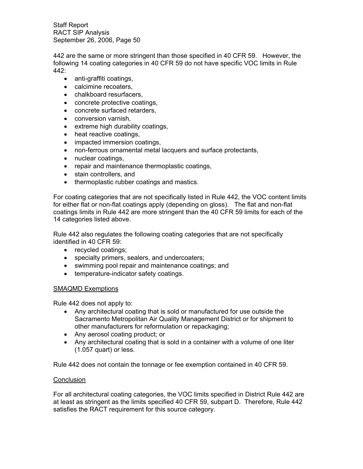442 are the same or more stringent than those specified in 40 CFR 59. However, the following 14 coating categories in 40 CFR 59 do not have specific VOC limits in Rule 442:

- anti-graffiti coatings,
- calcimine recoaters,
- chalkboard resurfacers,
- concrete protective coatings,
- concrete surfaced retarders,
- conversion varnish,
- extreme high durability coatings,
- heat reactive coatings,
- impacted immersion coatings,
- non-ferrous ornamental metal lacquers and surface protectants,
- nuclear coatings,
- repair and maintenance thermoplastic coatings,
- stain controllers, and
- thermoplastic rubber coatings and mastics.

For coating categories that are not specifically listed in Rule 442, the VOC content limits for either flat or non-flat coatings apply (depending on gloss). The flat and non-flat coatings limits in Rule 442 are more stringent than the 40 CFR 59 limits for each of the 14 categories listed above.

Rule 442 also regulates the following coating categories that are not specifically identified in 40 CFR 59:

- recycled coatings;
- specialty primers, sealers, and undercoaters;
- swimming pool repair and maintenance coatings; and
- temperature-indicator safety coatings.

### SMAQMD Exemptions

Rule 442 does not apply to:

- Any architectural coating that is sold or manufactured for use outside the Sacramento Metropolitan Air Quality Management District or for shipment to other manufacturers for reformulation or repackaging;
- Any aerosol coating product; or
- Any architectural coating that is sold in a container with a volume of one liter (1.057 quart) or less.

Rule 442 does not contain the tonnage or fee exemption contained in 40 CFR 59.

### **Conclusion**

For all architectural coating categories, the VOC limits specified in District Rule 442 are at least as stringent as the limits specified 40 CFR 59, subpart D. Therefore, Rule 442 satisfies the RACT requirement for this source category.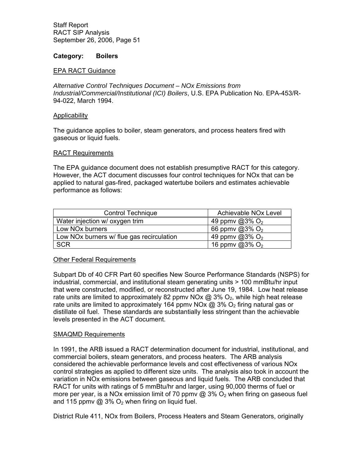### **Category: Boilers**

#### EPA RACT Guidance

*Alternative Control Techniques Document – NOx Emissions from Industrial/Commercial/Institutional (ICI) Boilers*, U.S. EPA Publication No. EPA-453/R-94-022, March 1994.

#### Applicability

The guidance applies to boiler, steam generators, and process heaters fired with gaseous or liquid fuels.

#### RACT Requirements

The EPA guidance document does not establish presumptive RACT for this category. However, the ACT document discusses four control techniques for NOx that can be applied to natural gas-fired, packaged watertube boilers and estimates achievable performance as follows:

| <b>Control Technique</b>                  | Achievable NO <sub>x</sub> Level |
|-------------------------------------------|----------------------------------|
| Water injection w/ oxygen trim            | 49 ppmy $@3\%$ O <sub>2</sub>    |
| Low NO <sub>x</sub> burners               | 66 ppmv @3% $O2$                 |
| Low NOx burners w/ flue gas recirculation | 49 ppmv @3% $O_2$                |
| <b>SCR</b>                                | 16 ppmv $@3\%$ O <sub>2</sub>    |

### Other Federal Requirements

Subpart Db of 40 CFR Part 60 specifies New Source Performance Standards (NSPS) for industrial, commercial, and institutional steam generating units > 100 mmBtu/hr input that were constructed, modified, or reconstructed after June 19, 1984. Low heat release rate units are limited to approximately 82 ppmy NOx  $@3\%$  O<sub>2</sub>, while high heat release rate units are limited to approximately 164 ppmy NOx  $\omega$  3% O<sub>2</sub> firing natural gas or distillate oil fuel. These standards are substantially less stringent than the achievable levels presented in the ACT document.

### SMAQMD Requirements

In 1991, the ARB issued a RACT determination document for industrial, institutional, and commercial boilers, steam generators, and process heaters. The ARB analysis considered the achievable performance levels and cost effectiveness of various NOx control strategies as applied to different size units. The analysis also took in account the variation in NOx emissions between gaseous and liquid fuels. The ARB concluded that RACT for units with ratings of 5 mmBtu/hr and larger, using 90,000 therms of fuel or more per year, is a NOx emission limit of 70 ppmv  $@3\% O_2$  when firing on gaseous fuel and 115 ppmv  $\omega$  3% O<sub>2</sub> when firing on liquid fuel.

District Rule 411, NOx from Boilers, Process Heaters and Steam Generators, originally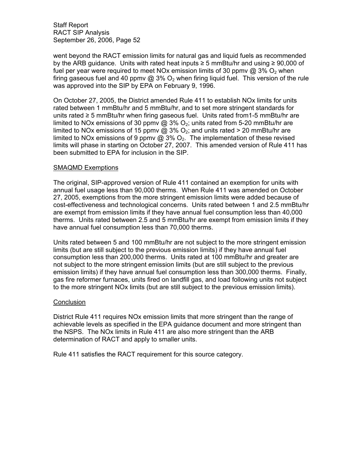went beyond the RACT emission limits for natural gas and liquid fuels as recommended by the ARB guidance. Units with rated heat inputs ≥ 5 mmBtu/hr and using ≥ 90,000 of fuel per year were required to meet NOx emission limits of 30 ppmy  $\omega$  3% O<sub>2</sub> when firing gaseous fuel and 40 ppmv  $\textcircled{a}$  3%  $\textcircled{b}$ , when firing liquid fuel. This version of the rule was approved into the SIP by EPA on February 9, 1996.

On October 27, 2005, the District amended Rule 411 to establish NOx limits for units rated between 1 mmBtu/hr and 5 mmBtu/hr, and to set more stringent standards for units rated ≥ 5 mmBtu/hr when firing gaseous fuel. Units rated from1-5 mmBtu/hr are limited to NOx emissions of 30 ppmv  $@3\%$  O<sub>2</sub>; units rated from 5-20 mmBtu/hr are limited to NOx emissions of 15 ppmv  $@3\% O_2$ ; and units rated > 20 mmBtu/hr are limited to NOx emissions of 9 ppmv  $\omega$  3% O<sub>2</sub>. The implementation of these revised limits will phase in starting on October 27, 2007. This amended version of Rule 411 has been submitted to EPA for inclusion in the SIP.

### SMAQMD Exemptions

The original, SIP-approved version of Rule 411 contained an exemption for units with annual fuel usage less than 90,000 therms. When Rule 411 was amended on October 27, 2005, exemptions from the more stringent emission limits were added because of cost-effectiveness and technological concerns. Units rated between 1 and 2.5 mmBtu/hr are exempt from emission limits if they have annual fuel consumption less than 40,000 therms. Units rated between 2.5 and 5 mmBtu/hr are exempt from emission limits if they have annual fuel consumption less than 70,000 therms.

Units rated between 5 and 100 mmBtu/hr are not subject to the more stringent emission limits (but are still subject to the previous emission limits) if they have annual fuel consumption less than 200,000 therms. Units rated at 100 mmBtu/hr and greater are not subject to the more stringent emission limits (but are still subject to the previous emission limits) if they have annual fuel consumption less than 300,000 therms. Finally, gas fire reformer furnaces, units fired on landfill gas, and load following units not subject to the more stringent NOx limits (but are still subject to the previous emission limits).

### **Conclusion**

District Rule 411 requires NOx emission limits that more stringent than the range of achievable levels as specified in the EPA guidance document and more stringent than the NSPS. The NOx limits in Rule 411 are also more stringent than the ARB determination of RACT and apply to smaller units.

Rule 411 satisfies the RACT requirement for this source category.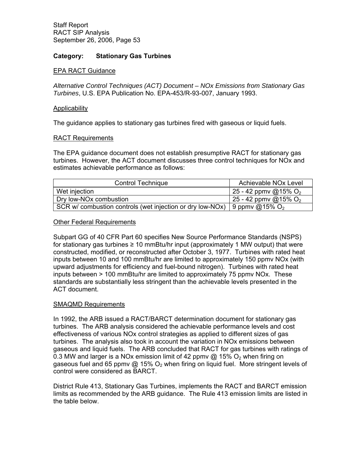### **Category: Stationary Gas Turbines**

### EPA RACT Guidance

*Alternative Control Techniques (ACT) Document – NOx Emissions from Stationary Gas Turbines*, U.S. EPA Publication No. EPA-453/R-93-007, January 1993.

#### Applicability

The guidance applies to stationary gas turbines fired with gaseous or liquid fuels.

#### RACT Requirements

The EPA guidance document does not establish presumptive RACT for stationary gas turbines. However, the ACT document discusses three control techniques for NOx and estimates achievable performance as follows:

| <b>Control Technique</b>                                                      | Achievable NO <sub>x</sub> Level |
|-------------------------------------------------------------------------------|----------------------------------|
| Wet injection                                                                 | 25 - 42 ppmv @15% O <sub>2</sub> |
| Dry low-NO <sub>x</sub> combustion                                            | 25 - 42 ppmv @15% $O_2$          |
| SCR w/ combustion controls (wet injection or dry low-NOx)   9 ppmv @15% $O_2$ |                                  |

### Other Federal Requirements

Subpart GG of 40 CFR Part 60 specifies New Source Performance Standards (NSPS) for stationary gas turbines ≥ 10 mmBtu/hr input (approximately 1 MW output) that were constructed, modified, or reconstructed after October 3, 1977. Turbines with rated heat inputs between 10 and 100 mmBtu/hr are limited to approximately 150 ppmv NOx (with upward adjustments for efficiency and fuel-bound nitrogen). Turbines with rated heat inputs between > 100 mmBtu/hr are limited to approximately 75 ppmv NOx. These standards are substantially less stringent than the achievable levels presented in the ACT document.

### SMAQMD Requirements

In 1992, the ARB issued a RACT/BARCT determination document for stationary gas turbines. The ARB analysis considered the achievable performance levels and cost effectiveness of various NOx control strategies as applied to different sizes of gas turbines. The analysis also took in account the variation in NOx emissions between gaseous and liquid fuels. The ARB concluded that RACT for gas turbines with ratings of 0.3 MW and larger is a NOx emission limit of 42 ppmy  $\omega$  15%  $O_2$  when firing on gaseous fuel and 65 ppmv  $\textcircled{a}$  15% O<sub>2</sub> when firing on liquid fuel. More stringent levels of control were considered as BARCT.

District Rule 413, Stationary Gas Turbines, implements the RACT and BARCT emission limits as recommended by the ARB guidance. The Rule 413 emission limits are listed in the table below.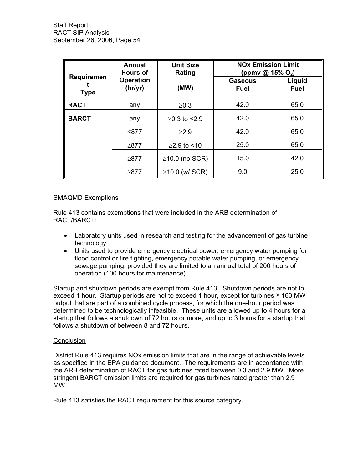|                                  | Annual<br><b>Hours of</b>   | <b>Unit Size</b><br>Rating | <b>NO<sub>x</sub></b> Emission Limit<br>(ppmv @ 15% $O_2$ ) |                       |
|----------------------------------|-----------------------------|----------------------------|-------------------------------------------------------------|-----------------------|
| <b>Requiremen</b><br><b>Type</b> | <b>Operation</b><br>(hr/yr) | (MW)                       | <b>Gaseous</b><br><b>Fuel</b>                               | Liquid<br><b>Fuel</b> |
| <b>RACT</b>                      | any                         | $\geq 0.3$                 | 42.0                                                        | 65.0                  |
| <b>BARCT</b>                     | any                         | $≥0.3$ to <2.9             | 42.0                                                        | 65.0                  |
|                                  | < 877                       | $\geq$ 2.9                 | 42.0                                                        | 65.0                  |
|                                  | ≥877                        | $≥2.9$ to <10              | 25.0                                                        | 65.0                  |
|                                  | $\geq 877$                  | $\geq$ 10.0 (no SCR)       | 15.0                                                        | 42.0                  |
|                                  | $\geq 877$                  | $\geq$ 10.0 (w/ SCR)       | 9.0                                                         | 25.0                  |

### SMAQMD Exemptions

Rule 413 contains exemptions that were included in the ARB determination of RACT/BARCT:

- Laboratory units used in research and testing for the advancement of gas turbine technology.
- Units used to provide emergency electrical power, emergency water pumping for flood control or fire fighting, emergency potable water pumping, or emergency sewage pumping, provided they are limited to an annual total of 200 hours of operation (100 hours for maintenance).

Startup and shutdown periods are exempt from Rule 413. Shutdown periods are not to exceed 1 hour. Startup periods are not to exceed 1 hour, except for turbines ≥ 160 MW output that are part of a combined cycle process, for which the one-hour period was determined to be technologically infeasible. These units are allowed up to 4 hours for a startup that follows a shutdown of 72 hours or more, and up to 3 hours for a startup that follows a shutdown of between 8 and 72 hours.

### **Conclusion**

District Rule 413 requires NOx emission limits that are in the range of achievable levels as specified in the EPA guidance document. The requirements are in accordance with the ARB determination of RACT for gas turbines rated between 0.3 and 2.9 MW. More stringent BARCT emission limits are required for gas turbines rated greater than 2.9 MW.

Rule 413 satisfies the RACT requirement for this source category.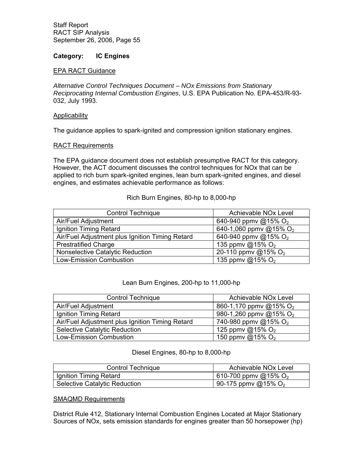### **Category: IC Engines**

### EPA RACT Guidance

*Alternative Control Techniques Document – NOx Emissions from Stationary Reciprocating Internal Combustion Engines*, U.S. EPA Publication No. EPA-453/R-93- 032, July 1993.

### Applicability

The guidance applies to spark-ignited and compression ignition stationary engines.

### RACT Requirements

The EPA guidance document does not establish presumptive RACT for this category. However, the ACT document discusses the control techniques for NOx that can be applied to rich burn spark-ignited engines, lean burn spark-ignited engines, and diesel engines, and estimates achievable performance as follows:

### Rich Burn Engines, 80-hp to 8,000-hp

| <b>Control Technique</b>                        | Achievable NO <sub>x</sub> Level   |
|-------------------------------------------------|------------------------------------|
| Air/Fuel Adjustment                             | 640-940 ppmv @15% $O_2$            |
| Ignition Timing Retard                          | 640-1,060 ppmv @15% O <sub>2</sub> |
| Air/Fuel Adjustment plus Ignition Timing Retard | 640-940 ppmv @15% $O_2$            |
| <b>Prestratified Charge</b>                     | 135 ppmv @15% $O_2$                |
| Nonselective Catalytic Reduction                | 20-110 ppmv @15% O <sub>2</sub>    |
| Low-Emission Combustion                         | 135 ppmv @15% O <sub>2</sub>       |

### Lean Burn Engines, 200-hp to 11,000-hp

| <b>Control Technique</b>                        | Achievable NO <sub>x</sub> Level |
|-------------------------------------------------|----------------------------------|
| Air/Fuel Adjustment                             | 860-1,170 ppmv @15% $O_2$        |
| Ignition Timing Retard                          | 980-1,260 ppmv @15% $O_2$        |
| Air/Fuel Adjustment plus Ignition Timing Retard | 740-980 ppmv @15% O <sub>2</sub> |
| <b>Selective Catalytic Reduction</b>            | 125 ppmv @15% $O_2$              |
| <b>Low-Emission Combustion</b>                  | 150 ppmv @15% O <sub>2</sub>     |

### Diesel Engines, 80-hp to 8,000-hp

| Control Technique                    | Achievable NO <sub>x</sub> Level               |
|--------------------------------------|------------------------------------------------|
| Ignition Timing Retard               | $\frac{1}{2}$ 610-700 ppmv @15% O <sub>2</sub> |
| <b>Selective Catalytic Reduction</b> | 90-175 ppmv @15% $O_2$                         |

### SMAQMD Requirements

District Rule 412, Stationary Internal Combustion Engines Located at Major Stationary Sources of NOx, sets emission standards for engines greater than 50 horsepower (hp)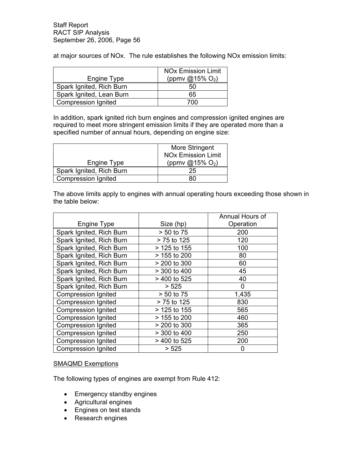at major sources of NOx. The rule establishes the following NOx emission limits:

|                          | <b>NO<sub>x</sub></b> Emission Limit |
|--------------------------|--------------------------------------|
| Engine Type              | (ppmv @15% $O_2$ )                   |
| Spark Ignited, Rich Burn | 50                                   |
| Spark Ignited, Lean Burn | 65                                   |
| Compression Ignited      | 700                                  |

In addition, spark ignited rich burn engines and compression ignited engines are required to meet more stringent emission limits if they are operated more than a specified number of annual hours, depending on engine size:

|                          | More Stringent<br><b>NOx Emission Limit</b> |
|--------------------------|---------------------------------------------|
| Engine Type              | (ppmv @15% $O_2$ )                          |
| Spark Ignited, Rich Burn | 25                                          |
| Compression Ignited      | 80                                          |

The above limits apply to engines with annual operating hours exceeding those shown in the table below:

|                            |              | Annual Hours of |
|----------------------------|--------------|-----------------|
| Engine Type                | Size (hp)    | Operation       |
| Spark Ignited, Rich Burn   | > 50 to 75   | 200             |
| Spark Ignited, Rich Burn   | > 75 to 125  | 120             |
| Spark Ignited, Rich Burn   | > 125 to 155 | 100             |
| Spark Ignited, Rich Burn   | > 155 to 200 | 80              |
| Spark Ignited, Rich Burn   | > 200 to 300 | 60              |
| Spark Ignited, Rich Burn   | > 300 to 400 | 45              |
| Spark Ignited, Rich Burn   | > 400 to 525 | 40              |
| Spark Ignited, Rich Burn   | > 525        | O               |
| <b>Compression Ignited</b> | > 50 to 75   | 1,435           |
| <b>Compression Ignited</b> | > 75 to 125  | 830             |
| <b>Compression Ignited</b> | > 125 to 155 | 565             |
| <b>Compression Ignited</b> | > 155 to 200 | 460             |
| <b>Compression Ignited</b> | > 200 to 300 | 365             |
| <b>Compression Ignited</b> | > 300 to 400 | 250             |
| <b>Compression Ignited</b> | > 400 to 525 | 200             |
| <b>Compression Ignited</b> | > 525        | 0               |

### SMAQMD Exemptions

The following types of engines are exempt from Rule 412:

- Emergency standby engines
- Agricultural engines
- Engines on test stands
- Research engines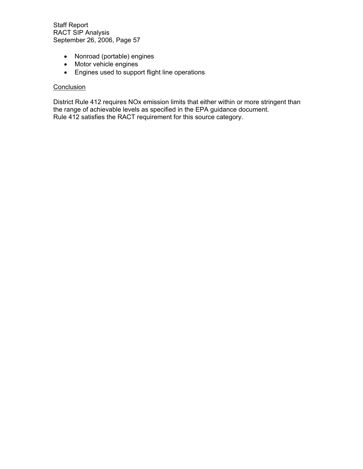- Nonroad (portable) engines
- Motor vehicle engines
- Engines used to support flight line operations

### **Conclusion**

District Rule 412 requires NOx emission limits that either within or more stringent than the range of achievable levels as specified in the EPA guidance document. Rule 412 satisfies the RACT requirement for this source category.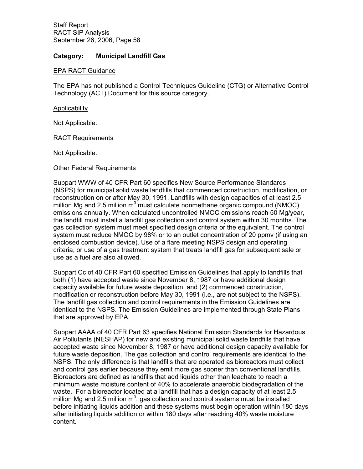### **Category: Municipal Landfill Gas**

#### EPA RACT Guidance

The EPA has not published a Control Techniques Guideline (CTG) or Alternative Control Technology (ACT) Document for this source category.

#### **Applicability**

Not Applicable.

#### RACT Requirements

Not Applicable.

#### Other Federal Requirements

Subpart WWW of 40 CFR Part 60 specifies New Source Performance Standards (NSPS) for municipal solid waste landfills that commenced construction, modification, or reconstruction on or after May 30, 1991. Landfills with design capacities of at least 2.5 million Mg and 2.5 million  $m^3$  must calculate nonmethane organic compound (NMOC) emissions annually. When calculated uncontrolled NMOC emissions reach 50 Mg/year, the landfill must install a landfill gas collection and control system within 30 months. The gas collection system must meet specified design criteria or the equivalent. The control system must reduce NMOC by 98% or to an outlet concentration of 20 ppmv (if using an enclosed combustion device). Use of a flare meeting NSPS design and operating criteria, or use of a gas treatment system that treats landfill gas for subsequent sale or use as a fuel are also allowed.

Subpart Cc of 40 CFR Part 60 specified Emission Guidelines that apply to landfills that both (1) have accepted waste since November 8, 1987 or have additional design capacity available for future waste deposition, and (2) commenced construction, modification or reconstruction before May 30, 1991 (i.e., are not subject to the NSPS). The landfill gas collection and control requirements in the Emission Guidelines are identical to the NSPS. The Emission Guidelines are implemented through State Plans that are approved by EPA.

Subpart AAAA of 40 CFR Part 63 specifies National Emission Standards for Hazardous Air Pollutants (NESHAP) for new and existing municipal solid waste landfills that have accepted waste since November 8, 1987 or have additional design capacity available for future waste deposition. The gas collection and control requirements are identical to the NSPS. The only difference is that landfills that are operated as bioreactors must collect and control gas earlier because they emit more gas sooner than conventional landfills. Bioreactors are defined as landfills that add liquids other than leachate to reach a minimum waste moisture content of 40% to accelerate anaerobic biodegradation of the waste. For a bioreactor located at a landfill that has a design capacity of at least 2.5 million Mg and 2.5 million  $m^3$ , gas collection and control systems must be installed before initiating liquids addition and these systems must begin operation within 180 days after initiating liquids addition or within 180 days after reaching 40% waste moisture content.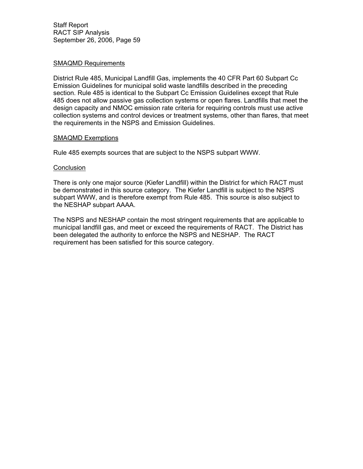### SMAQMD Requirements

District Rule 485, Municipal Landfill Gas, implements the 40 CFR Part 60 Subpart Cc Emission Guidelines for municipal solid waste landfills described in the preceding section. Rule 485 is identical to the Subpart Cc Emission Guidelines except that Rule 485 does not allow passive gas collection systems or open flares. Landfills that meet the design capacity and NMOC emission rate criteria for requiring controls must use active collection systems and control devices or treatment systems, other than flares, that meet the requirements in the NSPS and Emission Guidelines.

### SMAQMD Exemptions

Rule 485 exempts sources that are subject to the NSPS subpart WWW.

### **Conclusion**

There is only one major source (Kiefer Landfill) within the District for which RACT must be demonstrated in this source category. The Kiefer Landfill is subject to the NSPS subpart WWW, and is therefore exempt from Rule 485. This source is also subject to the NESHAP subpart AAAA.

The NSPS and NESHAP contain the most stringent requirements that are applicable to municipal landfill gas, and meet or exceed the requirements of RACT. The District has been delegated the authority to enforce the NSPS and NESHAP. The RACT requirement has been satisfied for this source category.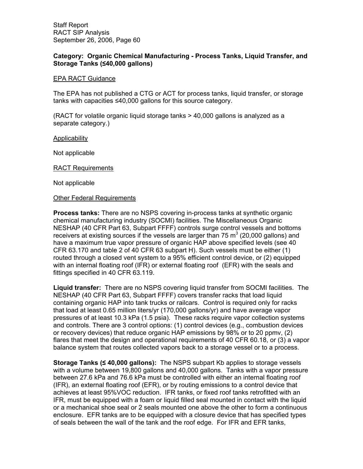### **Category: Organic Chemical Manufacturing - Process Tanks, Liquid Transfer, and Storage Tanks (≤40,000 gallons)**

#### EPA RACT Guidance

The EPA has not published a CTG or ACT for process tanks, liquid transfer, or storage tanks with capacities ≤40,000 gallons for this source category.

(RACT for volatile organic liquid storage tanks > 40,000 gallons is analyzed as a separate category.)

**Applicability** 

Not applicable

RACT Requirements

Not applicable

#### Other Federal Requirements

**Process tanks:** There are no NSPS covering in-process tanks at synthetic organic chemical manufacturing industry (SOCMI) facilities. The Miscellaneous Organic NESHAP (40 CFR Part 63, Subpart FFFF) controls surge control vessels and bottoms receivers at existing sources if the vessels are larger than 75  $m^3$  (20,000 gallons) and have a maximum true vapor pressure of organic HAP above specified levels (see 40 CFR 63.170 and table 2 of 40 CFR 63 subpart H). Such vessels must be either (1) routed through a closed vent system to a 95% efficient control device, or (2) equipped with an internal floating roof (IFR) or external floating roof (EFR) with the seals and fittings specified in 40 CFR 63.119.

**Liquid transfer:** There are no NSPS covering liquid transfer from SOCMI facilities. The NESHAP (40 CFR Part 63, Subpart FFFF) covers transfer racks that load liquid containing organic HAP into tank trucks or railcars. Control is required only for racks that load at least 0.65 million liters/yr (170,000 gallons/yr) and have average vapor pressures of at least 10.3 kPa (1.5 psia). These racks require vapor collection systems and controls. There are 3 control options: (1) control devices (e.g., combustion devices or recovery devices) that reduce organic HAP emissions by 98% or to 20 ppmv, (2) flares that meet the design and operational requirements of 40 CFR 60.18, or (3) a vapor balance system that routes collected vapors back to a storage vessel or to a process.

**Storage Tanks (≤ 40,000 gallons):** The NSPS subpart Kb applies to storage vessels with a volume between 19,800 gallons and 40,000 gallons. Tanks with a vapor pressure between 27.6 kPa and 76.6 kPa must be controlled with either an internal floating roof (IFR), an external floating roof (EFR), or by routing emissions to a control device that achieves at least 95%VOC reduction. IFR tanks, or fixed roof tanks retrofitted with an IFR, must be equipped with a foam or liquid filled seal mounted in contact with the liquid or a mechanical shoe seal or 2 seals mounted one above the other to form a continuous enclosure. EFR tanks are to be equipped with a closure device that has specified types of seals between the wall of the tank and the roof edge. For IFR and EFR tanks,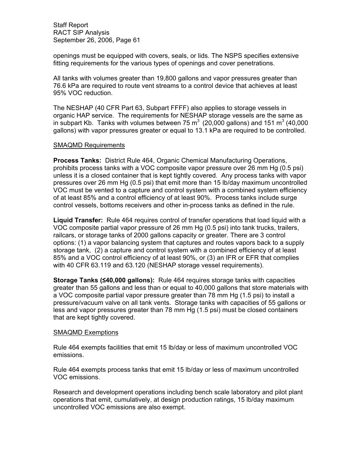openings must be equipped with covers, seals, or lids. The NSPS specifies extensive fitting requirements for the various types of openings and cover penetrations.

All tanks with volumes greater than 19,800 gallons and vapor pressures greater than 76.6 kPa are required to route vent streams to a control device that achieves at least 95% VOC reduction.

The NESHAP (40 CFR Part 63, Subpart FFFF) also applies to storage vessels in organic HAP service. The requirements for NESHAP storage vessels are the same as in subpart Kb. Tanks with volumes between 75 m<sup>3</sup> (20,000 gallons) and 151 m<sup>3</sup> (40,000 gallons) with vapor pressures greater or equal to 13.1 kPa are required to be controlled.

#### SMAQMD Requirements

**Process Tanks:** District Rule 464, Organic Chemical Manufacturing Operations, prohibits process tanks with a VOC composite vapor pressure over 26 mm Hg (0.5 psi) unless it is a closed container that is kept tightly covered. Any process tanks with vapor pressures over 26 mm Hg (0.5 psi) that emit more than 15 lb/day maximum uncontrolled VOC must be vented to a capture and control system with a combined system efficiency of at least 85% and a control efficiency of at least 90%. Process tanks include surge control vessels, bottoms receivers and other in-process tanks as defined in the rule.

**Liquid Transfer:** Rule 464 requires control of transfer operations that load liquid with a VOC composite partial vapor pressure of 26 mm Hg (0.5 psi) into tank trucks, trailers, railcars, or storage tanks of 2000 gallons capacity or greater. There are 3 control options: (1) a vapor balancing system that captures and routes vapors back to a supply storage tank, (2) a capture and control system with a combined efficiency of at least 85% and a VOC control efficiency of at least 90%, or (3) an IFR or EFR that complies with 40 CFR 63.119 and 63.120 (NESHAP storage vessel requirements).

**Storage Tanks (≤40,000 gallons):** Rule 464 requires storage tanks with capacities greater than 55 gallons and less than or equal to 40,000 gallons that store materials with a VOC composite partial vapor pressure greater than 78 mm Hg (1.5 psi) to install a pressure/vacuum valve on all tank vents. Storage tanks with capacities of 55 gallons or less and vapor pressures greater than 78 mm Hg (1.5 psi) must be closed containers that are kept tightly covered.

#### SMAQMD Exemptions

Rule 464 exempts facilities that emit 15 lb/day or less of maximum uncontrolled VOC emissions.

Rule 464 exempts process tanks that emit 15 lb/day or less of maximum uncontrolled VOC emissions.

Research and development operations including bench scale laboratory and pilot plant operations that emit, cumulatively, at design production ratings, 15 lb/day maximum uncontrolled VOC emissions are also exempt.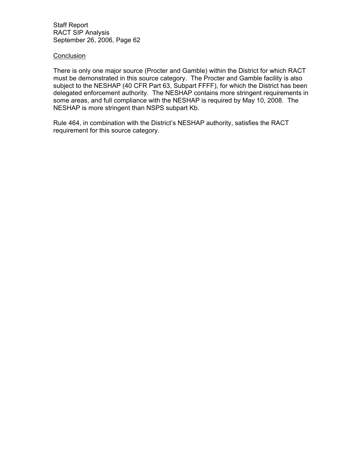### **Conclusion**

There is only one major source (Procter and Gamble) within the District for which RACT must be demonstrated in this source category. The Procter and Gamble facility is also subject to the NESHAP (40 CFR Part 63, Subpart FFFF), for which the District has been delegated enforcement authority. The NESHAP contains more stringent requirements in some areas, and full compliance with the NESHAP is required by May 10, 2008. The NESHAP is more stringent than NSPS subpart Kb.

Rule 464, in combination with the District's NESHAP authority, satisfies the RACT requirement for this source category.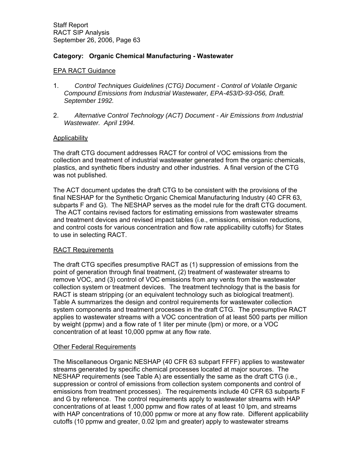### **Category: Organic Chemical Manufacturing - Wastewater**

### EPA RACT Guidance

- 1. *Control Techniques Guidelines (CTG) Document - Control of Volatile Organic Compound Emissions from Industrial Wastewater, EPA-453/D-93-056, Draft. September 1992.*
- 2. *Alternative Control Technology (ACT) Document Air Emissions from Industrial Wastewater. April 1994.*

#### **Applicability**

The draft CTG document addresses RACT for control of VOC emissions from the collection and treatment of industrial wastewater generated from the organic chemicals, plastics, and synthetic fibers industry and other industries. A final version of the CTG was not published.

The ACT document updates the draft CTG to be consistent with the provisions of the final NESHAP for the Synthetic Organic Chemical Manufacturing Industry (40 CFR 63, subparts F and G). The NESHAP serves as the model rule for the draft CTG document. The ACT contains revised factors for estimating emissions from wastewater streams and treatment devices and revised impact tables (i.e., emissions, emission reductions, and control costs for various concentration and flow rate applicability cutoffs) for States to use in selecting RACT.

#### RACT Requirements

The draft CTG specifies presumptive RACT as (1) suppression of emissions from the point of generation through final treatment, (2) treatment of wastewater streams to remove VOC, and (3) control of VOC emissions from any vents from the wastewater collection system or treatment devices. The treatment technology that is the basis for RACT is steam stripping (or an equivalent technology such as biological treatment). Table A summarizes the design and control requirements for wastewater collection system components and treatment processes in the draft CTG. The presumptive RACT applies to wastewater streams with a VOC concentration of at least 500 parts per million by weight (ppmw) and a flow rate of 1 liter per minute (lpm) or more, or a VOC concentration of at least 10,000 ppmw at any flow rate.

#### Other Federal Requirements

The Miscellaneous Organic NESHAP (40 CFR 63 subpart FFFF) applies to wastewater streams generated by specific chemical processes located at major sources. The NESHAP requirements (see Table A) are essentially the same as the draft CTG (i.e., suppression or control of emissions from collection system components and control of emissions from treatment processes). The requirements include 40 CFR 63 subparts F and G by reference. The control requirements apply to wastewater streams with HAP concentrations of at least 1,000 ppmw and flow rates of at least 10 lpm, and streams with HAP concentrations of 10,000 ppmw or more at any flow rate. Different applicability cutoffs (10 ppmw and greater, 0.02 lpm and greater) apply to wastewater streams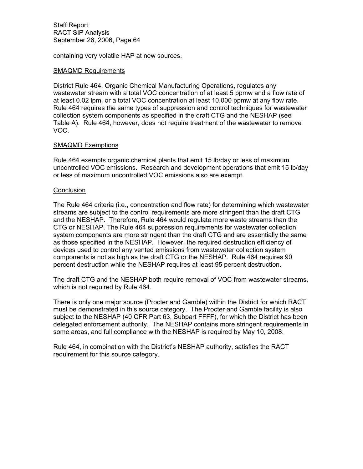containing very volatile HAP at new sources.

#### SMAQMD Requirements

District Rule 464, Organic Chemical Manufacturing Operations, regulates any wastewater stream with a total VOC concentration of at least 5 ppmw and a flow rate of at least 0.02 lpm, or a total VOC concentration at least 10,000 ppmw at any flow rate. Rule 464 requires the same types of suppression and control techniques for wastewater collection system components as specified in the draft CTG and the NESHAP (see Table A). Rule 464, however, does not require treatment of the wastewater to remove VOC.

### SMAQMD Exemptions

Rule 464 exempts organic chemical plants that emit 15 lb/day or less of maximum uncontrolled VOC emissions. Research and development operations that emit 15 lb/day or less of maximum uncontrolled VOC emissions also are exempt.

#### **Conclusion**

The Rule 464 criteria (i.e., concentration and flow rate) for determining which wastewater streams are subject to the control requirements are more stringent than the draft CTG and the NESHAP. Therefore, Rule 464 would regulate more waste streams than the CTG or NESHAP. The Rule 464 suppression requirements for wastewater collection system components are more stringent than the draft CTG and are essentially the same as those specified in the NESHAP. However, the required destruction efficiency of devices used to control any vented emissions from wastewater collection system components is not as high as the draft CTG or the NESHAP. Rule 464 requires 90 percent destruction while the NESHAP requires at least 95 percent destruction.

The draft CTG and the NESHAP both require removal of VOC from wastewater streams, which is not required by Rule 464.

There is only one major source (Procter and Gamble) within the District for which RACT must be demonstrated in this source category. The Procter and Gamble facility is also subject to the NESHAP (40 CFR Part 63, Subpart FFFF), for which the District has been delegated enforcement authority. The NESHAP contains more stringent requirements in some areas, and full compliance with the NESHAP is required by May 10, 2008.

Rule 464, in combination with the District's NESHAP authority, satisfies the RACT requirement for this source category.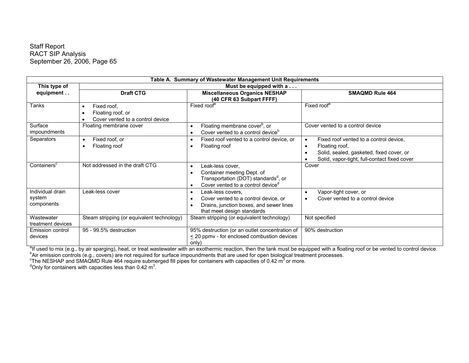| Table A. Summary of Wastewater Management Unit Requirements |                                                                                        |                                                                                                                                                                  |                                                                                                                                                                                |
|-------------------------------------------------------------|----------------------------------------------------------------------------------------|------------------------------------------------------------------------------------------------------------------------------------------------------------------|--------------------------------------------------------------------------------------------------------------------------------------------------------------------------------|
| This type of                                                | Must be equipped with a                                                                |                                                                                                                                                                  |                                                                                                                                                                                |
| equipment                                                   | <b>Draft CTG</b>                                                                       | <b>Miscellaneous Organics NESHAP</b><br>(40 CFR 63 Subpart FFFF)                                                                                                 | <b>SMAQMD Rule 464</b>                                                                                                                                                         |
| Tanks                                                       | Fixed roof,<br>$\bullet$<br>Floating roof, or<br>٠<br>Cover vented to a control device | Fixed roof <sup>®</sup>                                                                                                                                          | Fixed roof <sup>a</sup>                                                                                                                                                        |
| Surface<br>impoundments                                     | Floating membrane cover                                                                | Floating membrane cover <sup>b</sup> , or<br>Cover vented to a control device <sup>b</sup>                                                                       | Cover vented to a control device                                                                                                                                               |
| Separators                                                  | Fixed roof, or<br>$\bullet$<br>Floating roof<br>$\bullet$                              | Fixed roof vented to a control device, or<br>Floating roof                                                                                                       | Fixed roof vented to a control device,<br>$\bullet$<br>Floating roof,<br>$\bullet$<br>Solid, sealed, gasketed, fixed cover, or<br>Solid, vapor-tight, full-contact fixed cover |
| Containers <sup>c</sup>                                     | Not addressed in the draft CTG                                                         | Leak-less cover,<br>$\bullet$<br>Container meeting Dept. of<br>Transportation (DOT) standards <sup>d</sup> , or<br>Cover vented to a control device <sup>d</sup> | Cover                                                                                                                                                                          |
| Individual drain<br>system<br>components                    | Leak-less cover                                                                        | Leak-less covers,<br>Cover vented to a control device, or<br>Drains, junction boxes, and sewer lines<br>that meet design standards                               | Vapor-tight cover, or<br>$\bullet$<br>Cover vented to a control device                                                                                                         |
| Wastewater<br>treatment devices                             | Steam stripping (or equivalent technology)                                             | Steam stripping (or equivalent technology)                                                                                                                       | Not specified                                                                                                                                                                  |
| Emission control<br>devices                                 | 95 - 99.5% destruction                                                                 | 95% destruction (or an outlet concentration of<br>$\leq$ 20 ppmv - for enclosed combustion devices<br>only)                                                      | 90% destruction                                                                                                                                                                |

<sup>a</sup>lf used to mix (e.g., by air sparging), heat, or treat wastewater with an exothermic reaction, then the tank must be equipped with a floating roof or be vented to control device.<br><sup>b</sup>Air emission controls (e.g., covers)

 $\mathrm{^c}$ The NESHAP and SMAQMD Rule 464 require submerged fill pipes for containers with capacities of 0.42 m $^3$ or more.<br><sup>d</sup>Only for containers with capacities less than 0.42 m $^3$ .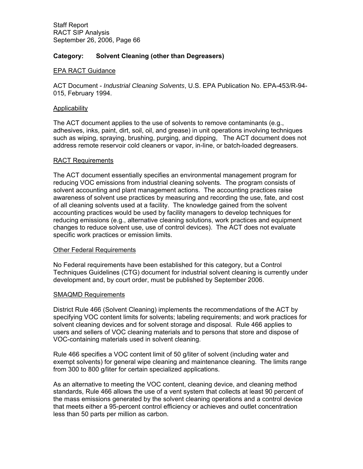### **Category: Solvent Cleaning (other than Degreasers)**

### EPA RACT Guidance

ACT Document - *Industrial Cleaning Solvents*, U.S. EPA Publication No. EPA-453/R-94- 015, February 1994.

### **Applicability**

The ACT document applies to the use of solvents to remove contaminants (e.g., adhesives, inks, paint, dirt, soil, oil, and grease) in unit operations involving techniques such as wiping, spraying, brushing, purging, and dipping, The ACT document does not address remote reservoir cold cleaners or vapor, in-line, or batch-loaded degreasers.

#### RACT Requirements

The ACT document essentially specifies an environmental management program for reducing VOC emissions from industrial cleaning solvents. The program consists of solvent accounting and plant management actions. The accounting practices raise awareness of solvent use practices by measuring and recording the use, fate, and cost of all cleaning solvents used at a facility. The knowledge gained from the solvent accounting practices would be used by facility managers to develop techniques for reducing emissions (e.g., alternative cleaning solutions, work practices and equipment changes to reduce solvent use, use of control devices). The ACT does not evaluate specific work practices or emission limits.

### Other Federal Requirements

No Federal requirements have been established for this category, but a Control Techniques Guidelines (CTG) document for industrial solvent cleaning is currently under development and, by court order, must be published by September 2006.

### SMAQMD Requirements

District Rule 466 (Solvent Cleaning) implements the recommendations of the ACT by specifying VOC content limits for solvents; labeling requirements; and work practices for solvent cleaning devices and for solvent storage and disposal. Rule 466 applies to users and sellers of VOC cleaning materials and to persons that store and dispose of VOC-containing materials used in solvent cleaning.

Rule 466 specifies a VOC content limit of 50 g/liter of solvent (including water and exempt solvents) for general wipe cleaning and maintenance cleaning. The limits range from 300 to 800 g/liter for certain specialized applications.

As an alternative to meeting the VOC content, cleaning device, and cleaning method standards, Rule 466 allows the use of a vent system that collects at least 90 percent of the mass emissions generated by the solvent cleaning operations and a control device that meets either a 95-percent control efficiency or achieves and outlet concentration less than 50 parts per million as carbon.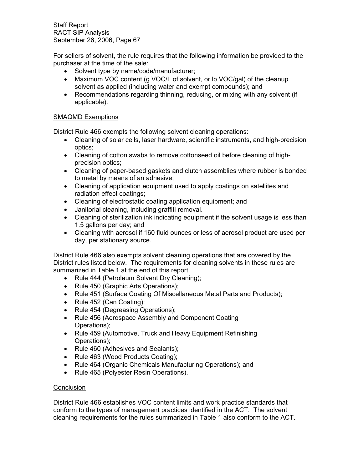For sellers of solvent, the rule requires that the following information be provided to the purchaser at the time of the sale:

- Solvent type by name/code/manufacturer;
- Maximum VOC content (g VOC/L of solvent, or Ib VOC/gal) of the cleanup solvent as applied (including water and exempt compounds); and
- Recommendations regarding thinning, reducing, or mixing with any solvent (if applicable).

### SMAQMD Exemptions

District Rule 466 exempts the following solvent cleaning operations:

- Cleaning of solar cells, laser hardware, scientific instruments, and high-precision optics;
- Cleaning of cotton swabs to remove cottonseed oil before cleaning of highprecision optics;
- Cleaning of paper-based gaskets and clutch assemblies where rubber is bonded to metal by means of an adhesive;
- Cleaning of application equipment used to apply coatings on satellites and radiation effect coatings;
- Cleaning of electrostatic coating application equipment; and
- Janitorial cleaning, including graffiti removal.
- Cleaning of sterilization ink indicating equipment if the solvent usage is less than 1.5 gallons per day; and
- Cleaning with aerosol if 160 fluid ounces or less of aerosol product are used per day, per stationary source.

District Rule 466 also exempts solvent cleaning operations that are covered by the District rules listed below. The requirements for cleaning solvents in these rules are summarized in Table 1 at the end of this report.

- Rule 444 (Petroleum Solvent Dry Cleaning);
- Rule 450 (Graphic Arts Operations);
- Rule 451 (Surface Coating Of Miscellaneous Metal Parts and Products);
- Rule 452 (Can Coating);
- Rule 454 (Degreasing Operations);
- Rule 456 (Aerospace Assembly and Component Coating Operations);
- Rule 459 (Automotive, Truck and Heavy Equipment Refinishing Operations);
- Rule 460 (Adhesives and Sealants);
- Rule 463 (Wood Products Coating);
- Rule 464 (Organic Chemicals Manufacturing Operations); and
- Rule 465 (Polyester Resin Operations).

### **Conclusion**

District Rule 466 establishes VOC content limits and work practice standards that conform to the types of management practices identified in the ACT. The solvent cleaning requirements for the rules summarized in Table 1 also conform to the ACT.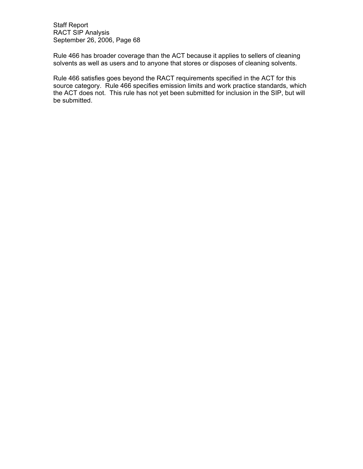Rule 466 has broader coverage than the ACT because it applies to sellers of cleaning solvents as well as users and to anyone that stores or disposes of cleaning solvents.

Rule 466 satisfies goes beyond the RACT requirements specified in the ACT for this source category. Rule 466 specifies emission limits and work practice standards, which the ACT does not. This rule has not yet been submitted for inclusion in the SIP, but will be submitted.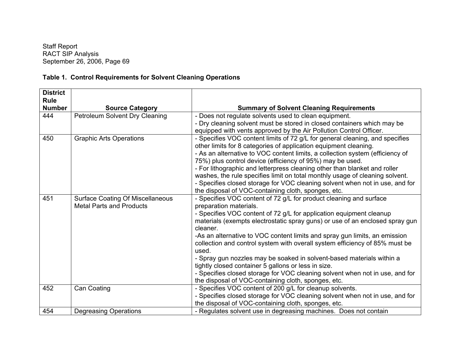# **Table 1. Control Requirements for Solvent Cleaning Operations**

| <b>District</b><br><b>Rule</b> |                                         |                                                                                          |
|--------------------------------|-----------------------------------------|------------------------------------------------------------------------------------------|
| <b>Number</b>                  | <b>Source Category</b>                  | <b>Summary of Solvent Cleaning Requirements</b>                                          |
| 444                            | Petroleum Solvent Dry Cleaning          | - Does not regulate solvents used to clean equipment.                                    |
|                                |                                         | - Dry cleaning solvent must be stored in closed containers which may be                  |
|                                |                                         | equipped with vents approved by the Air Pollution Control Officer.                       |
| 450                            | <b>Graphic Arts Operations</b>          | - Specifies VOC content limits of 72 g/L for general cleaning, and specifies             |
|                                |                                         | other limits for 8 categories of application equipment cleaning.                         |
|                                |                                         | - As an alternative to VOC content limits, a collection system (efficiency of            |
|                                |                                         | 75%) plus control device (efficiency of 95%) may be used.                                |
|                                |                                         | - For lithographic and letterpress cleaning other than blanket and roller                |
|                                |                                         | washes, the rule specifies limit on total monthly usage of cleaning solvent.             |
|                                |                                         | - Specifies closed storage for VOC cleaning solvent when not in use, and for             |
|                                |                                         | the disposal of VOC-containing cloth, sponges, etc.                                      |
| 451                            | <b>Surface Coating Of Miscellaneous</b> | - Specifies VOC content of 72 g/L for product cleaning and surface                       |
|                                | <b>Metal Parts and Products</b>         | preparation materials.                                                                   |
|                                |                                         | - Specifies VOC content of 72 g/L for application equipment cleanup                      |
|                                |                                         | materials (exempts electrostatic spray guns) or use of an enclosed spray gun<br>cleaner. |
|                                |                                         | -As an alternative to VOC content limits and spray gun limits, an emission               |
|                                |                                         | collection and control system with overall system efficiency of 85% must be<br>used.     |
|                                |                                         | - Spray gun nozzles may be soaked in solvent-based materials within a                    |
|                                |                                         | tightly closed container 5 gallons or less in size.                                      |
|                                |                                         | - Specifies closed storage for VOC cleaning solvent when not in use, and for             |
|                                |                                         | the disposal of VOC-containing cloth, sponges, etc.                                      |
| 452                            | Can Coating                             | - Specifies VOC content of 200 g/L for cleanup solvents.                                 |
|                                |                                         | - Specifies closed storage for VOC cleaning solvent when not in use, and for             |
|                                |                                         | the disposal of VOC-containing cloth, sponges, etc.                                      |
| 454                            | Degreasing Operations                   | - Regulates solvent use in degreasing machines. Does not contain                         |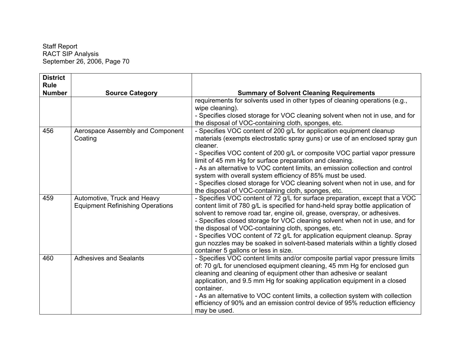| <b>District</b> |                                         |                                                                                 |  |
|-----------------|-----------------------------------------|---------------------------------------------------------------------------------|--|
| <b>Rule</b>     |                                         |                                                                                 |  |
| <b>Number</b>   | <b>Source Category</b>                  | <b>Summary of Solvent Cleaning Requirements</b>                                 |  |
|                 |                                         | requirements for solvents used in other types of cleaning operations (e.g.,     |  |
|                 |                                         | wipe cleaning).                                                                 |  |
|                 |                                         | - Specifies closed storage for VOC cleaning solvent when not in use, and for    |  |
|                 |                                         | the disposal of VOC-containing cloth, sponges, etc.                             |  |
| 456             | Aerospace Assembly and Component        | - Specifies VOC content of 200 g/L for application equipment cleanup            |  |
|                 | Coating                                 | materials (exempts electrostatic spray guns) or use of an enclosed spray gun    |  |
|                 |                                         | cleaner.                                                                        |  |
|                 |                                         | - Specifies VOC content of 200 g/L or composite VOC partial vapor pressure      |  |
|                 |                                         | limit of 45 mm Hg for surface preparation and cleaning.                         |  |
|                 |                                         | - As an alternative to VOC content limits, an emission collection and control   |  |
|                 |                                         | system with overall system efficiency of 85% must be used.                      |  |
|                 |                                         | - Specifies closed storage for VOC cleaning solvent when not in use, and for    |  |
|                 |                                         | the disposal of VOC-containing cloth, sponges, etc.                             |  |
| 459             | Automotive, Truck and Heavy             | - Specifies VOC content of 72 g/L for surface preparation, except that a VOC    |  |
|                 | <b>Equipment Refinishing Operations</b> | content limit of 780 g/L is specified for hand-held spray bottle application of |  |
|                 |                                         | solvent to remove road tar, engine oil, grease, overspray, or adhesives.        |  |
|                 |                                         | - Specifies closed storage for VOC cleaning solvent when not in use, and for    |  |
|                 |                                         | the disposal of VOC-containing cloth, sponges, etc.                             |  |
|                 |                                         | - Specifies VOC content of 72 g/L for application equipment cleanup. Spray      |  |
|                 |                                         | gun nozzles may be soaked in solvent-based materials within a tightly closed    |  |
|                 |                                         | container 5 gallons or less in size.                                            |  |
| 460             | <b>Adhesives and Sealants</b>           | - Specifies VOC content limits and/or composite partial vapor pressure limits   |  |
|                 |                                         | of: 70 g/L for unenclosed equipment cleaning, 45 mm Hg for enclosed gun         |  |
|                 |                                         | cleaning and cleaning of equipment other than adhesive or sealant               |  |
|                 |                                         | application, and 9.5 mm Hg for soaking application equipment in a closed        |  |
|                 |                                         | container.                                                                      |  |
|                 |                                         | - As an alternative to VOC content limits, a collection system with collection  |  |
|                 |                                         | efficiency of 90% and an emission control device of 95% reduction efficiency    |  |
|                 |                                         | may be used.                                                                    |  |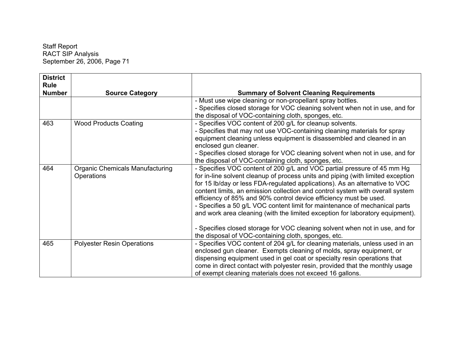| <b>District</b><br>Rule |                                        |                                                                                                                                                    |
|-------------------------|----------------------------------------|----------------------------------------------------------------------------------------------------------------------------------------------------|
| <b>Number</b>           | <b>Source Category</b>                 | <b>Summary of Solvent Cleaning Requirements</b>                                                                                                    |
|                         |                                        | - Must use wipe cleaning or non-propellant spray bottles.                                                                                          |
|                         |                                        | - Specifies closed storage for VOC cleaning solvent when not in use, and for                                                                       |
|                         |                                        | the disposal of VOC-containing cloth, sponges, etc.                                                                                                |
| 463                     | <b>Wood Products Coating</b>           | - Specifies VOC content of 200 g/L for cleanup solvents.                                                                                           |
|                         |                                        | - Specifies that may not use VOC-containing cleaning materials for spray                                                                           |
|                         |                                        | equipment cleaning unless equipment is disassembled and cleaned in an                                                                              |
|                         |                                        | enclosed gun cleaner.                                                                                                                              |
|                         |                                        | - Specifies closed storage for VOC cleaning solvent when not in use, and for                                                                       |
|                         |                                        | the disposal of VOC-containing cloth, sponges, etc.                                                                                                |
| 464                     | <b>Organic Chemicals Manufacturing</b> | - Specifies VOC content of 200 g/L and VOC partial pressure of 45 mm Hg                                                                            |
|                         | Operations                             | for in-line solvent cleanup of process units and piping (with limited exception                                                                    |
|                         |                                        | for 15 lb/day or less FDA-regulated applications). As an alternative to VOC                                                                        |
|                         |                                        | content limits, an emission collection and control system with overall system<br>efficiency of 85% and 90% control device efficiency must be used. |
|                         |                                        | - Specifies a 50 g/L VOC content limit for maintenance of mechanical parts                                                                         |
|                         |                                        | and work area cleaning (with the limited exception for laboratory equipment).                                                                      |
|                         |                                        |                                                                                                                                                    |
|                         |                                        | - Specifies closed storage for VOC cleaning solvent when not in use, and for                                                                       |
|                         |                                        | the disposal of VOC-containing cloth, sponges, etc.                                                                                                |
| 465                     | <b>Polyester Resin Operations</b>      | - Specifies VOC content of 204 g/L for cleaning materials, unless used in an                                                                       |
|                         |                                        | enclosed gun cleaner. Exempts cleaning of molds, spray equipment, or                                                                               |
|                         |                                        | dispensing equipment used in gel coat or specialty resin operations that                                                                           |
|                         |                                        | come in direct contact with polyester resin, provided that the monthly usage                                                                       |
|                         |                                        | of exempt cleaning materials does not exceed 16 gallons.                                                                                           |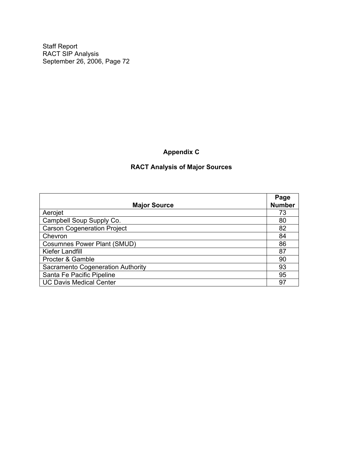# **Appendix C**

# **RACT Analysis of Major Sources**

| <b>Major Source</b>                      | Page<br><b>Number</b> |
|------------------------------------------|-----------------------|
| Aerojet                                  | 73                    |
| Campbell Soup Supply Co.                 | 80                    |
| <b>Carson Cogeneration Project</b>       | 82                    |
| Chevron                                  | 84                    |
| <b>Cosumnes Power Plant (SMUD)</b>       | 86                    |
| Kiefer Landfill                          | 87                    |
| Procter & Gamble                         | 90                    |
| <b>Sacramento Cogeneration Authority</b> | 93                    |
| Santa Fe Pacific Pipeline                | 95                    |
| <b>UC Davis Medical Center</b>           | 97                    |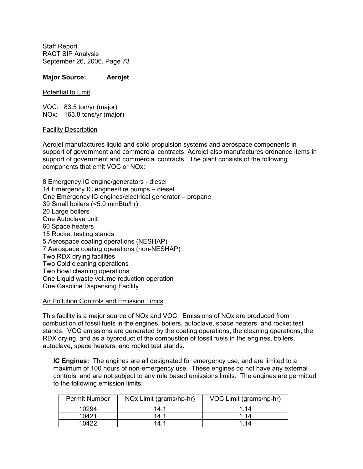**Major Source: Aerojet** 

Potential to Emit

VOC: 83.5 ton/yr (major) NOx: 163.8 tons/yr (major)

#### Facility Description

Aerojet manufactures liquid and solid propulsion systems and aerospace components in support of government and commercial contracts. Aerojet also manufactures ordnance items in support of government and commercial contracts. The plant consists of the following components that emit VOC or NOx:

8 Emergency IC engine/generators - diesel 14 Emergency IC engines/fire pumps – diesel One Emergency IC engines/electrical generator – propane 39 Small boilers (<5.0 mmBtu/hr) 20 Large boilers One Autoclave unit 60 Space heaters 15 Rocket testing stands 5 Aerospace coating operations (NESHAP) 7 Aerospace coating operations (non-NESHAP) Two RDX drying facilities Two Cold cleaning operations Two Bowl cleaning operations One Liquid waste volume reduction operation One Gasoline Dispensing Facility

#### Air Pollution Controls and Emission Limits

This facility is a major source of NOx and VOC. Emissions of NOx are produced from combustion of fossil fuels in the engines, boilers, autoclave, space heaters, and rocket test stands. VOC emissions are generated by the coating operations, the cleaning operations, the RDX drying, and as a byproduct of the combustion of fossil fuels in the engines, boilers, autoclave, space heaters, and rocket test stands.

**IC Engines:** The engines are all designated for emergency use, and are limited to a maximum of 100 hours of non-emergency use. These engines do not have any external controls, and are not subject to any rule based emissions limits. The engines are permitted to the following emission limits:

| <b>Permit Number</b> | NOx Limit (grams/hp-hr) | VOC Limit (grams/hp-hr) |
|----------------------|-------------------------|-------------------------|
| 10294                | 14 1                    | 1 14                    |
| 10421                | 14 1                    | 1 14                    |
| 10422                | 14.1                    | 1 14                    |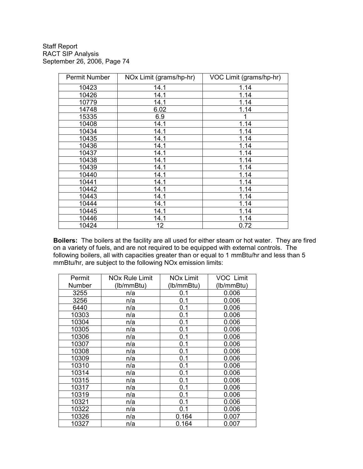| Permit Number | NOx Limit (grams/hp-hr) | VOC Limit (grams/hp-hr) |
|---------------|-------------------------|-------------------------|
| 10423         | 14.1                    | 1.14                    |
| 10426         | 14.1                    | 1.14                    |
| 10779         | 14.1                    | 1.14                    |
| 14748         | 6.02                    | 1.14                    |
| 15335         | 6.9                     | 1                       |
| 10408         | 14.1                    | 1.14                    |
| 10434         | 14.1                    | 1.14                    |
| 10435         | 14.1                    | 1.14                    |
| 10436         | 14.1                    | 1.14                    |
| 10437         | 14.1                    | 1.14                    |
| 10438         | 14.1                    | 1.14                    |
| 10439         | 14.1                    | 1.14                    |
| 10440         | 14.1                    | 1.14                    |
| 10441         | 14.1                    | 1.14                    |
| 10442         | 14.1                    | 1.14                    |
| 10443         | 14.1                    | 1.14                    |
| 10444         | 14.1                    | 1.14                    |
| 10445         | 14.1                    | 1.14                    |
| 10446         | 14.1                    | 1.14                    |
| 10424         | 12 <sub>2</sub>         | 0.72                    |

**Boilers:** The boilers at the facility are all used for either steam or hot water. They are fired on a variety of fuels, and are not required to be equipped with external controls. The following boilers, all with capacities greater than or equal to 1 mmBtu/hr and less than 5 mmBtu/hr, are subject to the following NOx emission limits:

| Permit | <b>NOx Rule Limit</b> | <b>NOx Limit</b> | <b>VOC Limit</b> |
|--------|-----------------------|------------------|------------------|
| Number | (lb/mmBtu)            | (lb/mmBtu)       | (lb/mmBtu)       |
| 3255   | n/a                   | 0.1              | 0.006            |
| 3256   | n/a                   | 0.1              | 0.006            |
| 6440   | n/a                   | 0.1              | 0.006            |
| 10303  | n/a                   | 0.1              | 0.006            |
| 10304  | n/a                   | 0.1              | 0.006            |
| 10305  | n/a                   | 0.1              | 0.006            |
| 10306  | n/a                   | 0.1              | 0.006            |
| 10307  | n/a                   | 0.1              | 0.006            |
| 10308  | n/a                   | 0.1              | 0.006            |
| 10309  | n/a                   | 0.1              | 0.006            |
| 10310  | n/a                   | 0.1              | 0.006            |
| 10314  | n/a                   | 0.1              | 0.006            |
| 10315  | n/a                   | 0.1              | 0.006            |
| 10317  | n/a                   | 0.1              | 0.006            |
| 10319  | n/a                   | 0.1              | 0.006            |
| 10321  | n/a                   | 0.1              | 0.006            |
| 10322  | n/a                   | 0.1              | 0.006            |
| 10326  | n/a                   | 0.164            | 0.007            |
| 10327  | n/a                   | 0.164            | 0.007            |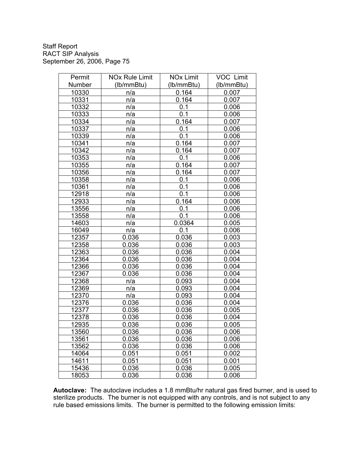| Permit | <b>NOx Rule Limit</b> | <b>NOx Limit</b> | <b>VOC Limit</b> |
|--------|-----------------------|------------------|------------------|
| Number | (lb/mmBtu)            | (lb/mmBtu)       | (lb/mmBtu)       |
| 10330  | n/a                   | 0.164            | 0.007            |
| 10331  | n/a                   | 0.164            | 0.007            |
| 10332  | n/a                   | 0.1              | 0.006            |
| 10333  | n/a                   | 0.1              | 0.006            |
| 10334  | n/a                   | 0.164            | 0.007            |
| 10337  | n/a                   | 0.1              | 0.006            |
| 10339  | n/a                   | 0.1              | 0.006            |
| 10341  | n/a                   | 0.164            | 0.007            |
| 10342  | n/a                   | 0.164            | 0.007            |
| 10353  | n/a                   | 0.1              | 0.006            |
| 10355  | n/a                   | 0.164            | 0.007            |
| 10356  | n/a                   | 0.164            | 0.007            |
| 10358  | n/a                   | 0.1              | 0.006            |
| 10361  | n/a                   | $\overline{0.1}$ | 0.006            |
| 12918  | n/a                   | 0.1              | 0.006            |
| 12933  | n/a                   | 0.164            | 0.006            |
| 13556  | n/a                   | 0.1              | 0.006            |
| 13558  | n/a                   | 0.1              | 0.006            |
| 14603  | n/a                   | 0.0364           | 0.005            |
| 16049  | n/a                   | 0.1              | 0.006            |
| 12357  | 0.036                 | 0.036            | 0.003            |
| 12358  | 0.036                 | 0.036            | 0.003            |
| 12363  | 0.036                 | 0.036            | 0.004            |
| 12364  | 0.036                 | 0.036            | 0.004            |
| 12366  | 0.036                 | 0.036            | 0.004            |
| 12367  | 0.036                 | 0.036            | 0.004            |
| 12368  | n/a                   | 0.093            | 0.004            |
| 12369  | n/a                   | 0.093            | 0.004            |
| 12370  | $\overline{n}/a$      | 0.093            | 0.004            |
| 12376  | 0.036                 | 0.036            | 0.004            |
| 12377  | 0.036                 | 0.036            | 0.005            |
| 12378  | 0.036                 | 0.036            | 0.004            |
| 12935  | 0.036                 | 0.036            | 0.005            |
| 13560  | 0.036                 | 0.036            | 0.006            |
| 13561  | 0.036                 | 0.036            | 0.006            |
| 13562  | 0.036                 | 0.036            | 0.006            |
| 14064  | 0.051                 | 0.051            | 0.002            |
| 14611  | 0.051                 | 0.051            | 0.001            |
| 15436  | 0.036                 | 0.036            | 0.005            |
| 18053  | 0.036                 | 0.036            | 0.006            |

**Autoclave:** The autoclave includes a 1.8 mmBtu/hr natural gas fired burner, and is used to sterilize products. The burner is not equipped with any controls, and is not subject to any rule based emissions limits. The burner is permitted to the following emission limits: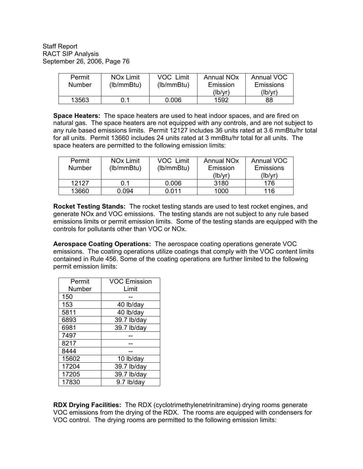| Permit | NO <sub>x</sub> Limit | VOC Limit  | <b>Annual NO<sub>x</sub></b> | <b>Annual VOC</b>    |
|--------|-----------------------|------------|------------------------------|----------------------|
| Number | (lb/mmBtu)            | (lb/mmBtu) | Emission<br>(lb/vr)          | Emissions<br>(lb/vr) |
| 13563  | ሰ 1                   | 0.006      | 1592                         | 88                   |

**Space Heaters:** The space heaters are used to heat indoor spaces, and are fired on natural gas. The space heaters are not equipped with any controls, and are not subject to any rule based emissions limits. Permit 12127 includes 36 units rated at 3.6 mmBtu/hr total for all units. Permit 13660 includes 24 units rated at 3 mmBtu/hr total for all units. The space heaters are permitted to the following emission limits:

| Permit<br><b>Number</b> | NO <sub>x</sub> Limit<br>(lb/mmBtu) | VOC Limit<br>(lb/mmBtu) | <b>Annual NO<sub>x</sub></b><br>Emission<br>(lb/vr) | Annual VOC<br>Emissions<br>(lb/yr) |
|-------------------------|-------------------------------------|-------------------------|-----------------------------------------------------|------------------------------------|
| 12127                   | በ 1                                 | 0.006                   | 3180                                                | 176                                |
| 13660                   | 0.094                               | 0.011                   | 1000                                                | 116                                |

**Rocket Testing Stands:** The rocket testing stands are used to test rocket engines, and generate NOx and VOC emissions. The testing stands are not subject to any rule based emissions limits or permit emission limits. Some of the testing stands are equipped with the controls for pollutants other than VOC or NOx.

**Aerospace Coating Operations:** The aerospace coating operations generate VOC emissions. The coating operations utilize coatings that comply with the VOC content limits contained in Rule 456. Some of the coating operations are further limited to the following permit emission limits:

| Permit | <b>VOC Emission</b> |
|--------|---------------------|
| Number | Limit               |
| 150    |                     |
| 153    | 40 lb/day           |
| 5811   | 40 lb/day           |
| 6893   | 39.7 lb/day         |
| 6981   | 39.7 lb/day         |
| 7497   |                     |
| 8217   |                     |
| 8444   |                     |
| 15602  | 10 lb/day           |
| 17204  | 39.7 lb/day         |
| 17205  | 39.7 lb/day         |
| 17830  | 9.7 lb/day          |

**RDX Drying Facilities:** The RDX (cyclotrimethylenetrinitramine) drying rooms generate VOC emissions from the drying of the RDX. The rooms are equipped with condensers for VOC control. The drying rooms are permitted to the following emission limits: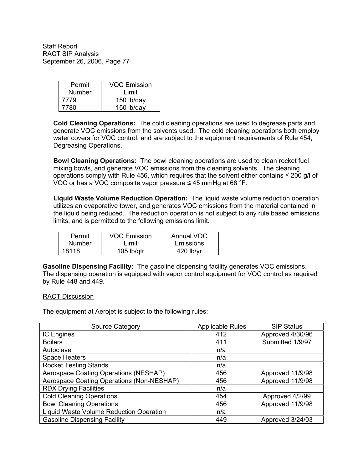| Permit | VOC Emission |
|--------|--------------|
| Number | Limit        |
| 7779   | 150 lb/day   |
| 7780   | 150 lb/day   |

**Cold Cleaning Operations:** The cold cleaning operations are used to degrease parts and generate VOC emissions from the solvents used. The cold cleaning operations both employ water covers for VOC control, and are subject to the equipment requirements of Rule 454, Degreasing Operations.

**Bowl Cleaning Operations:** The bowl cleaning operations are used to clean rocket fuel mixing bowls, and generate VOC emissions from the cleaning solvents. The cleaning operations comply with Rule 456, which requires that the solvent either contains ≤ 200 g/l of VOC or has a VOC composite vapor pressure  $\leq 45$  mmHg at 68 °F.

**Liquid Waste Volume Reduction Operation:** The liquid waste volume reduction operation utilizes an evaporative tower, and generates VOC emissions from the material contained in the liquid being reduced. The reduction operation is not subject to any rule based emissions limits, and is permitted to the following emissions limit.

| Permit | <b>VOC Emission</b> | Annual VOC |
|--------|---------------------|------------|
| Number | . imit              | Emissions  |
| 18118  | 105 lb/gtr          | 420 lb/vr  |

**Gasoline Dispensing Facility:** The gasoline dispensing facility generates VOC emissions. The dispensing operation is equipped with vapor control equipment for VOC control as required by Rule 448 and 449.

#### RACT Discussion

The equipment at Aerojet is subject to the following rules:

| Source Category                           | <b>Applicable Rules</b> | <b>SIP Status</b> |
|-------------------------------------------|-------------------------|-------------------|
| <b>IC Engines</b>                         | 412                     | Approved 4/30/96  |
| <b>Boilers</b>                            | 411                     | Submitted 1/9/97  |
| Autoclave                                 | n/a                     |                   |
| <b>Space Heaters</b>                      | n/a                     |                   |
| <b>Rocket Testing Stands</b>              | n/a                     |                   |
| Aerospace Coating Operations (NESHAP)     | 456                     | Approved 11/9/98  |
| Aerospace Coating Operations (Non-NESHAP) | 456                     | Approved 11/9/98  |
| <b>RDX Drying Facilities</b>              | n/a                     |                   |
| <b>Cold Cleaning Operations</b>           | 454                     | Approved 4/2/99   |
| <b>Bowl Cleaning Operations</b>           | 456                     | Approved 11/9/98  |
| Liquid Waste Volume Reduction Operation   | n/a                     |                   |
| <b>Gasoline Dispensing Facility</b>       | 449                     | Approved 3/24/03  |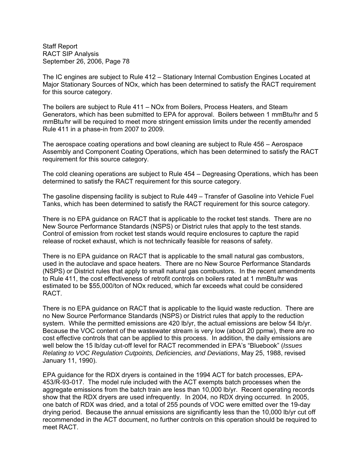The IC engines are subject to Rule 412 – Stationary Internal Combustion Engines Located at Major Stationary Sources of NOx, which has been determined to satisfy the RACT requirement for this source category.

The boilers are subject to Rule 411 – NOx from Boilers, Process Heaters, and Steam Generators, which has been submitted to EPA for approval. Boilers between 1 mmBtu/hr and 5 mmBtu/hr will be required to meet more stringent emission limits under the recently amended Rule 411 in a phase-in from 2007 to 2009.

The aerospace coating operations and bowl cleaning are subject to Rule 456 – Aerospace Assembly and Component Coating Operations, which has been determined to satisfy the RACT requirement for this source category.

The cold cleaning operations are subject to Rule 454 – Degreasing Operations, which has been determined to satisfy the RACT requirement for this source category.

The gasoline dispensing facility is subject to Rule 449 – Transfer of Gasoline into Vehicle Fuel Tanks, which has been determined to satisfy the RACT requirement for this source category.

There is no EPA guidance on RACT that is applicable to the rocket test stands. There are no New Source Performance Standards (NSPS) or District rules that apply to the test stands. Control of emission from rocket test stands would require enclosures to capture the rapid release of rocket exhaust, which is not technically feasible for reasons of safety.

There is no EPA guidance on RACT that is applicable to the small natural gas combustors, used in the autoclave and space heaters. There are no New Source Performance Standards (NSPS) or District rules that apply to small natural gas combustors. In the recent amendments to Rule 411, the cost effectiveness of retrofit controls on boilers rated at 1 mmBtu/hr was estimated to be \$55,000/ton of NOx reduced, which far exceeds what could be considered RACT.

There is no EPA guidance on RACT that is applicable to the liquid waste reduction. There are no New Source Performance Standards (NSPS) or District rules that apply to the reduction system. While the permitted emissions are 420 lb/yr, the actual emissions are below 54 lb/yr. Because the VOC content of the wastewater stream is very low (about 20 ppmw), there are no cost effective controls that can be applied to this process. In addition, the daily emissions are well below the 15 lb/day cut-off level for RACT recommended in EPA's "Bluebook" (*Issues Relating to VOC Regulation Cutpoints, Deficiencies, and Deviations*, May 25, 1988, revised January 11, 1990).

EPA guidance for the RDX dryers is contained in the 1994 ACT for batch processes, EPA-453/R-93-017. The model rule included with the ACT exempts batch processes when the aggregate emissions from the batch train are less than 10,000 lb/yr. Recent operating records show that the RDX dryers are used infrequently. In 2004, no RDX drying occurred. In 2005, one batch of RDX was dried, and a total of 255 pounds of VOC were emitted over the 19-day drying period. Because the annual emissions are significantly less than the 10,000 lb/yr cut off recommended in the ACT document, no further controls on this operation should be required to meet RACT.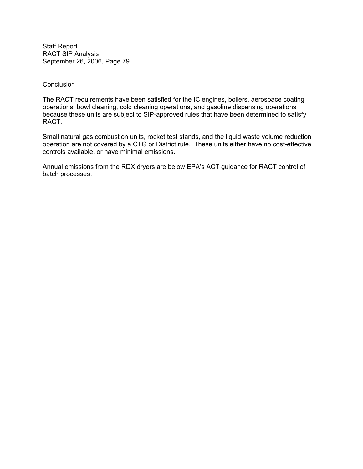#### **Conclusion**

The RACT requirements have been satisfied for the IC engines, boilers, aerospace coating operations, bowl cleaning, cold cleaning operations, and gasoline dispensing operations because these units are subject to SIP-approved rules that have been determined to satisfy RACT.

Small natural gas combustion units, rocket test stands, and the liquid waste volume reduction operation are not covered by a CTG or District rule. These units either have no cost-effective controls available, or have minimal emissions.

Annual emissions from the RDX dryers are below EPA's ACT guidance for RACT control of batch processes.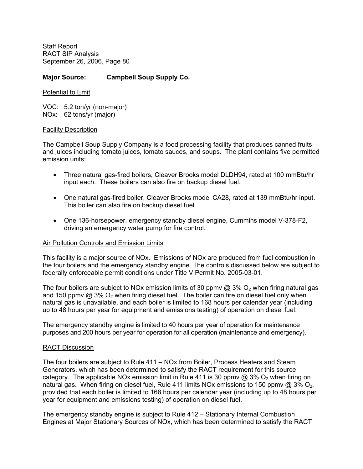## **Major Source: Campbell Soup Supply Co.**

Potential to Emit

VOC: 5.2 ton/yr (non-major) NOx: 62 tons/yr (major)

#### Facility Description

The Campbell Soup Supply Company is a food processing facility that produces canned fruits and juices including tomato juices, tomato sauces, and soups. The plant contains five permitted emission units:

- Three natural gas-fired boilers, Cleaver Brooks model DLDH94, rated at 100 mmBtu/hr input each. These boilers can also fire on backup diesel fuel.
- One natural gas-fired boiler, Cleaver Brooks model CA28, rated at 139 mmBtu/hr input. This boiler can also fire on backup diesel fuel.
- One 136-horsepower, emergency standby diesel engine, Cummins model V-378-F2, driving an emergency water pump for fire control.

#### Air Pollution Controls and Emission Limits

This facility is a major source of NOx. Emissions of NOx are produced from fuel combustion in the four boilers and the emergency standby engine. The controls discussed below are subject to federally enforceable permit conditions under Title V Permit No. 2005-03-01.

The four boilers are subject to NOx emission limits of 30 ppmv  $\omega$  3% O<sub>2</sub> when firing natural gas and 150 ppmv  $\omega$  3% O<sub>2</sub> when firing diesel fuel. The boiler can fire on diesel fuel only when natural gas is unavailable, and each boiler is limited to 168 hours per calendar year (including up to 48 hours per year for equipment and emissions testing) of operation on diesel fuel.

The emergency standby engine is limited to 40 hours per year of operation for maintenance purposes and 200 hours per year for operation for all operation (maintenance and emergency).

#### RACT Discussion

The four boilers are subject to Rule 411 – NOx from Boiler, Process Heaters and Steam Generators, which has been determined to satisfy the RACT requirement for this source category. The applicable NOx emission limit in Rule 411 is 30 ppmv  $\textcircled{a}$  3% O<sub>2</sub> when firing on natural gas. When firing on diesel fuel, Rule 411 limits NOx emissions to 150 ppmv @  $3\%$  O<sub>2</sub>, provided that each boiler is limited to 168 hours per calendar year (including up to 48 hours per year for equipment and emissions testing) of operation on diesel fuel.

The emergency standby engine is subject to Rule 412 – Stationary Internal Combustion Engines at Major Stationary Sources of NOx, which has been determined to satisfy the RACT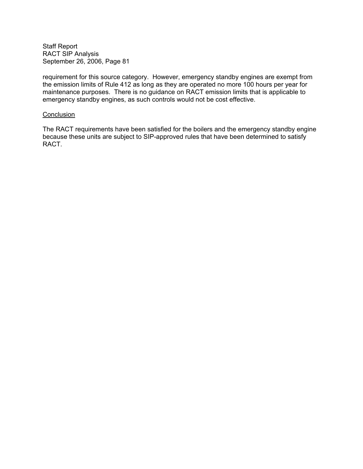requirement for this source category. However, emergency standby engines are exempt from the emission limits of Rule 412 as long as they are operated no more 100 hours per year for maintenance purposes. There is no guidance on RACT emission limits that is applicable to emergency standby engines, as such controls would not be cost effective.

#### **Conclusion**

The RACT requirements have been satisfied for the boilers and the emergency standby engine because these units are subject to SIP-approved rules that have been determined to satisfy RACT.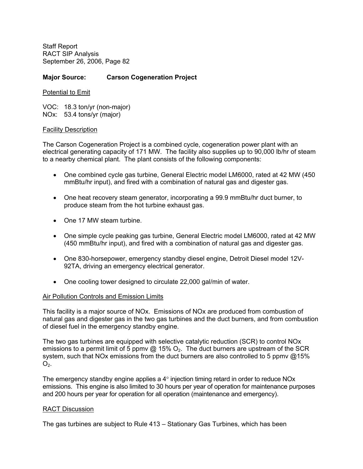#### **Major Source: Carson Cogeneration Project**

Potential to Emit

VOC: 18.3 ton/yr (non-major) NOx: 53.4 tons/yr (major)

#### Facility Description

The Carson Cogeneration Project is a combined cycle, cogeneration power plant with an electrical generating capacity of 171 MW. The facility also supplies up to 90,000 lb/hr of steam to a nearby chemical plant. The plant consists of the following components:

- One combined cycle gas turbine, General Electric model LM6000, rated at 42 MW (450 mmBtu/hr input), and fired with a combination of natural gas and digester gas.
- One heat recovery steam generator, incorporating a 99.9 mmBtu/hr duct burner, to produce steam from the hot turbine exhaust gas.
- One 17 MW steam turbine.
- One simple cycle peaking gas turbine, General Electric model LM6000, rated at 42 MW (450 mmBtu/hr input), and fired with a combination of natural gas and digester gas.
- One 830-horsepower, emergency standby diesel engine, Detroit Diesel model 12V-92TA, driving an emergency electrical generator.
- One cooling tower designed to circulate 22,000 gal/min of water.

#### Air Pollution Controls and Emission Limits

This facility is a major source of NOx. Emissions of NOx are produced from combustion of natural gas and digester gas in the two gas turbines and the duct burners, and from combustion of diesel fuel in the emergency standby engine.

The two gas turbines are equipped with selective catalytic reduction (SCR) to control NOx emissions to a permit limit of 5 ppmv  $@$  15%  $O_2$ . The duct burners are upstream of the SCR system, such that NOx emissions from the duct burners are also controlled to 5 ppmy @15%  $O<sub>2</sub>$ .

The emergency standby engine applies a  $4^\circ$  injection timing retard in order to reduce NOx emissions. This engine is also limited to 30 hours per year of operation for maintenance purposes and 200 hours per year for operation for all operation (maintenance and emergency).

#### RACT Discussion

The gas turbines are subject to Rule 413 – Stationary Gas Turbines, which has been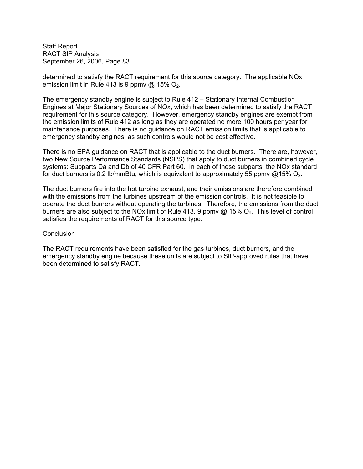determined to satisfy the RACT requirement for this source category. The applicable NOx emission limit in Rule 413 is 9 ppmv  $@$  15%  $O_2$ .

The emergency standby engine is subject to Rule 412 – Stationary Internal Combustion Engines at Major Stationary Sources of NOx, which has been determined to satisfy the RACT requirement for this source category. However, emergency standby engines are exempt from the emission limits of Rule 412 as long as they are operated no more 100 hours per year for maintenance purposes. There is no guidance on RACT emission limits that is applicable to emergency standby engines, as such controls would not be cost effective.

There is no EPA guidance on RACT that is applicable to the duct burners. There are, however, two New Source Performance Standards (NSPS) that apply to duct burners in combined cycle systems: Subparts Da and Db of 40 CFR Part 60. In each of these subparts, the NOx standard for duct burners is 0.2 lb/mmBtu, which is equivalent to approximately 55 ppmv  $@15\%$  O<sub>2</sub>.

The duct burners fire into the hot turbine exhaust, and their emissions are therefore combined with the emissions from the turbines upstream of the emission controls. It is not feasible to operate the duct burners without operating the turbines. Therefore, the emissions from the duct burners are also subject to the NOx limit of Rule 413, 9 ppmv  $@$  15%  $O_2$ . This level of control satisfies the requirements of RACT for this source type.

#### **Conclusion**

The RACT requirements have been satisfied for the gas turbines, duct burners, and the emergency standby engine because these units are subject to SIP-approved rules that have been determined to satisfy RACT.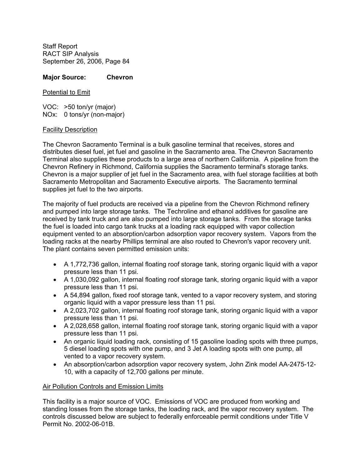**Major Source: Chevron** 

Potential to Emit

VOC: >50 ton/yr (major) NOx: 0 tons/yr (non-major)

## Facility Description

The Chevron Sacramento Terminal is a bulk gasoline terminal that receives, stores and distributes diesel fuel, jet fuel and gasoline in the Sacramento area. The Chevron Sacramento Terminal also supplies these products to a large area of northern California. A pipeline from the Chevron Refinery in Richmond, California supplies the Sacramento terminal's storage tanks. Chevron is a major supplier of jet fuel in the Sacramento area, with fuel storage facilities at both Sacramento Metropolitan and Sacramento Executive airports. The Sacramento terminal supplies jet fuel to the two airports.

The majority of fuel products are received via a pipeline from the Chevron Richmond refinery and pumped into large storage tanks. The Techroline and ethanol additives for gasoline are received by tank truck and are also pumped into large storage tanks. From the storage tanks the fuel is loaded into cargo tank trucks at a loading rack equipped with vapor collection equipment vented to an absorption/carbon adsorption vapor recovery system. Vapors from the loading racks at the nearby Phillips terminal are also routed to Chevron's vapor recovery unit. The plant contains seven permitted emission units:

- A 1,772,736 gallon, internal floating roof storage tank, storing organic liquid with a vapor pressure less than 11 psi.
- A 1,030,092 gallon, internal floating roof storage tank, storing organic liquid with a vapor pressure less than 11 psi.
- A 54,894 gallon, fixed roof storage tank, vented to a vapor recovery system, and storing organic liquid with a vapor pressure less than 11 psi.
- A 2,023,702 gallon, internal floating roof storage tank, storing organic liquid with a vapor pressure less than 11 psi.
- A 2,028,658 gallon, internal floating roof storage tank, storing organic liquid with a vapor pressure less than 11 psi.
- An organic liquid loading rack, consisting of 15 gasoline loading spots with three pumps, 5 diesel loading spots with one pump, and 3 Jet A loading spots with one pump, all vented to a vapor recovery system.
- An absorption/carbon adsorption vapor recovery system, John Zink model AA-2475-12- 10, with a capacity of 12,700 gallons per minute.

# Air Pollution Controls and Emission Limits

This facility is a major source of VOC. Emissions of VOC are produced from working and standing losses from the storage tanks, the loading rack, and the vapor recovery system. The controls discussed below are subject to federally enforceable permit conditions under Title V Permit No. 2002-06-01B.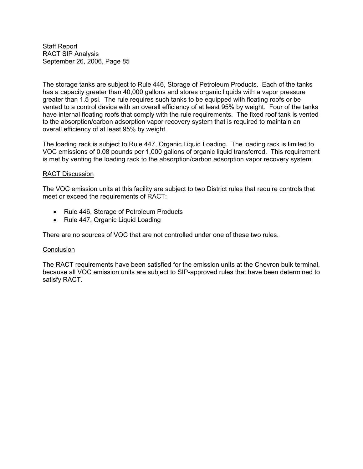The storage tanks are subject to Rule 446, Storage of Petroleum Products. Each of the tanks has a capacity greater than 40,000 gallons and stores organic liquids with a vapor pressure greater than 1.5 psi. The rule requires such tanks to be equipped with floating roofs or be vented to a control device with an overall efficiency of at least 95% by weight. Four of the tanks have internal floating roofs that comply with the rule requirements. The fixed roof tank is vented to the absorption/carbon adsorption vapor recovery system that is required to maintain an overall efficiency of at least 95% by weight.

The loading rack is subject to Rule 447, Organic Liquid Loading. The loading rack is limited to VOC emissions of 0.08 pounds per 1,000 gallons of organic liquid transferred. This requirement is met by venting the loading rack to the absorption/carbon adsorption vapor recovery system.

## RACT Discussion

The VOC emission units at this facility are subject to two District rules that require controls that meet or exceed the requirements of RACT:

- Rule 446, Storage of Petroleum Products
- Rule 447, Organic Liquid Loading

There are no sources of VOC that are not controlled under one of these two rules.

#### **Conclusion**

The RACT requirements have been satisfied for the emission units at the Chevron bulk terminal, because all VOC emission units are subject to SIP-approved rules that have been determined to satisfy RACT.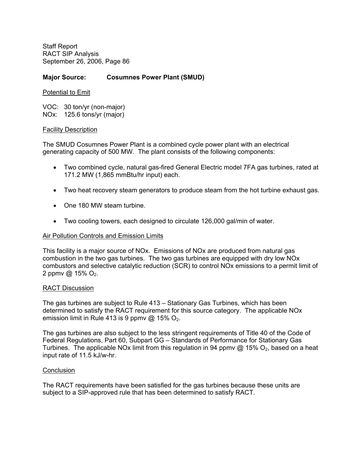#### **Major Source: Cosumnes Power Plant (SMUD)**

#### Potential to Emit

VOC: 30 ton/yr (non-major) NOx: 125.6 tons/yr (major)

#### Facility Description

The SMUD Cosumnes Power Plant is a combined cycle power plant with an electrical generating capacity of 500 MW. The plant consists of the following components:

- Two combined cycle, natural gas-fired General Electric model 7FA gas turbines, rated at 171.2 MW (1,865 mmBtu/hr input) each.
- Two heat recovery steam generators to produce steam from the hot turbine exhaust gas.
- One 180 MW steam turbine.
- Two cooling towers, each designed to circulate 126,000 gal/min of water.

#### Air Pollution Controls and Emission Limits

This facility is a major source of NOx. Emissions of NOx are produced from natural gas combustion in the two gas turbines. The two gas turbines are equipped with dry low NOx combustors and selective catalytic reduction (SCR) to control NOx emissions to a permit limit of 2 ppmv  $@$  15%  $O_2$ .

#### RACT Discussion

The gas turbines are subject to Rule 413 – Stationary Gas Turbines, which has been determined to satisfy the RACT requirement for this source category. The applicable NOx emission limit in Rule 413 is 9 ppm  $\omega$  15% O<sub>2</sub>.

The gas turbines are also subject to the less stringent requirements of Title 40 of the Code of Federal Regulations, Part 60, Subpart GG – Standards of Performance for Stationary Gas Turbines. The applicable NOx limit from this regulation in 94 ppmv  $\omega$  15% O<sub>2</sub>, based on a heat input rate of 11.5 kJ/w-hr.

#### **Conclusion**

The RACT requirements have been satisfied for the gas turbines because these units are subject to a SIP-approved rule that has been determined to satisfy RACT.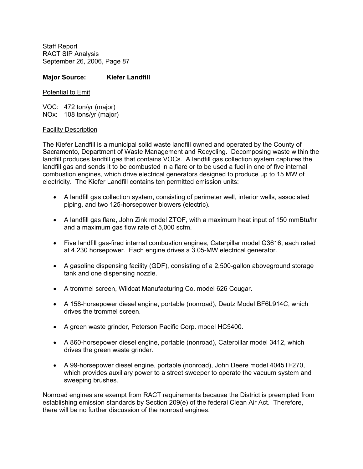## **Major Source: Kiefer Landfill**

Potential to Emit

VOC: 472 ton/yr (major) NOx: 108 tons/yr (major)

#### Facility Description

The Kiefer Landfill is a municipal solid waste landfill owned and operated by the County of Sacramento, Department of Waste Management and Recycling. Decomposing waste within the landfill produces landfill gas that contains VOCs. A landfill gas collection system captures the landfill gas and sends it to be combusted in a flare or to be used a fuel in one of five internal combustion engines, which drive electrical generators designed to produce up to 15 MW of electricity. The Kiefer Landfill contains ten permitted emission units:

- A landfill gas collection system, consisting of perimeter well, interior wells, associated piping, and two 125-horsepower blowers (electric).
- A landfill gas flare, John Zink model ZTOF, with a maximum heat input of 150 mmBtu/hr and a maximum gas flow rate of 5,000 scfm.
- Five landfill gas-fired internal combustion engines, Caterpillar model G3616, each rated at 4,230 horsepower. Each engine drives a 3.05-MW electrical generator.
- A gasoline dispensing facility (GDF), consisting of a 2,500-gallon aboveground storage tank and one dispensing nozzle.
- A trommel screen, Wildcat Manufacturing Co. model 626 Cougar.
- A 158-horsepower diesel engine, portable (nonroad), Deutz Model BF6L914C, which drives the trommel screen.
- A green waste grinder, Peterson Pacific Corp. model HC5400.
- A 860-horsepower diesel engine, portable (nonroad), Caterpillar model 3412, which drives the green waste grinder.
- A 99-horsepower diesel engine, portable (nonroad), John Deere model 4045TF270, which provides auxiliary power to a street sweeper to operate the vacuum system and sweeping brushes.

Nonroad engines are exempt from RACT requirements because the District is preempted from establishing emission standards by Section 209(e) of the federal Clean Air Act. Therefore, there will be no further discussion of the nonroad engines.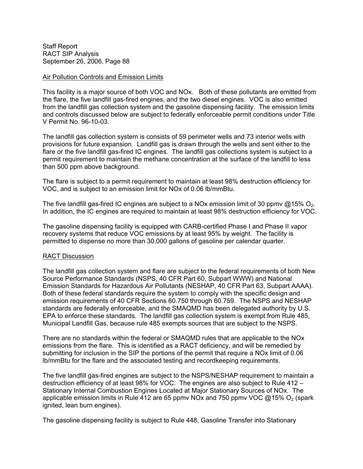#### Air Pollution Controls and Emission Limits

This facility is a major source of both VOC and NOx. Both of these pollutants are emitted from the flare, the five landfill gas-fired engines, and the two diesel engines. VOC is also emitted from the landfill gas collection system and the gasoline dispensing facility. The emission limits and controls discussed below are subject to federally enforceable permit conditions under Title V Permit No. 96-10-03.

The landfill gas collection system is consists of 59 perimeter wells and 73 interior wells with provisions for future expansion. Landfill gas is drawn through the wells and sent either to the flare or the five landfill gas-fired IC engines. The landfill gas collections system is subject to a permit requirement to maintain the methane concentration at the surface of the landfill to less than 500 ppm above background.

The flare is subject to a permit requirement to maintain at least 98% destruction efficiency for VOC, and is subject to an emission limit for NOx of 0.06 lb/mmBtu.

The five landfill gas-fired IC engines are subject to a NOx emission limit of 30 ppmv  $@15\%$  O<sub>2</sub>. In addition, the IC engines are required to maintain at least 98% destruction efficiency for VOC.

The gasoline dispensing facility is equipped with CARB-certified Phase I and Phase II vapor recovery systems that reduce VOC emissions by at least 95% by weight. The facility is permitted to dispense no more than 30,000 gallons of gasoline per calendar quarter.

#### RACT Discussion

The landfill gas collection system and flare are subject to the federal requirements of both New Source Performance Standards (NSPS, 40 CFR Part 60, Subpart WWW) and National Emission Standards for Hazardous Air Pollutants (NESHAP, 40 CFR Part 63, Subpart AAAA). Both of these federal standards require the system to comply with the specific design and emission requirements of 40 CFR Sections 60.750 through 60.759. The NSPS and NESHAP standards are federally enforceable, and the SMAQMD has been delegated authority by U.S. EPA to enforce these standards. The landfill gas collection system is exempt from Rule 485, Municipal Landfill Gas, because rule 485 exempts sources that are subject to the NSPS.

There are no standards within the federal or SMAQMD rules that are applicable to the NOx emissions from the flare. This is identified as a RACT deficiency, and will be remedied by submitting for inclusion in the SIP the portions of the permit that require a NOx limit of 0.06 lb/mmBtu for the flare and the associated testing and recordkeeping requirements.

The five landfill gas-fired engines are subject to the NSPS/NESHAP requirement to maintain a destruction efficiency of at least 98% for VOC. The engines are also subject to Rule 412 – Stationary Internal Combustion Engines Located at Major Stationary Sources of NOx. The applicable emission limits in Rule 412 are 65 ppmv NOx and 750 ppmv VOC  $@15\%$  O<sub>2</sub> (spark ignited, lean burn engines).

The gasoline dispensing facility is subject to Rule 448, Gasoline Transfer into Stationary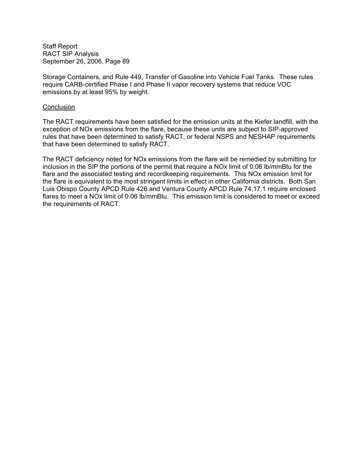Storage Containers, and Rule 449, Transfer of Gasoline into Vehicle Fuel Tanks. These rules require CARB-certified Phase I and Phase II vapor recovery systems that reduce VOC emissions by at least 95% by weight.

#### **Conclusion**

The RACT requirements have been satisfied for the emission units at the Kiefer landfill, with the exception of NOx emissions from the flare, because these units are subject to SIP-approved rules that have been determined to satisfy RACT, or federal NSPS and NESHAP requirements that have been determined to satisfy RACT.

The RACT deficiency noted for NOx emissions from the flare will be remedied by submitting for inclusion in the SIP the portions of the permit that require a NOx limit of 0.06 lb/mmBtu for the flare and the associated testing and recordkeeping requirements. This NOx emission limit for the flare is equivalent to the most stringent limits in effect in other California districts. Both San Luis Obispo County APCD Rule 426 and Ventura County APCD Rule 74.17.1 require enclosed flares to meet a NOx limit of 0.06 lb/mmBtu. This emission limit is considered to meet or exceed the requirements of RACT.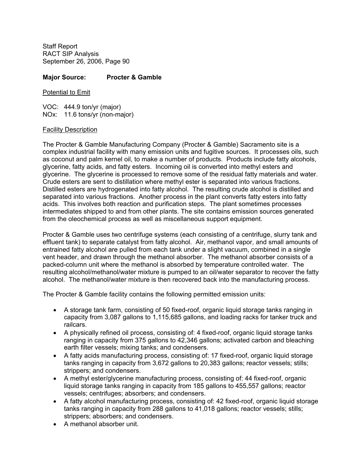#### **Major Source: Procter & Gamble**

Potential to Emit

VOC: 444.9 ton/yr (major) NOx: 11.6 tons/yr (non-major)

#### Facility Description

The Procter & Gamble Manufacturing Company (Procter & Gamble) Sacramento site is a complex industrial facility with many emission units and fugitive sources. It processes oils, such as coconut and palm kernel oil, to make a number of products. Products include fatty alcohols, glycerine, fatty acids, and fatty esters. Incoming oil is converted into methyl esters and glycerine. The glycerine is processed to remove some of the residual fatty materials and water. Crude esters are sent to distillation where methyl ester is separated into various fractions. Distilled esters are hydrogenated into fatty alcohol. The resulting crude alcohol is distilled and separated into various fractions. Another process in the plant converts fatty esters into fatty acids. This involves both reaction and purification steps. The plant sometimes processes intermediates shipped to and from other plants. The site contains emission sources generated from the oleochemical process as well as miscellaneous support equipment.

Procter & Gamble uses two centrifuge systems (each consisting of a centrifuge, slurry tank and effluent tank) to separate catalyst from fatty alcohol. Air, methanol vapor, and small amounts of entrained fatty alcohol are pulled from each tank under a slight vacuum, combined in a single vent header, and drawn through the methanol absorber. The methanol absorber consists of a packed-column unit where the methanol is absorbed by temperature controlled water. The resulting alcohol/methanol/water mixture is pumped to an oil/water separator to recover the fatty alcohol. The methanol/water mixture is then recovered back into the manufacturing process.

The Procter & Gamble facility contains the following permitted emission units:

- A storage tank farm, consisting of 50 fixed-roof, organic liquid storage tanks ranging in capacity from 3,087 gallons to 1,115,685 gallons, and loading racks for tanker truck and railcars.
- A physically refined oil process, consisting of: 4 fixed-roof, organic liquid storage tanks ranging in capacity from 375 gallons to 42,346 gallons; activated carbon and bleaching earth filter vessels; mixing tanks; and condensers.
- A fatty acids manufacturing process, consisting of: 17 fixed-roof, organic liquid storage tanks ranging in capacity from 3,672 gallons to 20,383 gallons; reactor vessels; stills; strippers; and condensers.
- A methyl ester/glycerine manufacturing process, consisting of: 44 fixed-roof, organic liquid storage tanks ranging in capacity from 185 gallons to 455,557 gallons; reactor vessels; centrifuges; absorbers; and condensers.
- A fatty alcohol manufacturing process, consisting of: 42 fixed-roof, organic liquid storage tanks ranging in capacity from 288 gallons to 41,018 gallons; reactor vessels; stills; strippers; absorbers; and condensers.
- A methanol absorber unit.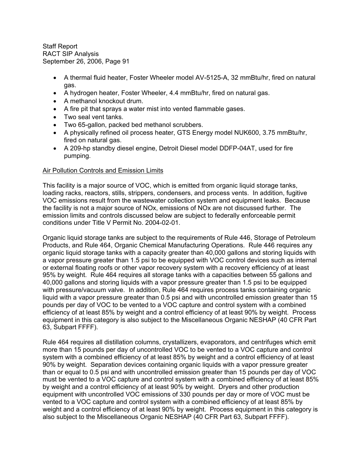- A thermal fluid heater, Foster Wheeler model AV-5125-A, 32 mmBtu/hr, fired on natural gas.
- A hydrogen heater, Foster Wheeler, 4.4 mmBtu/hr, fired on natural gas.
- A methanol knockout drum.
- A fire pit that sprays a water mist into vented flammable gases.
- Two seal vent tanks.
- Two 65-gallon, packed bed methanol scrubbers.
- A physically refined oil process heater, GTS Energy model NUK600, 3.75 mmBtu/hr, fired on natural gas.
- A 209-hp standby diesel engine, Detroit Diesel model DDFP-04AT, used for fire pumping.

## Air Pollution Controls and Emission Limits

This facility is a major source of VOC, which is emitted from organic liquid storage tanks, loading racks, reactors, stills, strippers, condensers, and process vents. In addition, fugitive VOC emissions result from the wastewater collection system and equipment leaks. Because the facility is not a major source of NOx, emissions of NOx are not discussed further. The emission limits and controls discussed below are subject to federally enforceable permit conditions under Title V Permit No. 2004-02-01.

Organic liquid storage tanks are subject to the requirements of Rule 446, Storage of Petroleum Products, and Rule 464, Organic Chemical Manufacturing Operations. Rule 446 requires any organic liquid storage tanks with a capacity greater than 40,000 gallons and storing liquids with a vapor pressure greater than 1.5 psi to be equipped with VOC control devices such as internal or external floating roofs or other vapor recovery system with a recovery efficiency of at least 95% by weight. Rule 464 requires all storage tanks with a capacities between 55 gallons and 40,000 gallons and storing liquids with a vapor pressure greater than 1.5 psi to be equipped with pressure/vacuum valve. In addition, Rule 464 requires process tanks containing organic liquid with a vapor pressure greater than 0.5 psi and with uncontrolled emission greater than 15 pounds per day of VOC to be vented to a VOC capture and control system with a combined efficiency of at least 85% by weight and a control efficiency of at least 90% by weight. Process equipment in this category is also subject to the Miscellaneous Organic NESHAP (40 CFR Part 63, Subpart FFFF).

Rule 464 requires all distillation columns, crystallizers, evaporators, and centrifuges which emit more than 15 pounds per day of uncontrolled VOC to be vented to a VOC capture and control system with a combined efficiency of at least 85% by weight and a control efficiency of at least 90% by weight. Separation devices containing organic liquids with a vapor pressure greater than or equal to 0.5 psi and with uncontrolled emission greater than 15 pounds per day of VOC must be vented to a VOC capture and control system with a combined efficiency of at least 85% by weight and a control efficiency of at least 90% by weight. Dryers and other production equipment with uncontrolled VOC emissions of 330 pounds per day or more of VOC must be vented to a VOC capture and control system with a combined efficiency of at least 85% by weight and a control efficiency of at least 90% by weight. Process equipment in this category is also subject to the Miscellaneous Organic NESHAP (40 CFR Part 63, Subpart FFFF).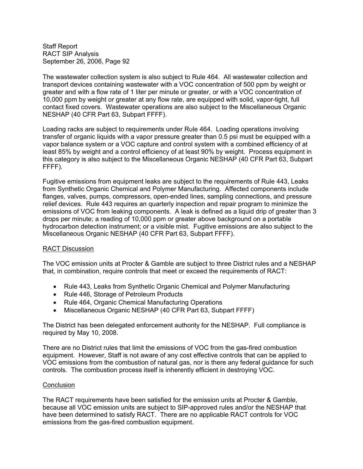The wastewater collection system is also subject to Rule 464. All wastewater collection and transport devices containing wastewater with a VOC concentration of 500 ppm by weight or greater and with a flow rate of 1 liter per minute or greater, or with a VOC concentration of 10,000 ppm by weight or greater at any flow rate, are equipped with solid, vapor-tight, full contact fixed covers. Wastewater operations are also subject to the Miscellaneous Organic NESHAP (40 CFR Part 63, Subpart FFFF).

Loading racks are subject to requirements under Rule 464. Loading operations involving transfer of organic liquids with a vapor pressure greater than 0.5 psi must be equipped with a vapor balance system or a VOC capture and control system with a combined efficiency of at least 85% by weight and a control efficiency of at least 90% by weight. Process equipment in this category is also subject to the Miscellaneous Organic NESHAP (40 CFR Part 63, Subpart FFFF).

Fugitive emissions from equipment leaks are subject to the requirements of Rule 443, Leaks from Synthetic Organic Chemical and Polymer Manufacturing. Affected components include flanges, valves, pumps, compressors, open-ended lines, sampling connections, and pressure relief devices. Rule 443 requires an quarterly inspection and repair program to minimize the emissions of VOC from leaking components. A leak is defined as a liquid drip of greater than 3 drops per minute; a reading of 10,000 ppm or greater above background on a portable hydrocarbon detection instrument; or a visible mist. Fugitive emissions are also subject to the Miscellaneous Organic NESHAP (40 CFR Part 63, Subpart FFFF).

# RACT Discussion

The VOC emission units at Procter & Gamble are subject to three District rules and a NESHAP that, in combination, require controls that meet or exceed the requirements of RACT:

- Rule 443, Leaks from Synthetic Organic Chemical and Polymer Manufacturing
- Rule 446, Storage of Petroleum Products
- Rule 464, Organic Chemical Manufacturing Operations
- Miscellaneous Organic NESHAP (40 CFR Part 63, Subpart FFFF)

The District has been delegated enforcement authority for the NESHAP. Full compliance is required by May 10, 2008.

There are no District rules that limit the emissions of VOC from the gas-fired combustion equipment. However, Staff is not aware of any cost effective controls that can be applied to VOC emissions from the combustion of natural gas, nor is there any federal guidance for such controls. The combustion process itself is inherently efficient in destroying VOC.

#### **Conclusion**

The RACT requirements have been satisfied for the emission units at Procter & Gamble, because all VOC emission units are subject to SIP-approved rules and/or the NESHAP that have been determined to satisfy RACT. There are no applicable RACT controls for VOC emissions from the gas-fired combustion equipment.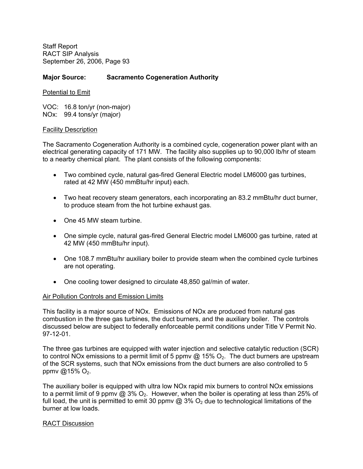## **Major Source: Sacramento Cogeneration Authority**

Potential to Emit

VOC: 16.8 ton/yr (non-major) NOx: 99.4 tons/yr (major)

#### Facility Description

The Sacramento Cogeneration Authority is a combined cycle, cogeneration power plant with an electrical generating capacity of 171 MW. The facility also supplies up to 90,000 lb/hr of steam to a nearby chemical plant. The plant consists of the following components:

- Two combined cycle, natural gas-fired General Electric model LM6000 gas turbines, rated at 42 MW (450 mmBtu/hr input) each.
- Two heat recovery steam generators, each incorporating an 83.2 mmBtu/hr duct burner, to produce steam from the hot turbine exhaust gas.
- One 45 MW steam turbine.
- One simple cycle, natural gas-fired General Electric model LM6000 gas turbine, rated at 42 MW (450 mmBtu/hr input).
- One 108.7 mmBtu/hr auxiliary boiler to provide steam when the combined cycle turbines are not operating.
- One cooling tower designed to circulate 48,850 gal/min of water.

#### Air Pollution Controls and Emission Limits

This facility is a major source of NOx. Emissions of NOx are produced from natural gas combustion in the three gas turbines, the duct burners, and the auxiliary boiler. The controls discussed below are subject to federally enforceable permit conditions under Title V Permit No. 97-12-01.

The three gas turbines are equipped with water injection and selective catalytic reduction (SCR) to control NOx emissions to a permit limit of 5 ppmy  $\omega$  15%  $O_2$ . The duct burners are upstream of the SCR systems, such that NOx emissions from the duct burners are also controlled to 5 ppmv  $@15\%$  O<sub>2</sub>.

The auxiliary boiler is equipped with ultra low NOx rapid mix burners to control NOx emissions to a permit limit of 9 ppmy  $\omega$  3%  $O_2$ . However, when the boiler is operating at less than 25% of full load, the unit is permitted to emit 30 ppmv  $@3\% O_2$  due to technological limitations of the burner at low loads.

#### RACT Discussion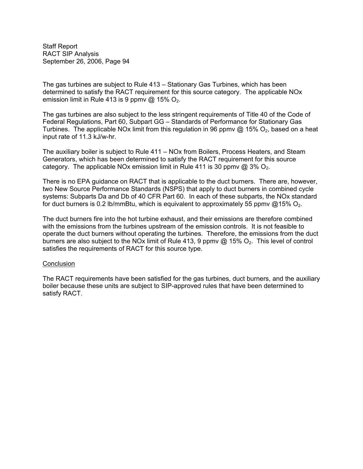The gas turbines are subject to Rule 413 – Stationary Gas Turbines, which has been determined to satisfy the RACT requirement for this source category. The applicable NOx emission limit in Rule 413 is 9 ppm  $\omega$  15% O<sub>2</sub>.

The gas turbines are also subject to the less stringent requirements of Title 40 of the Code of Federal Regulations, Part 60, Subpart GG – Standards of Performance for Stationary Gas Turbines. The applicable NOx limit from this regulation in 96 ppm  $\omega$  15% O<sub>2</sub>, based on a heat input rate of 11.3 kJ/w-hr.

The auxiliary boiler is subject to Rule 411 – NOx from Boilers, Process Heaters, and Steam Generators, which has been determined to satisfy the RACT requirement for this source category. The applicable NOx emission limit in Rule 411 is 30 ppmv  $@3\%$  O<sub>2</sub>.

There is no EPA guidance on RACT that is applicable to the duct burners. There are, however, two New Source Performance Standards (NSPS) that apply to duct burners in combined cycle systems: Subparts Da and Db of 40 CFR Part 60. In each of these subparts, the NOx standard for duct burners is 0.2 lb/mmBtu, which is equivalent to approximately 55 ppmv  $@15\%$  O<sub>2</sub>.

The duct burners fire into the hot turbine exhaust, and their emissions are therefore combined with the emissions from the turbines upstream of the emission controls. It is not feasible to operate the duct burners without operating the turbines. Therefore, the emissions from the duct burners are also subject to the NOx limit of Rule 413, 9 ppmv  $@$  15%  $O<sub>2</sub>$ . This level of control satisfies the requirements of RACT for this source type.

#### **Conclusion**

The RACT requirements have been satisfied for the gas turbines, duct burners, and the auxiliary boiler because these units are subject to SIP-approved rules that have been determined to satisfy RACT.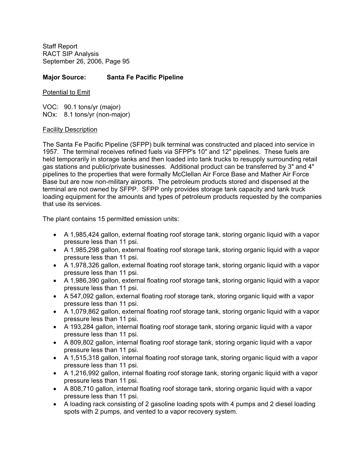# **Major Source: Santa Fe Pacific Pipeline**

Potential to Emit

VOC: 90.1 tons/yr (major) NOx: 8.1 tons/yr (non-major)

#### Facility Description

The Santa Fe Pacific Pipeline (SFPP) bulk terminal was constructed and placed into service in 1957. The terminal receives refined fuels via SFPP's 10" and 12" pipelines. These fuels are held temporarily in storage tanks and then loaded into tank trucks to resupply surrounding retail gas stations and public/private businesses. Additional product can be transferred by 3" and 4" pipelines to the properties that were formally McClellan Air Force Base and Mather Air Force Base but are now non-military airports. The petroleum products stored and dispensed at the terminal are not owned by SFPP. SFPP only provides storage tank capacity and tank truck loading equipment for the amounts and types of petroleum products requested by the companies that use its services.

The plant contains 15 permitted emission units:

- A 1,985,424 gallon, external floating roof storage tank, storing organic liquid with a vapor pressure less than 11 psi.
- A 1,985,298 gallon, external floating roof storage tank, storing organic liquid with a vapor pressure less than 11 psi.
- A 1,978,326 gallon, external floating roof storage tank, storing organic liquid with a vapor pressure less than 11 psi.
- A 1,986,390 gallon, external floating roof storage tank, storing organic liquid with a vapor pressure less than 11 psi.
- A 547,092 gallon, external floating roof storage tank, storing organic liquid with a vapor pressure less than 11 psi.
- A 1,079,862 gallon, external floating roof storage tank, storing organic liquid with a vapor pressure less than 11 psi.
- A 193,284 gallon, internal floating roof storage tank, storing organic liquid with a vapor pressure less than 11 psi.
- A 809,802 gallon, internal floating roof storage tank, storing organic liquid with a vapor pressure less than 11 psi.
- A 1,515,318 gallon, internal floating roof storage tank, storing organic liquid with a vapor pressure less than 11 psi.
- A 1,216,992 gallon, internal floating roof storage tank, storing organic liquid with a vapor pressure less than 11 psi.
- A 808,710 gallon, internal floating roof storage tank, storing organic liquid with a vapor pressure less than 11 psi.
- A loading rack consisting of 2 gasoline loading spots with 4 pumps and 2 diesel loading spots with 2 pumps, and vented to a vapor recovery system.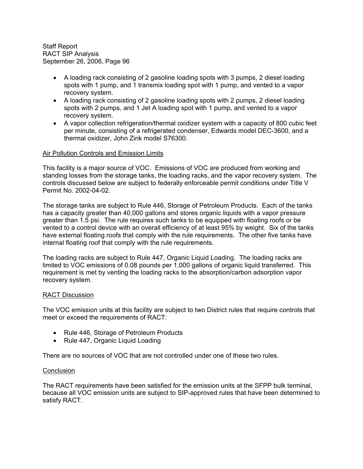- A loading rack consisting of 2 gasoline loading spots with 3 pumps, 2 diesel loading spots with 1 pump, and 1 transmix loading spot with 1 pump, and vented to a vapor recovery system.
- A loading rack consisting of 2 gasoline loading spots with 2 pumps, 2 diesel loading spots with 2 pumps, and 1 Jet A loading spot with 1 pump, and vented to a vapor recovery system.
- A vapor collection refrigeration/thermal oxidizer system with a capacity of 800 cubic feet per minute, consisting of a refrigerated condenser, Edwards model DEC-3600, and a thermal oxidizer, John Zink model S76300.

## Air Pollution Controls and Emission Limits

This facility is a major source of VOC. Emissions of VOC are produced from working and standing losses from the storage tanks, the loading racks, and the vapor recovery system. The controls discussed below are subject to federally enforceable permit conditions under Title V Permit No. 2002-04-02.

The storage tanks are subject to Rule 446, Storage of Petroleum Products. Each of the tanks has a capacity greater than 40,000 gallons and stores organic liquids with a vapor pressure greater than 1.5 psi. The rule requires such tanks to be equipped with floating roofs or be vented to a control device with an overall efficiency of at least 95% by weight. Six of the tanks have external floating roofs that comply with the rule requirements. The other five tanks have internal floating roof that comply with the rule requirements.

The loading racks are subject to Rule 447, Organic Liquid Loading. The loading racks are limited to VOC emissions of 0.08 pounds per 1,000 gallons of organic liquid transferred. This requirement is met by venting the loading racks to the absorption/carbon adsorption vapor recovery system.

#### RACT Discussion

The VOC emission units at this facility are subject to two District rules that require controls that meet or exceed the requirements of RACT:

- Rule 446, Storage of Petroleum Products
- Rule 447, Organic Liquid Loading

There are no sources of VOC that are not controlled under one of these two rules.

#### **Conclusion**

The RACT requirements have been satisfied for the emission units at the SFPP bulk terminal, because all VOC emission units are subject to SIP-approved rules that have been determined to satisfy RACT.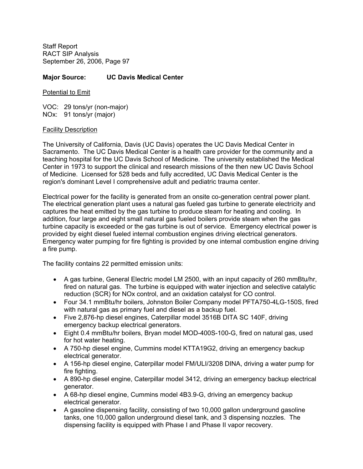# **Major Source: UC Davis Medical Center**

Potential to Emit

VOC: 29 tons/yr (non-major) NOx: 91 tons/yr (major)

## Facility Description

The University of California, Davis (UC Davis) operates the UC Davis Medical Center in Sacramento. The UC Davis Medical Center is a health care provider for the community and a teaching hospital for the UC Davis School of Medicine. The university established the Medical Center in 1973 to support the clinical and research missions of the then new UC Davis School of Medicine. Licensed for 528 beds and fully accredited, UC Davis Medical Center is the region's dominant Level I comprehensive adult and pediatric trauma center.

Electrical power for the facility is generated from an onsite co-generation central power plant. The electrical generation plant uses a natural gas fueled gas turbine to generate electricity and captures the heat emitted by the gas turbine to produce steam for heating and cooling. In addition, four large and eight small natural gas fueled boilers provide steam when the gas turbine capacity is exceeded or the gas turbine is out of service. Emergency electrical power is provided by eight diesel fueled internal combustion engines driving electrical generators. Emergency water pumping for fire fighting is provided by one internal combustion engine driving a fire pump.

The facility contains 22 permitted emission units:

- A gas turbine, General Electric model LM 2500, with an input capacity of 260 mmBtu/hr, fired on natural gas. The turbine is equipped with water injection and selective catalytic reduction (SCR) for NOx control, and an oxidation catalyst for CO control.
- Four 34.1 mmBtu/hr boilers, Johnston Boiler Company model PFTA750-4LG-150S, fired with natural gas as primary fuel and diesel as a backup fuel.
- Five 2,876-hp diesel engines, Caterpillar model 3516B DITA SC 140F, driving emergency backup electrical generators.
- Eight 0.4 mmBtu/hr boilers, Bryan model MOD-400S-100-G, fired on natural gas, used for hot water heating.
- A 750-hp diesel engine, Cummins model KTTA19G2, driving an emergency backup electrical generator.
- A 156-hp diesel engine, Caterpillar model FM/ULI/3208 DINA, driving a water pump for fire fighting.
- A 890-hp diesel engine, Caterpillar model 3412, driving an emergency backup electrical generator.
- A 68-hp diesel engine, Cummins model 4B3.9-G, driving an emergency backup electrical generator.
- A gasoline dispensing facility, consisting of two 10,000 gallon underground gasoline tanks, one 10,000 gallon underground diesel tank, and 3 dispensing nozzles. The dispensing facility is equipped with Phase I and Phase II vapor recovery.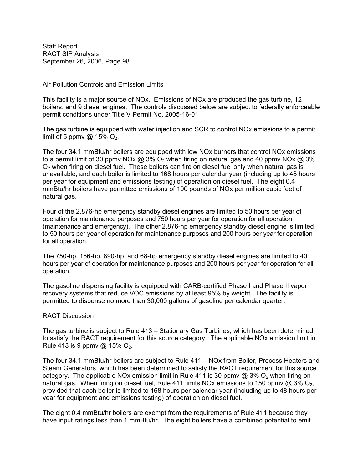#### Air Pollution Controls and Emission Limits

This facility is a major source of NOx. Emissions of NOx are produced the gas turbine, 12 boilers, and 9 diesel engines. The controls discussed below are subject to federally enforceable permit conditions under Title V Permit No. 2005-16-01

The gas turbine is equipped with water injection and SCR to control NOx emissions to a permit limit of 5 ppmv  $@$  15%  $O_2$ .

The four 34.1 mmBtu/hr boilers are equipped with low NOx burners that control NOx emissions to a permit limit of 30 ppmv NOx  $\omega$  3% O<sub>2</sub> when firing on natural gas and 40 ppmv NOx  $\omega$  3%  $O<sub>2</sub>$  when firing on diesel fuel. These boilers can fire on diesel fuel only when natural gas is unavailable, and each boiler is limited to 168 hours per calendar year (including up to 48 hours per year for equipment and emissions testing) of operation on diesel fuel. The eight 0.4 mmBtu/hr boilers have permitted emissions of 100 pounds of NOx per million cubic feet of natural gas.

Four of the 2,876-hp emergency standby diesel engines are limited to 50 hours per year of operation for maintenance purposes and 750 hours per year for operation for all operation (maintenance and emergency). The other 2,876-hp emergency standby diesel engine is limited to 50 hours per year of operation for maintenance purposes and 200 hours per year for operation for all operation.

The 750-hp, 156-hp, 890-hp, and 68-hp emergency standby diesel engines are limited to 40 hours per year of operation for maintenance purposes and 200 hours per year for operation for all operation.

The gasoline dispensing facility is equipped with CARB-certified Phase I and Phase II vapor recovery systems that reduce VOC emissions by at least 95% by weight. The facility is permitted to dispense no more than 30,000 gallons of gasoline per calendar quarter.

#### RACT Discussion

The gas turbine is subject to Rule 413 – Stationary Gas Turbines, which has been determined to satisfy the RACT requirement for this source category. The applicable NOx emission limit in Rule 413 is 9 ppmy  $@$  15%  $O_2$ .

The four 34.1 mmBtu/hr boilers are subject to Rule 411 – NOx from Boiler, Process Heaters and Steam Generators, which has been determined to satisfy the RACT requirement for this source category. The applicable NOx emission limit in Rule 411 is 30 ppmy  $\omega$  3% O<sub>2</sub> when firing on natural gas. When firing on diesel fuel, Rule 411 limits NOx emissions to 150 ppmv @  $3\%$  O<sub>2</sub>, provided that each boiler is limited to 168 hours per calendar year (including up to 48 hours per year for equipment and emissions testing) of operation on diesel fuel.

The eight 0.4 mmBtu/hr boilers are exempt from the requirements of Rule 411 because they have input ratings less than 1 mmBtu/hr. The eight boilers have a combined potential to emit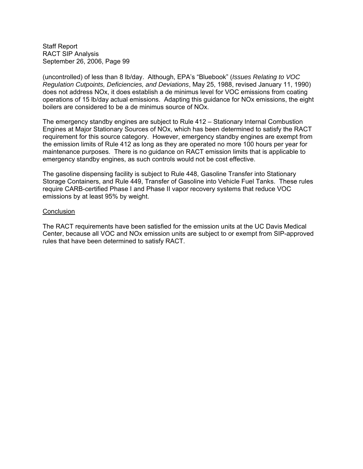(uncontrolled) of less than 8 lb/day. Although, EPA's "Bluebook" (*Issues Relating to VOC Regulation Cutpoints, Deficiencies, and Deviations*, May 25, 1988, revised January 11, 1990) does not address NOx, it does establish a de minimus level for VOC emissions from coating operations of 15 lb/day actual emissions. Adapting this guidance for NOx emissions, the eight boilers are considered to be a de minimus source of NOx.

The emergency standby engines are subject to Rule 412 – Stationary Internal Combustion Engines at Major Stationary Sources of NOx, which has been determined to satisfy the RACT requirement for this source category. However, emergency standby engines are exempt from the emission limits of Rule 412 as long as they are operated no more 100 hours per year for maintenance purposes. There is no guidance on RACT emission limits that is applicable to emergency standby engines, as such controls would not be cost effective.

The gasoline dispensing facility is subject to Rule 448, Gasoline Transfer into Stationary Storage Containers, and Rule 449, Transfer of Gasoline into Vehicle Fuel Tanks. These rules require CARB-certified Phase I and Phase II vapor recovery systems that reduce VOC emissions by at least 95% by weight.

#### **Conclusion**

The RACT requirements have been satisfied for the emission units at the UC Davis Medical Center, because all VOC and NOx emission units are subject to or exempt from SIP-approved rules that have been determined to satisfy RACT.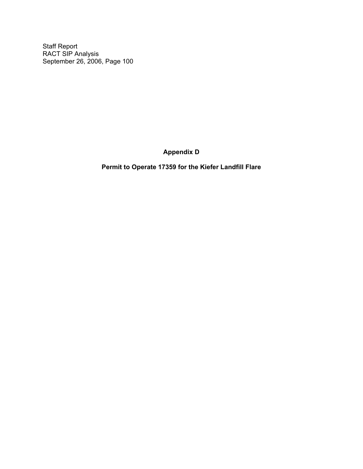**Appendix D** 

**Permit to Operate 17359 for the Kiefer Landfill Flare**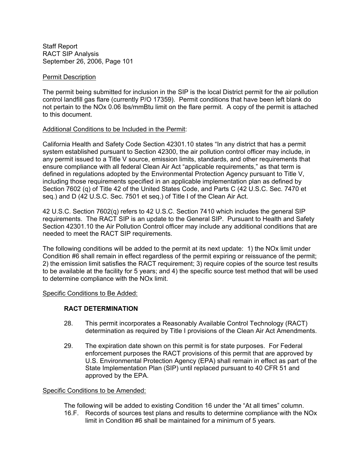#### Permit Description

The permit being submitted for inclusion in the SIP is the local District permit for the air pollution control landfill gas flare (currently P/O 17359). Permit conditions that have been left blank do not pertain to the NOx 0.06 lbs/mmBtu limit on the flare permit. A copy of the permit is attached to this document.

## Additional Conditions to be Included in the Permit:

California Health and Safety Code Section 42301.10 states "In any district that has a permit system established pursuant to Section 42300, the air pollution control officer may include, in any permit issued to a Title V source, emission limits, standards, and other requirements that ensure compliance with all federal Clean Air Act "applicable requirements," as that term is defined in regulations adopted by the Environmental Protection Agency pursuant to Title V, including those requirements specified in an applicable implementation plan as defined by Section 7602 (q) of Title 42 of the United States Code, and Parts C (42 U.S.C. Sec. 7470 et seq.) and D (42 U.S.C. Sec. 7501 et seq.) of Title I of the Clean Air Act.

42 U.S.C. Section 7602(q) refers to 42 U.S.C. Section 7410 which includes the general SIP requirements. The RACT SIP is an update to the General SIP. Pursuant to Health and Safety Section 42301.10 the Air Pollution Control officer may include any additional conditions that are needed to meet the RACT SIP requirements.

The following conditions will be added to the permit at its next update: 1) the NOx limit under Condition #6 shall remain in effect regardless of the permit expiring or reissuance of the permit; 2) the emission limit satisfies the RACT requirement; 3) require copies of the source test results to be available at the facility for 5 years; and 4) the specific source test method that will be used to determine compliance with the NOx limit.

#### Specific Conditions to Be Added:

# **RACT DETERMINATION**

- 28. This permit incorporates a Reasonably Available Control Technology (RACT) determination as required by Title I provisions of the Clean Air Act Amendments.
- 29. The expiration date shown on this permit is for state purposes. For Federal enforcement purposes the RACT provisions of this permit that are approved by U.S. Environmental Protection Agency (EPA) shall remain in effect as part of the State Implementation Plan (SIP) until replaced pursuant to 40 CFR 51 and approved by the EPA.

#### Specific Conditions to be Amended:

The following will be added to existing Condition 16 under the "At all times" column.

16.F. Records of sources test plans and results to determine compliance with the NOx limit in Condition #6 shall be maintained for a minimum of 5 years.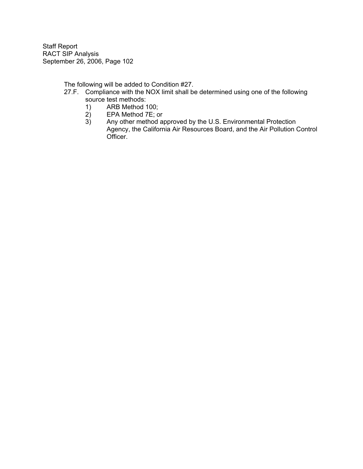The following will be added to Condition #27.

- 27.F. Compliance with the NOX limit shall be determined using one of the following source test methods:
	- 1) ARB Method 100;
	-
	- 2) EPA Method 7E; or<br>3) Any other method a Any other method approved by the U.S. Environmental Protection Agency, the California Air Resources Board, and the Air Pollution Control Officer.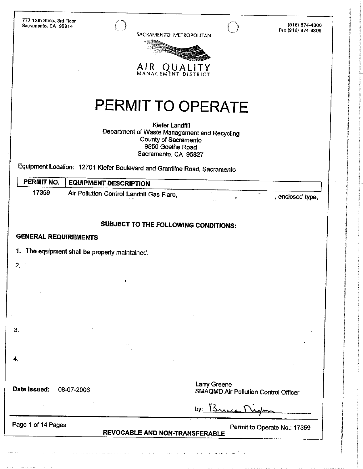| 777 12th Street 3rd Floor<br>Sacramento, CA 95814                         | <b>Service</b>                            |                                                                                                                                            | (916) 874-4800<br>Fax (916) 874-4899 |
|---------------------------------------------------------------------------|-------------------------------------------|--------------------------------------------------------------------------------------------------------------------------------------------|--------------------------------------|
|                                                                           |                                           | SACRAMENTO METROPOLITAN                                                                                                                    |                                      |
|                                                                           |                                           |                                                                                                                                            |                                      |
|                                                                           | AIR<br>MANAGEMENT                         | <b>DISTRICT</b>                                                                                                                            |                                      |
|                                                                           |                                           |                                                                                                                                            |                                      |
|                                                                           |                                           | PERMIT TO OPERATE                                                                                                                          |                                      |
|                                                                           |                                           |                                                                                                                                            |                                      |
|                                                                           |                                           | Kiefer Landfill<br>Department of Waste Management and Recycling<br><b>County of Sacramento</b><br>9850 Goethe Road<br>Sacramento, CA 95827 |                                      |
| Equipment Location: 12701 Kiefer Boulevard and Grantline Road, Sacramento |                                           |                                                                                                                                            |                                      |
| PERMIT NO.                                                                | <b>EQUIPMENT DESCRIPTION</b>              |                                                                                                                                            |                                      |
| 17359                                                                     | Air Pollution Control Landfill Gas Flare, | ,                                                                                                                                          | , enclosed type,                     |
|                                                                           |                                           |                                                                                                                                            |                                      |
|                                                                           |                                           | SUBJECT TO THE FOLLOWING CONDITIONS:                                                                                                       |                                      |
| <b>GENERAL REQUIREMENTS</b>                                               |                                           |                                                                                                                                            |                                      |
| The equipment shall be properly maintained.                               |                                           |                                                                                                                                            |                                      |
|                                                                           |                                           |                                                                                                                                            |                                      |
|                                                                           |                                           |                                                                                                                                            |                                      |
|                                                                           |                                           |                                                                                                                                            |                                      |
|                                                                           |                                           |                                                                                                                                            |                                      |
|                                                                           |                                           |                                                                                                                                            |                                      |
|                                                                           |                                           |                                                                                                                                            |                                      |
|                                                                           |                                           |                                                                                                                                            |                                      |
|                                                                           |                                           |                                                                                                                                            |                                      |
|                                                                           |                                           |                                                                                                                                            |                                      |
|                                                                           |                                           |                                                                                                                                            |                                      |
| 08-07-2006                                                                |                                           | Larry Greene                                                                                                                               |                                      |
|                                                                           |                                           | <b>SMAQMD Air Pollution Control Officer</b>                                                                                                |                                      |
|                                                                           |                                           | by:                                                                                                                                        |                                      |
| Date Issued:<br>Page 1 of 14 Pages                                        | REVOCABLE AND NON-TRANSFERABLE            |                                                                                                                                            | Permit to Operate No.: 17359         |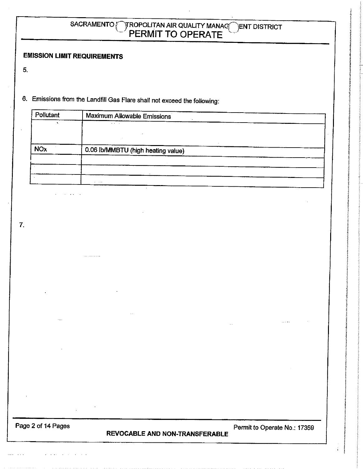# SACRAMENTO TROPOLITAN AIR QUALITY MANAGE BIT DISTRICT

# **EMISSION LIMIT REQUIREMENTS**

. . . . . . . . . .

 $5.$ 

6. Emissions from the Landfill Gas Flare shall not exceed the following:

| Maximum Allowable Emissions |                                              |
|-----------------------------|----------------------------------------------|
| $\cdots$                    |                                              |
|                             |                                              |
|                             |                                              |
|                             |                                              |
|                             |                                              |
|                             |                                              |
|                             | 0.06 lb/MMBTU (high heating value)<br>$   -$ |

7.

Page 2 of 14 Pages

**REVOCABLE AND NON-TRANSFERABLE** 

Permit to Operate No.: 17359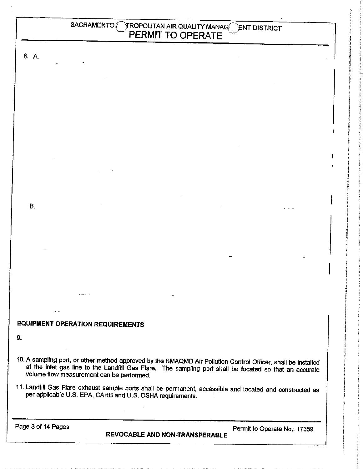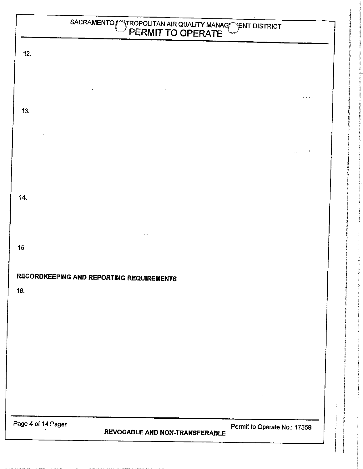|                                          | SACRAMENTO CEROPOLITAN AIR QUALITY MANAGE TENT DISTRICT |  |
|------------------------------------------|---------------------------------------------------------|--|
| 12.                                      |                                                         |  |
|                                          |                                                         |  |
|                                          |                                                         |  |
| 13.                                      |                                                         |  |
|                                          |                                                         |  |
|                                          |                                                         |  |
|                                          |                                                         |  |
| 14.                                      |                                                         |  |
|                                          |                                                         |  |
|                                          |                                                         |  |
| 15                                       |                                                         |  |
| RECORDKEEPING AND REPORTING REQUIREMENTS |                                                         |  |
| 16.                                      |                                                         |  |
|                                          |                                                         |  |
|                                          |                                                         |  |
|                                          |                                                         |  |
|                                          |                                                         |  |
|                                          |                                                         |  |
|                                          |                                                         |  |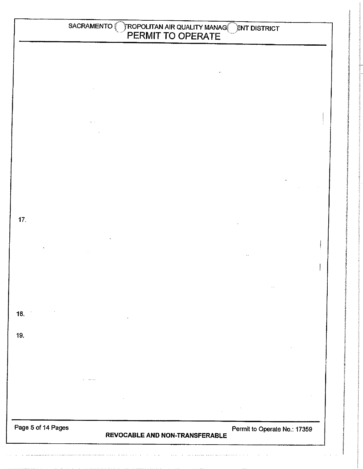|                    | SACRAMENTO <i>SACRAMENTO</i> <b>PERMIT TO OPERATE</b> |                                |                              |  |
|--------------------|-------------------------------------------------------|--------------------------------|------------------------------|--|
|                    |                                                       |                                |                              |  |
|                    |                                                       |                                |                              |  |
|                    |                                                       |                                |                              |  |
|                    |                                                       |                                |                              |  |
|                    |                                                       |                                |                              |  |
|                    |                                                       |                                |                              |  |
|                    |                                                       |                                |                              |  |
|                    |                                                       |                                |                              |  |
|                    |                                                       |                                |                              |  |
|                    |                                                       |                                |                              |  |
| 17.                |                                                       |                                |                              |  |
|                    |                                                       |                                |                              |  |
|                    |                                                       |                                |                              |  |
|                    |                                                       |                                |                              |  |
|                    |                                                       |                                |                              |  |
| 18.                |                                                       |                                |                              |  |
| 19.                |                                                       |                                |                              |  |
|                    |                                                       |                                |                              |  |
|                    |                                                       |                                |                              |  |
|                    |                                                       |                                |                              |  |
|                    |                                                       |                                |                              |  |
|                    |                                                       |                                |                              |  |
| Page 5 of 14 Pages |                                                       | REVOCABLE AND NON-TRANSFERABLE | Permit to Operate No.: 17359 |  |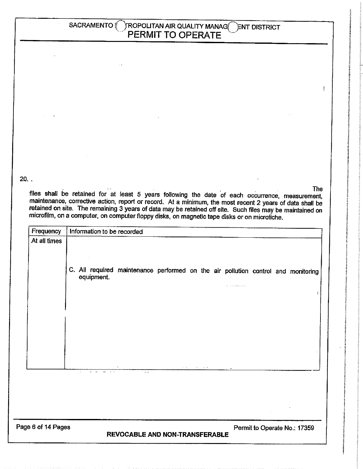## SACRAMENTO TROPOLITAN AIR QUALITY MANAG **ENT DISTRICT**

 $20.$ .

**The** 

files shall be retained for at least 5 years following the date of each occurrence, measurement, maintenance, corrective action, report or record. At a minimum, the most recent 2 years of data shall be retained on site. The remaining 3 years of data may be retained off site. Such files may be maintained on microfilm, on a computer, on computer floppy disks, on magnetic tape disks or on microfiche.

| Frequency          | Information to be recorded                                                                      |
|--------------------|-------------------------------------------------------------------------------------------------|
| At all times       |                                                                                                 |
|                    | C. All required maintenance performed on the air pollution control and monitoring<br>equipment. |
|                    |                                                                                                 |
|                    |                                                                                                 |
|                    | the company's company's company's<br>$\sim$ $\sim$                                              |
|                    |                                                                                                 |
|                    |                                                                                                 |
| Page 6 of 14 Pages | Permit to Operate No.: 17359                                                                    |

**REVOCABLE AND NON-TRANSFERABLE**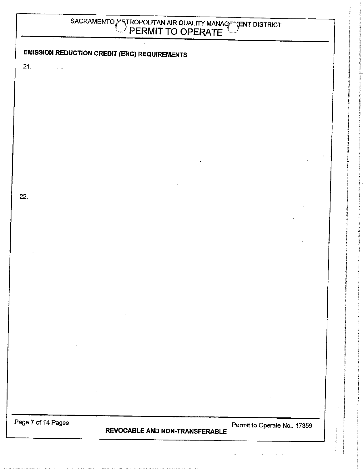# SACRAMENTO METROPOLITAN AIR QUALITY MANAGEMENT DISTRICT

 $\tilde{\mathbf{v}}$ 

 $\mathbb{R}^2$ 

## **EMISSION REDUCTION CREDIT (ERC) REQUIREMENTS**

 $21.$ 

22.

 $\frac{1}{2}$  and  $\frac{1}{2}$ 

Page 7 of 14 Pages

REVOCABLE AND NON-TRANSFERABLE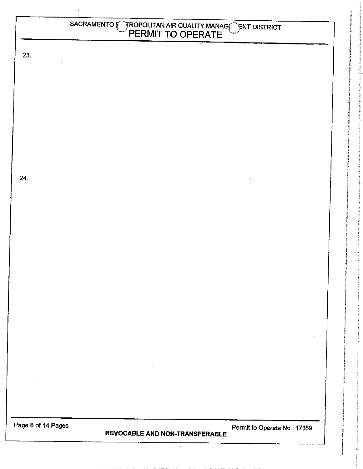|                    | SACRAMENTO <i>SACRAMENTO COPERATE</i> SACRAMENTO PERMIT TO OPERATE |                              |  |
|--------------------|--------------------------------------------------------------------|------------------------------|--|
| 23.                |                                                                    |                              |  |
|                    |                                                                    |                              |  |
|                    |                                                                    |                              |  |
|                    |                                                                    |                              |  |
|                    |                                                                    |                              |  |
|                    |                                                                    |                              |  |
|                    |                                                                    |                              |  |
|                    |                                                                    |                              |  |
| 24.                |                                                                    |                              |  |
|                    |                                                                    |                              |  |
|                    |                                                                    |                              |  |
|                    |                                                                    |                              |  |
|                    |                                                                    |                              |  |
|                    |                                                                    |                              |  |
|                    |                                                                    |                              |  |
|                    |                                                                    |                              |  |
|                    |                                                                    |                              |  |
|                    |                                                                    |                              |  |
|                    |                                                                    |                              |  |
|                    |                                                                    |                              |  |
|                    |                                                                    |                              |  |
|                    |                                                                    |                              |  |
|                    |                                                                    |                              |  |
| Page 8 of 14 Pages | REVOCABLE AND NON-TRANSFERABLE                                     | Permit to Operate No.: 17359 |  |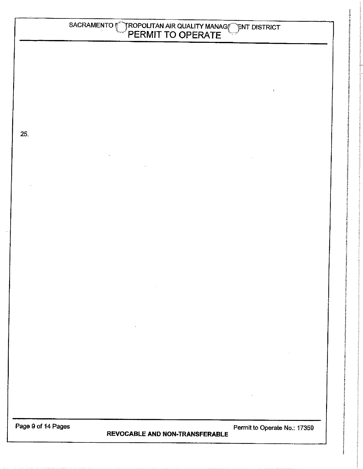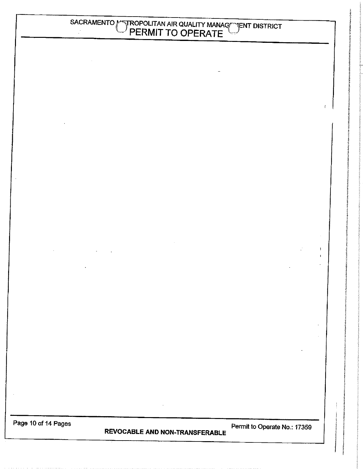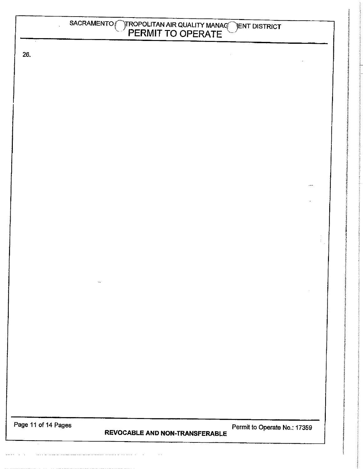| SACRAMENTO <i>SACRAMENTO CTROPOLITAN AIR QUALITY MANAC</i> JENT DISTRICT |          |                                       |  |  |  |                              |  |  |
|--------------------------------------------------------------------------|----------|---------------------------------------|--|--|--|------------------------------|--|--|
| 26.                                                                      |          |                                       |  |  |  |                              |  |  |
|                                                                          |          |                                       |  |  |  |                              |  |  |
|                                                                          |          |                                       |  |  |  |                              |  |  |
|                                                                          |          |                                       |  |  |  |                              |  |  |
|                                                                          |          |                                       |  |  |  |                              |  |  |
|                                                                          |          |                                       |  |  |  |                              |  |  |
|                                                                          |          |                                       |  |  |  |                              |  |  |
|                                                                          |          |                                       |  |  |  |                              |  |  |
|                                                                          |          |                                       |  |  |  |                              |  |  |
|                                                                          |          |                                       |  |  |  |                              |  |  |
|                                                                          |          |                                       |  |  |  |                              |  |  |
|                                                                          |          |                                       |  |  |  |                              |  |  |
|                                                                          |          |                                       |  |  |  |                              |  |  |
|                                                                          |          |                                       |  |  |  |                              |  |  |
|                                                                          |          |                                       |  |  |  |                              |  |  |
|                                                                          | $\cdots$ |                                       |  |  |  |                              |  |  |
|                                                                          |          |                                       |  |  |  |                              |  |  |
|                                                                          |          |                                       |  |  |  |                              |  |  |
|                                                                          |          |                                       |  |  |  |                              |  |  |
|                                                                          |          |                                       |  |  |  |                              |  |  |
|                                                                          |          |                                       |  |  |  |                              |  |  |
|                                                                          |          |                                       |  |  |  |                              |  |  |
|                                                                          |          |                                       |  |  |  |                              |  |  |
|                                                                          |          |                                       |  |  |  |                              |  |  |
| Page 11 of 14 Pages                                                      |          |                                       |  |  |  |                              |  |  |
|                                                                          |          | <b>REVOCABLE AND NON-TRANSFERABLE</b> |  |  |  | Permit to Operate No.: 17359 |  |  |

 $\frac{1}{2}$  , where  $\frac{1}{2}$  , and the contribution constraint mean of the contribution of the contribution of the contribution of the contribution of the contribution of the contribution of the contribution of the contrib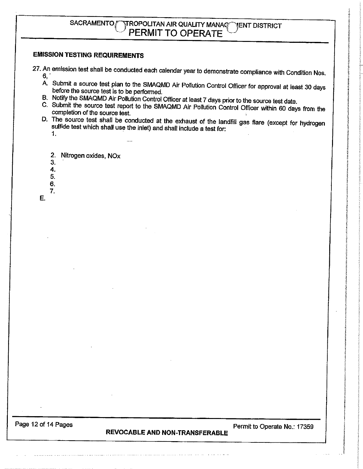#### SACRAMENTO **TROPOLITAN AIR QUALITY MANAG NENT DISTRICT** PERMIT TO OPERATE

### **EMISSION TESTING REQUIREMENTS**

27. An emission test shall be conducted each calendar year to demonstrate compliance with Condition Nos.  $6.$ 

- A. Submit a source test plan to the SMAQMD Air Pollution Control Officer for approval at least 30 days before the source test is to be performed.
- B. Notify the SMAQMD Air Pollution Control Officer at least 7 days prior to the source test date.
- C. Submit the source test report to the SMAQMD Air Pollution Control Officer within 60 days from the completion of the source test.
- D. The source test shall be conducted at the exhaust of the landfill gas flare (except for hydrogen sulfide test which shall use the inlet) and shall include a test for:  $1<sub>1</sub>$ 
	- 2. Nitrogen oxides, NOx

3.

 $4.$ 

5.

6.

 $\overline{7}$ .

E.

Page 12 of 14 Pages

REVOCABLE AND NON-TRANSFERABLE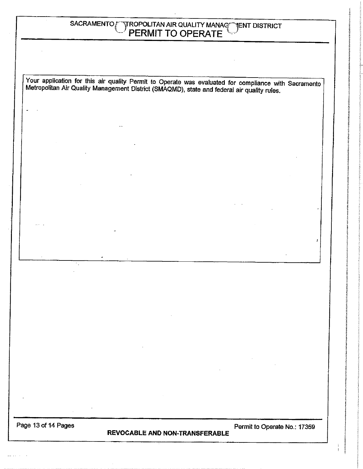## SACRAMENTO<sup>1</sup> TROPOLITAN AIR QUALITY MANAGO JENT DISTRICT<br>PERMIT TO OPERATE

Your application for this air quality Permit to Operate was evaluated for compliance with Sacramento<br>Metropolitan Air Quality Management District (SMAQMD), state and federal air quality rules.

Page 13 of 14 Pages

REVOCABLE AND NON-TRANSFERABLE